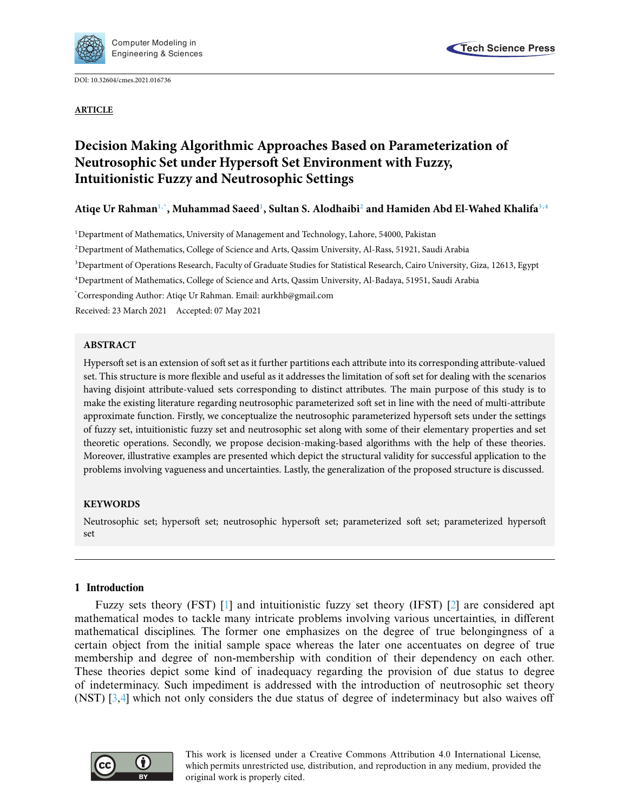

DOI: [10.32604/cmes.2021.016736](http://dx.doi.org/10.32604/cmes.2021.016736)

**ARTICLE**



# **Decision Making Algorithmic Approaches Based on Parameterization of Neutrosophic Set under Hypersoft Set Environment with Fuzzy, Intuitionistic Fuzzy and Neutrosophic Settings**

**Atiqe Ur Rahma[n1,](#page-0-0)[\\*,](#page-0-1) Muhammad Saee[d1](#page-0-0) , Sultan S. Alodhaib[i2](#page-0-2) and Hamiden Abd El-Wahed Khalif[a3,](#page-0-3)[4](#page-0-4)**

<span id="page-0-0"></span>1Department of Mathematics, University of Management and Technology, Lahore, 54000, Pakistan

<span id="page-0-2"></span>2Department of Mathematics, College of Science and Arts, Qassim University, Al-Rass, 51921, Saudi Arabia

<span id="page-0-3"></span>3 Department of Operations Research, Faculty of Graduate Studies for Statistical Research, Cairo University, Giza, 12613, Egypt

<span id="page-0-4"></span>4 Department of Mathematics, College of Science and Arts, Qassim University, Al-Badaya, 51951, Saudi Arabia

<span id="page-0-1"></span>\* Corresponding Author: Atiqe Ur Rahman. Email: aurkhb@gmail.com

Received: 23 March 2021 Accepted: 07 May 2021

# **ABSTRACT**

Hypersoft set is an extension of soft set as it further partitions each attribute into its corresponding attribute-valued set. This structure is more flexible and useful as it addresses the limitation of soft set for dealing with the scenarios having disjoint attribute-valued sets corresponding to distinct attributes. The main purpose of this study is to make the existing literature regarding neutrosophic parameterized soft set in line with the need of multi-attribute approximate function. Firstly, we conceptualize the neutrosophic parameterized hypersoft sets under the settings of fuzzy set, intuitionistic fuzzy set and neutrosophic set along with some of their elementary properties and set theoretic operations. Secondly, we propose decision-making-based algorithms with the help of these theories. Moreover, illustrative examples are presented which depict the structural validity for successful application to the problems involving vagueness and uncertainties. Lastly, the generalization of the proposed structure is discussed.

# **KEYWORDS**

Neutrosophic set; hypersoft set; neutrosophic hypersoft set; parameterized soft set; parameterized hypersoft set

# **1 Introduction**

Fuzzy sets theory (FST) [\[1\]](#page-32-0) and intuitionistic fuzzy set theory (IFST) [\[2\]](#page-32-1) are considered apt mathematical modes to tackle many intricate problems involving various uncertainties, in different mathematical disciplines. The former one emphasizes on the degree of true belongingness of a certain object from the initial sample space whereas the later one accentuates on degree of true membership and degree of non-membership with condition of their dependency on each other. These theories depict some kind of inadequacy regarding the provision of due status to degree of indeterminacy. Such impediment is addressed with the introduction of neutrosophic set theory (NST) [\[3](#page-32-2)[,4](#page-32-3)] which not only considers the due status of degree of indeterminacy but also waives off

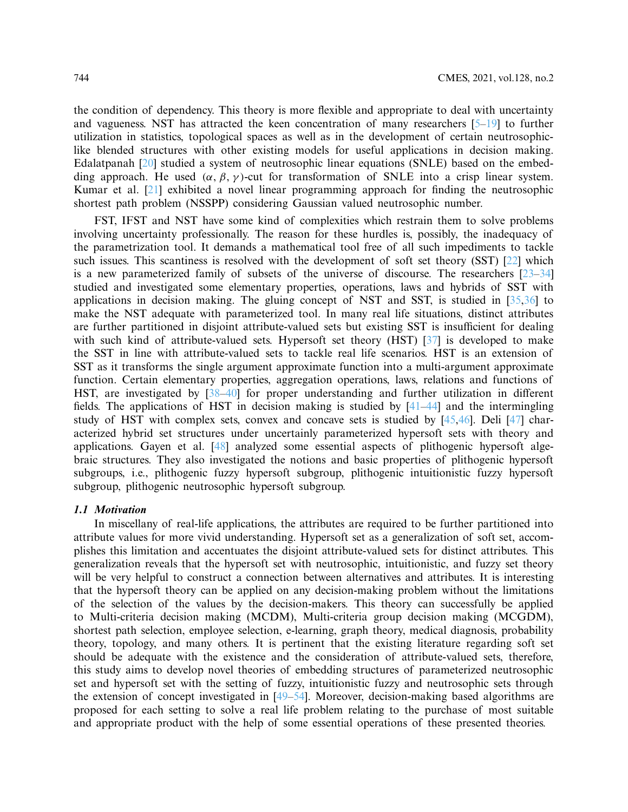the condition of dependency. This theory is more flexible and appropriate to deal with uncertainty and vagueness. NST has attracted the keen concentration of many researchers [\[5](#page-32-4)[–19\]](#page-33-0) to further utilization in statistics, topological spaces as well as in the development of certain neutrosophiclike blended structures with other existing models for useful applications in decision making. Edalatpanah [\[20\]](#page-33-1) studied a system of neutrosophic linear equations (SNLE) based on the embedding approach. He used  $(\alpha, \beta, \gamma)$ -cut for transformation of SNLE into a crisp linear system. Kumar et al. [\[21](#page-33-2)] exhibited a novel linear programming approach for finding the neutrosophic shortest path problem (NSSPP) considering Gaussian valued neutrosophic number.

FST, IFST and NST have some kind of complexities which restrain them to solve problems involving uncertainty professionally. The reason for these hurdles is, possibly, the inadequacy of the parametrization tool. It demands a mathematical tool free of all such impediments to tackle such issues. This scantiness is resolved with the development of soft set theory (SST) [\[22\]](#page-33-3) which is a new parameterized family of subsets of the universe of discourse. The researchers  $[23-34]$  $[23-34]$ studied and investigated some elementary properties, operations, laws and hybrids of SST with applications in decision making. The gluing concept of NST and SST, is studied in [\[35](#page-33-6)[,36](#page-33-7)] to make the NST adequate with parameterized tool. In many real life situations, distinct attributes are further partitioned in disjoint attribute-valued sets but existing SST is insufficient for dealing with such kind of attribute-valued sets. Hypersoft set theory (HST) [\[37\]](#page-33-8) is developed to make the SST in line with attribute-valued sets to tackle real life scenarios. HST is an extension of SST as it transforms the single argument approximate function into a multi-argument approximate function. Certain elementary properties, aggregation operations, laws, relations and functions of HST, are investigated by [\[38](#page-33-9)[–40\]](#page-34-0) for proper understanding and further utilization in different fields. The applications of HST in decision making is studied by [\[41](#page-34-1)[–44\]](#page-34-2) and the intermingling study of HST with complex sets, convex and concave sets is studied by [\[45](#page-34-3)[,46](#page-34-4)]. Deli [\[47\]](#page-34-5) characterized hybrid set structures under uncertainly parameterized hypersoft sets with theory and applications. Gayen et al. [\[48](#page-34-6)] analyzed some essential aspects of plithogenic hypersoft algebraic structures. They also investigated the notions and basic properties of plithogenic hypersoft subgroups, i.e., plithogenic fuzzy hypersoft subgroup, plithogenic intuitionistic fuzzy hypersoft subgroup, plithogenic neutrosophic hypersoft subgroup.

### *1.1 Motivation*

In miscellany of real-life applications, the attributes are required to be further partitioned into attribute values for more vivid understanding. Hypersoft set as a generalization of soft set, accomplishes this limitation and accentuates the disjoint attribute-valued sets for distinct attributes. This generalization reveals that the hypersoft set with neutrosophic, intuitionistic, and fuzzy set theory will be very helpful to construct a connection between alternatives and attributes. It is interesting that the hypersoft theory can be applied on any decision-making problem without the limitations of the selection of the values by the decision-makers. This theory can successfully be applied to Multi-criteria decision making (MCDM), Multi-criteria group decision making (MCGDM), shortest path selection, employee selection, e-learning, graph theory, medical diagnosis, probability theory, topology, and many others. It is pertinent that the existing literature regarding soft set should be adequate with the existence and the consideration of attribute-valued sets, therefore, this study aims to develop novel theories of embedding structures of parameterized neutrosophic set and hypersoft set with the setting of fuzzy, intuitionistic fuzzy and neutrosophic sets through the extension of concept investigated in [\[49](#page-34-7)[–54](#page-34-8)]. Moreover, decision-making based algorithms are proposed for each setting to solve a real life problem relating to the purchase of most suitable and appropriate product with the help of some essential operations of these presented theories.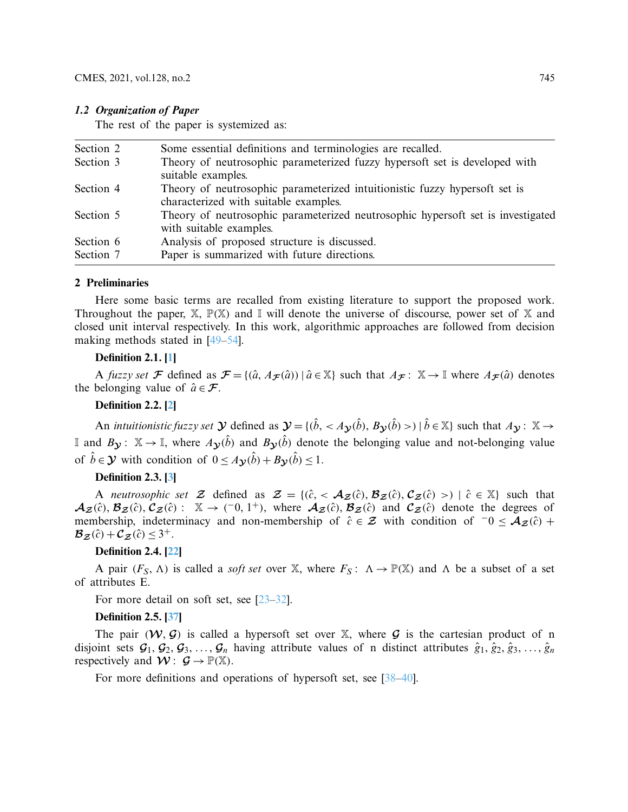### *1.2 Organization of Paper*

The rest of the paper is systemized as:

| Section 2 | Some essential definitions and terminologies are recalled.                                                          |
|-----------|---------------------------------------------------------------------------------------------------------------------|
| Section 3 | Theory of neutrosophic parameterized fuzzy hypersoft set is developed with<br>suitable examples.                    |
| Section 4 | Theory of neutrosophic parameterized intuitionistic fuzzy hypersoft set is<br>characterized with suitable examples. |
| Section 5 | Theory of neutrosophic parameterized neutrosophic hypersoft set is investigated<br>with suitable examples.          |
| Section 6 | Analysis of proposed structure is discussed.                                                                        |
| Section 7 | Paper is summarized with future directions.                                                                         |
|           |                                                                                                                     |

#### **2 Preliminaries**

Here some basic terms are recalled from existing literature to support the proposed work. Throughout the paper,  $\mathbb{X}$ ,  $\mathbb{P}(\mathbb{X})$  and I will denote the universe of discourse, power set of X and closed unit interval respectively. In this work, algorithmic approaches are followed from decision making methods stated in [\[49](#page-34-7)[–54](#page-34-8)].

### **Definition 2.1. [\[1\]](#page-32-0)**

A *fuzzy set F* defined as  $\mathcal{F} = \{(\hat{a}, A_{\mathcal{F}}(\hat{a})) | \hat{a} \in \mathbb{X}\}$  such that  $A_{\mathcal{F}}: \mathbb{X} \to \mathbb{I}$  where  $A_{\mathcal{F}}(\hat{a})$  denotes the belonging value of  $\hat{a} \in \mathcal{F}$ .

### **Definition 2.2. [\[2\]](#page-32-1)**

An *intuitionistic fuzzy set*  $\mathcal{Y}$  defined as  $\mathcal{Y} = \{(\hat{b}, \langle A_{\mathcal{Y}}(\hat{b}), B_{\mathcal{Y}}(\hat{b}) \rangle | \hat{b} \in \mathbb{X}\}\)$  such that  $A_{\mathcal{Y}}: \mathbb{X} \to \mathbb{X}$ If and  $B_y$ :  $\mathbb{X} \to \mathbb{I}$ , where  $A_y(\hat{b})$  and  $B_y(\hat{b})$  denote the belonging value and not-belonging value of  $\hat{b} \in \mathcal{Y}$  with condition of  $0 \leq A_{\mathcal{Y}}(\hat{b}) + B_{\mathcal{Y}}(\hat{b}) \leq 1$ .

# **Definition 2.3. [\[3\]](#page-32-2)**

A *neutrosophic set*  $\mathcal{Z}$  defined as  $\mathcal{Z} = \{(\hat{c}, < \mathcal{A}_{\mathcal{Z}}(\hat{c}), \mathcal{B}_{\mathcal{Z}}(\hat{c}), \mathcal{C}_{\mathcal{Z}}(\hat{c}) >) \mid \hat{c} \in \mathbb{X}\}\$  such that  $\mathcal{A}_{\mathcal{Z}}(\hat{c}), \mathcal{B}_{\mathcal{Z}}(\hat{c}), \mathcal{C}_{\mathcal{Z}}(\hat{c})$ :  $\mathbb{X} \to (-0, 1^+),$  where  $\mathcal{A}_{\mathcal{Z}}(\hat{c}), \mathcal{B}_{\mathcal{Z}}(\hat{c})$  and  $\mathcal{C}_{\mathcal{Z}}(\hat{c})$  denote the degrees of membership, indeterminacy and non-membership of  $\hat{c} \in \mathcal{Z}$  with condition of  $\hat{c} \in \mathcal{A}_{\mathcal{Z}}(\hat{c})$  +  $\mathcal{B}_{\mathcal{Z}}(\hat{c}) + \mathcal{C}_{\mathcal{Z}}(\hat{c}) \leq 3^+.$ 

### **Definition 2.4. [\[22](#page-33-3)]**

A pair  $(F_S, \Lambda)$  is called a *soft set* over X, where  $F_S: \Lambda \to \mathbb{P}(\mathbb{X})$  and  $\Lambda$  be a subset of a set of attributes E.

For more detail on soft set, see [\[23](#page-33-4)[–32\]](#page-33-10).

### **Definition 2.5. [\[37](#page-33-8)]**

The pair  $(W, \mathcal{G})$  is called a hypersoft set over  $\mathbb{X}$ , where  $\mathcal{G}$  is the cartesian product of n disjoint sets  $\mathcal{G}_1, \mathcal{G}_2, \mathcal{G}_3, \ldots, \mathcal{G}_n$  having attribute values of n distinct attributes  $\hat{g}_1, \hat{g}_2, \hat{g}_3, \ldots, \hat{g}_n$ respectively and  $W: \mathcal{G} \to \mathbb{P}(\mathbb{X})$ .

For more definitions and operations of hypersoft set, see [\[38](#page-33-9)[–40\]](#page-34-0).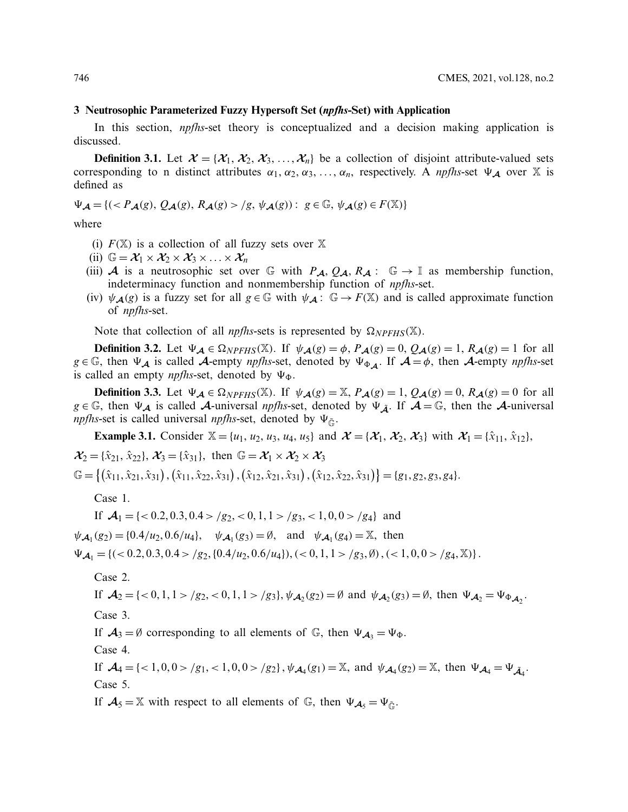### **3 Neutrosophic Parameterized Fuzzy Hypersoft Set (***npfhs***-Set) with Application**

In this section, *npfhs*-set theory is conceptualized and a decision making application is discussed.

**Definition 3.1.** Let  $\mathcal{X} = \{X_1, X_2, X_3, \ldots, X_n\}$  be a collection of disjoint attribute-valued sets corresponding to n distinct attributes  $\alpha_1, \alpha_2, \alpha_3, \ldots, \alpha_n$ , respectively. A *npfhs*-set  $\Psi_{\mathcal{A}}$  over X is defined as

 $\Psi_{\mathcal{A}} = \{ ( \langle P_{\mathcal{A}}(g), Q_{\mathcal{A}}(g), R_{\mathcal{A}}(g) \rangle | g, \psi_{\mathcal{A}}(g) ) : g \in \mathbb{G}, \psi_{\mathcal{A}}(g) \in F(\mathbb{X}) \}$ 

where

- (i)  $F(\mathbb{X})$  is a collection of all fuzzy sets over  $\mathbb{X}$
- (ii)  $\mathbb{G} = \mathcal{X}_1 \times \mathcal{X}_2 \times \mathcal{X}_3 \times \ldots \times \mathcal{X}_n$
- (iii) *A* is a neutrosophic set over G with  $P_A$ ,  $Q_A$ ,  $R_A$ : G  $\rightarrow$  I as membership function, indeterminacy function and nonmembership function of *npfhs*-set.
- (iv)  $\psi_{\mathcal{A}}(g)$  is a fuzzy set for all  $g \in \mathbb{G}$  with  $\psi_{\mathcal{A}}: \mathbb{G} \to F(\mathbb{X})$  and is called approximate function of *npfhs*-set.

Note that collection of all *npfhs*-sets is represented by  $\Omega_{NPFHS}(\mathbb{X})$ .

**Definition 3.2.** Let  $\Psi_{\mathcal{A}} \in \Omega_{NPFHS}(\mathbb{X})$ . If  $\psi_{\mathcal{A}}(g) = \phi$ ,  $P_{\mathcal{A}}(g) = 0$ ,  $Q_{\mathcal{A}}(g) = 1$ ,  $R_{\mathcal{A}}(g) = 1$  for all  $g \in \mathbb{G}$ , then  $\Psi_A$  is called *A*-empty *npfhs*-set, denoted by  $\Psi_{\Phi_A}$ . If  $A = \phi$ , then *A*-empty *npfhs*-set is called an empty *npfhs*-set, denoted by  $\Psi_{\Phi}$ .

**Definition 3.3.** Let  $\Psi_{\mathcal{A}} \in \Omega_{NPFHS}(\mathbb{X})$ . If  $\psi_{\mathcal{A}}(g) = \mathbb{X}$ ,  $P_{\mathcal{A}}(g) = 1$ ,  $Q_{\mathcal{A}}(g) = 0$ ,  $R_{\mathcal{A}}(g) = 0$  for all  $g \in \mathbb{G}$ , then  $\Psi_{\mathcal{A}}$  is called  $\mathcal{A}$ -universal *npfhs*-set, denoted by  $\Psi_{\tilde{A}}$ . If  $\mathcal{A} = \mathbb{G}$ , then the  $\mathcal{A}$ -universal *npfhs*-set is called universal *npfhs*-set, denoted by  $\Psi_{\tilde{G}}$ .

**Example 3.1.** Consider  $\mathbb{X} = \{u_1, u_2, u_3, u_4, u_5\}$  and  $\mathcal{X} = \{\mathcal{X}_1, \mathcal{X}_2, \mathcal{X}_3\}$  with  $\mathcal{X}_1 = \{\hat{x}_{11}, \hat{x}_{12}\}$ ,  $\mathcal{X}_2 = {\hat{x}}_{21}, {\hat{x}}_{22}, \mathcal{X}_3 = {\hat{x}}_{31}, \text{ then } \mathbb{G} = \mathcal{X}_1 \times \mathcal{X}_2 \times \mathcal{X}_3$  $\mathbb{G} = \{(\hat{x}_{11}, \hat{x}_{21}, \hat{x}_{31}), (\hat{x}_{11}, \hat{x}_{22}, \hat{x}_{31}), (\hat{x}_{12}, \hat{x}_{21}, \hat{x}_{31}), (\hat{x}_{12}, \hat{x}_{22}, \hat{x}_{31})\} = \{g_1, g_2, g_3, g_4\}.$ 

Case 1.

If  $\mathcal{A}_1 = \{ < 0.2, 0.3, 0.4 > /g_2, < 0, 1, 1 > /g_3, < 1, 0, 0 > /g_4 \}$  and  $\psi_{A_1}(g_2) = \{0.4/u_2, 0.6/u_4\}, \quad \psi_{A_1}(g_3) = \emptyset, \text{ and } \psi_{A_1}(g_4) = \mathbb{X}, \text{ then}$  $\Psi_{\mathcal{A}_1} = \{(<0.2, 0.3, 0.4 > /g_2, \{0.4/u_2, 0.6/u_4\}), (<0, 1, 1 > /g_3, \emptyset), (<1, 0, 0 > /g_4, \mathbb{X})\}.$ 

Case 2.

If 
$$
\mathcal{A}_2 = \{ <0, 1, 1 > /g_2, <0, 1, 1 > /g_3 \}
$$
,  $\psi_{\mathcal{A}_2}(g_2) = \emptyset$  and  $\psi_{\mathcal{A}_2}(g_3) = \emptyset$ , then  $\Psi_{\mathcal{A}_2} = \Psi_{\Phi_{\mathcal{A}_2}}$ .

Case 3.

If  $A_3 = \emptyset$  corresponding to all elements of  $\mathbb{G}$ , then  $\Psi_{A_3} = \Psi_{\Phi}$ .

Case 4.

If  $\mathcal{A}_4 = \{ \langle 1, 0, 0 \rangle / g_1, \langle 1, 0, 0 \rangle / g_2 \}, \psi_{\mathcal{A}_4}(g_1) = \mathbb{X}$ , and  $\psi_{\mathcal{A}_4}(g_2) = \mathbb{X}$ , then  $\Psi_{\mathcal{A}_4} = \Psi_{\mathcal{A}_4}$ . Case 5.

If  $A_5 = \mathbb{X}$  with respect to all elements of  $\mathbb{G}$ , then  $\Psi_{A_5} = \Psi_{\tilde{\mathbb{G}}}$ .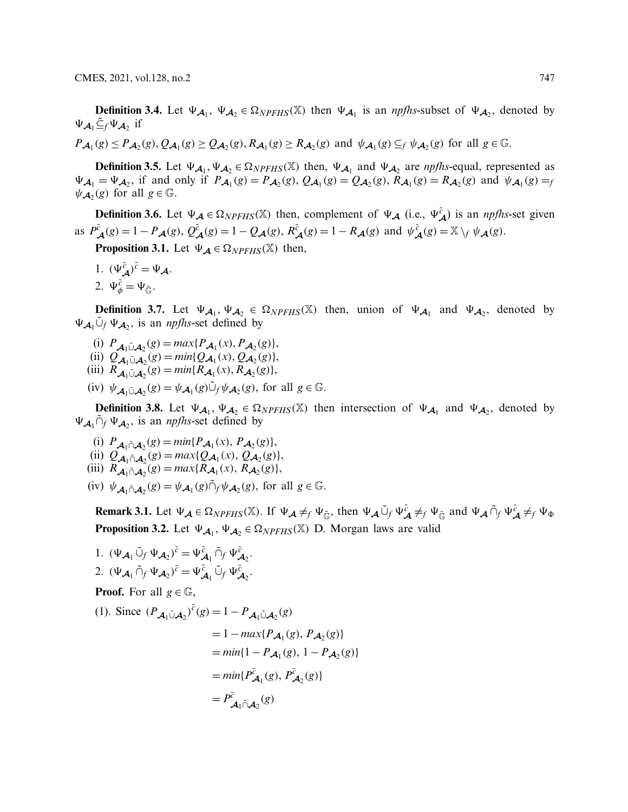**Definition 3.4.** Let  $\Psi_{A_1}$ ,  $\Psi_{A_2} \in \Omega_{NPFHS}(\mathbb{X})$  then  $\Psi_{A_1}$  is an *npfhs*-subset of  $\Psi_{A_2}$ , denoted by  $\Psi_{\mathcal{A}_1} \tilde{\subseteq}_f \Psi_{\mathcal{A}_2}$  if

 $P_{\mathcal{A}_1}(g) \leq P_{\mathcal{A}_2}(g), Q_{\mathcal{A}_1}(g) \geq Q_{\mathcal{A}_2}(g), R_{\mathcal{A}_1}(g) \geq R_{\mathcal{A}_2}(g)$  and  $\psi_{\mathcal{A}_1}(g) \subseteq_f \psi_{\mathcal{A}_2}(g)$  for all  $g \in \mathbb{G}$ .

**Definition 3.5.** Let  $\Psi_{A_1}, \Psi_{A_2} \in \Omega_{NPFHS}(\mathbb{X})$  then,  $\Psi_{A_1}$  and  $\Psi_{A_2}$  are *npfhs*-equal, represented as  $\Psi_{\mathcal{A}_1} = \Psi_{\mathcal{A}_2}$ , if and only if  $P_{\mathcal{A}_1}(g) = P_{\mathcal{A}_2}(g)$ ,  $Q_{\mathcal{A}_1}(g) = Q_{\mathcal{A}_2}(g)$ ,  $R_{\mathcal{A}_1}(g) = R_{\mathcal{A}_2}(g)$  and  $\psi_{\mathcal{A}_1}(g) = f$  $\psi_{\mathcal{A}_2}(g)$  for all  $g \in \mathbb{G}$ .

**Definition 3.6.** Let  $\Psi_{\mathcal{A}} \in \Omega_{NPFHS}(\mathbb{X})$  then, complement of  $\Psi_{\mathcal{A}}$  (i.e.,  $\Psi_{\mathcal{A}}^{\tilde{c}}$ ) is an *npfhs*-set given as  $P_{\mathcal{A}}^{\tilde{c}}(g) = 1 - P_{\mathcal{A}}(g), Q_{\mathcal{A}}^{\tilde{c}}(g) = 1 - Q_{\mathcal{A}}(g), R_{\mathcal{A}}^{\tilde{c}}(g) = 1 - R_{\mathcal{A}}(g)$  and  $\psi_{\mathcal{A}}^{\tilde{c}}(g) = \mathbb{X} \setminus_{f} \psi_{\mathcal{A}}(g)$ .

**Proposition 3.1.** Let  $\Psi_{\mathcal{A}} \in \Omega_{NPFHS}(\mathbb{X})$  then,

1.  $(\Psi_{\mathcal{A}}^{\tilde{c}})^{\tilde{c}} = \Psi_{\mathcal{A}}.$ 2.  $\Psi_{\phi}^{\tilde{c}} = \Psi_{\tilde{\mathbb{G}}}.$ 

**Definition 3.7.** Let  $\Psi_{\mathcal{A}_1}$ ,  $\Psi_{\mathcal{A}_2} \in \Omega_{NPFHS}(\mathbb{X})$  then, union of  $\Psi_{\mathcal{A}_1}$  and  $\Psi_{\mathcal{A}_2}$ , denoted by  $\Psi_{A_1} \tilde{\cup}_f \Psi_{A_2}$ , is an *npfhs*-set defined by

- $\hat{P}_{\mathcal{A}_1 \cup \mathcal{A}_2}(g) = max\{P_{\mathcal{A}_1}(x), P_{\mathcal{A}_2}(g)\},$
- $Q_{\mathcal{A}_1 \cup \mathcal{A}_2}(g) = min\{Q_{\mathcal{A}_1}(x), Q_{\mathcal{A}_2}(g)\},$
- (iii)  $R_{\mathcal{A}_1 \cup \mathcal{A}_2}(g) = \min\{R_{\mathcal{A}_1}(x), R_{\mathcal{A}_2}(g)\},$
- (iv)  $\psi_{\mathcal{A}_1 \tilde{\cup} \mathcal{A}_2}(g) = \psi_{\mathcal{A}_1}(g) \tilde{\cup}_f \psi_{\mathcal{A}_2}(g)$ , for all  $g \in \mathbb{G}$ .

**Definition 3.8.** Let  $\Psi_{\mathcal{A}_1}$ ,  $\Psi_{\mathcal{A}_2} \in \Omega_{NPFHS}(\mathbb{X})$  then intersection of  $\Psi_{\mathcal{A}_1}$  and  $\Psi_{\mathcal{A}_2}$ , denoted by  $\Psi_{\mathcal{A}_1} \tilde{\cap}_f \Psi_{\mathcal{A}_2}$ , is an *npfhs*-set defined by

- (i)  $P_{\mathcal{A}_1 \cap \mathcal{A}_2}(g) = \min\{P_{\mathcal{A}_1}(x), P_{\mathcal{A}_2}(g)\},$ (ii)  $Q_{\mathcal{A}_1 \cap \mathcal{A}_2}(g) = max\{Q_{\mathcal{A}_1}(x), Q_{\mathcal{A}_2}(g)\},$ (iii)  $R_{\mathcal{A}_1 \cap \mathcal{A}_2}(g) = max\{R_{\mathcal{A}_1}(x), R_{\mathcal{A}_2}(g)\},$
- (iv)  $\psi_{\mathcal{A}_1 \cap \mathcal{A}_2}(g) = \psi_{\mathcal{A}_1}(g) \tilde{\cap}_f \psi_{\mathcal{A}_2}(g)$ , for all  $g \in \mathbb{G}$ .

**Remark 3.1.** Let  $\Psi_{\mathcal{A}} \in \Omega_{NPFHS}(\mathbb{X})$ . If  $\Psi_{\mathcal{A}} \neq_f \Psi_{\tilde{\mathbb{G}}}$ , then  $\Psi_{\mathcal{A}} \tilde{\cup}_f \Psi_{\mathcal{A}}^{\tilde{c}} \neq_f \Psi_{\tilde{\mathbb{G}}}$  and  $\Psi_{\mathcal{A}} \tilde{\cap}_f \Psi_{\mathcal{A}}^{\tilde{c}} \neq_f \Psi_{\Phi}$ **Proposition 3.2.** Let  $\Psi_{\mathcal{A}_1}$ ,  $\Psi_{\mathcal{A}_2} \in \Omega_{NPFHS}(\mathbb{X})$  D. Morgan laws are valid

1.  $(\Psi_{\mathcal{A}_1} \tilde{\cup}_f \Psi_{\mathcal{A}_2})^{\tilde{c}} = \Psi_{\mathcal{A}_1}^{\tilde{c}} \tilde{\cap}_f \Psi_{\mathcal{A}_2}^{\tilde{c}}.$ 2.  $(\Psi_{\mathcal{A}_1} \tilde{\cap}_f \Psi_{\mathcal{A}_2})^{\tilde{c}} = \Psi_{\mathcal{A}_1}^{\tilde{c}} \tilde{\cup}_f \Psi_{\mathcal{A}_2}^{\tilde{c}}.$ **Proof.** For all  $g \in \mathbb{G}$ , (1). Since  $(P_{\mathcal{A}_1 \cup \mathcal{A}_2})^{\tilde{c}}(g) = 1 - P_{\mathcal{A}_1 \cup \mathcal{A}_2}(g)$  $= 1 - max\{P_{\mathcal{A}_{1}}(g), P_{\mathcal{A}_{2}}(g)\}$  $= min\{1 - P_{\mathcal{A}_1}(g), 1 - P_{\mathcal{A}_2}(g)\}$  $= min\{P_{\mathcal{A}_1}^{\tilde{c}}(g), P_{\mathcal{A}_2}^{\tilde{c}}(g)\}$  $= P^{\tilde{c}}_{\mathcal{A}_1 \cap \mathcal{A}_2}(g)$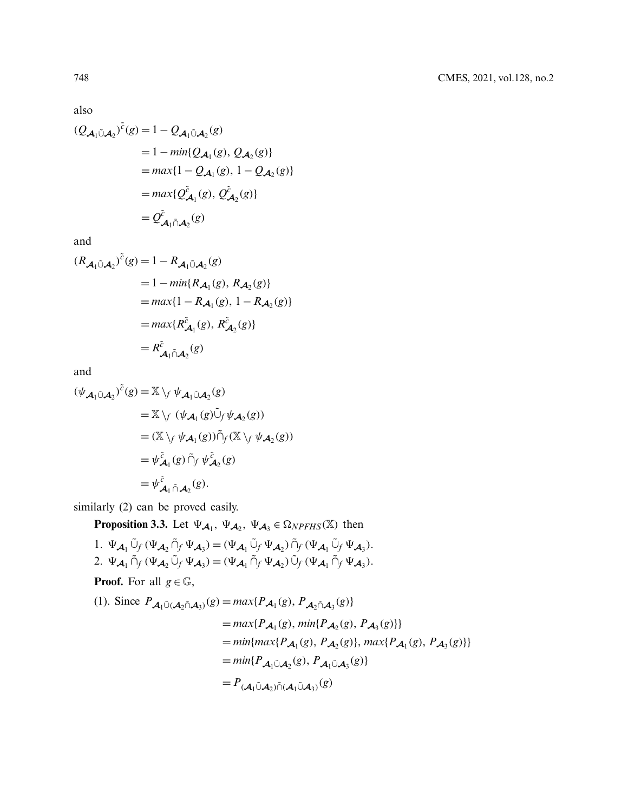also

$$
(Q_{\mathcal{A}_1 \tilde{\cup} \mathcal{A}_2})^{\tilde{c}}(g) = 1 - Q_{\mathcal{A}_1 \tilde{\cup} \mathcal{A}_2}(g)
$$
  
\n
$$
= 1 - \min\{Q_{\mathcal{A}_1}(g), Q_{\mathcal{A}_2}(g)\}
$$
  
\n
$$
= \max\{1 - Q_{\mathcal{A}_1}(g), 1 - Q_{\mathcal{A}_2}(g)\}
$$
  
\n
$$
= \max\{Q_{\mathcal{A}_1}^{\tilde{c}}(g), Q_{\mathcal{A}_2}^{\tilde{c}}(g)\}
$$
  
\n
$$
= Q_{\mathcal{A}_1 \tilde{\cap} \mathcal{A}_2}^{\tilde{c}}(g)
$$

and

 $\sim$ 

$$
(R_{\mathcal{A}_1 \tilde{\cup} \mathcal{A}_2})^c(g) = 1 - R_{\mathcal{A}_1 \tilde{\cup} \mathcal{A}_2}(g)
$$
  
= 1 - min{ $R_{\mathcal{A}_1}(g)$ ,  $R_{\mathcal{A}_2}(g)$ }  
= max{1 -  $R_{\mathcal{A}_1}(g)$ , 1 -  $R_{\mathcal{A}_2}(g)$ }  
= max{ $R_{\mathcal{A}_1}^{\tilde{c}}(g)$ ,  $R_{\mathcal{A}_2}^{\tilde{c}}(g)$ }  
=  $R_{\mathcal{A}_1 \tilde{\cap} \mathcal{A}_2}^{\tilde{c}}(g)$ 

and

$$
(\psi_{\mathcal{A}_1 \tilde{\cup} \mathcal{A}_2})^{\tilde{c}}(g) = \mathbb{X} \setminus f \psi_{\mathcal{A}_1 \tilde{\cup} \mathcal{A}_2}(g)
$$
  
\n
$$
= \mathbb{X} \setminus f (\psi_{\mathcal{A}_1}(g) \tilde{\cup}_f \psi_{\mathcal{A}_2}(g))
$$
  
\n
$$
= (\mathbb{X} \setminus f \psi_{\mathcal{A}_1}(g)) \tilde{\cap}_f (\mathbb{X} \setminus f \psi_{\mathcal{A}_2}(g))
$$
  
\n
$$
= \psi_{\mathcal{A}_1}^{\tilde{c}}(g) \tilde{\cap}_f \psi_{\mathcal{A}_2}^{\tilde{c}}(g)
$$
  
\n
$$
= \psi_{\mathcal{A}_1}^{\tilde{c}} \tilde{\cap}_{\mathcal{A}_2}(g).
$$

similarly (2) can be proved easily.

**Proposition 3.3.** Let  $\Psi_{\mathcal{A}_1}$ ,  $\Psi_{\mathcal{A}_2}$ ,  $\Psi_{\mathcal{A}_3} \in \Omega_{NPFHS}(\mathbb{X})$  then

1. 
$$
\Psi_{\mathcal{A}_1} \tilde{\cup}_f (\Psi_{\mathcal{A}_2} \tilde{\cap}_f \Psi_{\mathcal{A}_3}) = (\Psi_{\mathcal{A}_1} \tilde{\cup}_f \Psi_{\mathcal{A}_2}) \tilde{\cap}_f (\Psi_{\mathcal{A}_1} \tilde{\cup}_f \Psi_{\mathcal{A}_3}).
$$
  
2.  $\Psi_{\mathcal{A}_1} \tilde{\cap}_f (\Psi_{\mathcal{A}_2} \tilde{\cup}_f \Psi_{\mathcal{A}_3}) = (\Psi_{\mathcal{A}_1} \tilde{\cap}_f \Psi_{\mathcal{A}_2}) \tilde{\cup}_f (\Psi_{\mathcal{A}_1} \tilde{\cap}_f \Psi_{\mathcal{A}_3}).$ 

**Proof.** For all  $g \in \mathbb{G}$ ,

(1). Since 
$$
P_{\mathcal{A}_1 \tilde{\cup}(\mathcal{A}_2 \tilde{\cap} \mathcal{A}_3)}(g) = max\{P_{\mathcal{A}_1}(g), P_{\mathcal{A}_2 \tilde{\cap} \mathcal{A}_3}(g)\}
$$
  
\n
$$
= max\{P_{\mathcal{A}_1}(g), min\{P_{\mathcal{A}_2}(g), P_{\mathcal{A}_3}(g)\}\}
$$
\n
$$
= min\{max\{P_{\mathcal{A}_1}(g), P_{\mathcal{A}_2}(g)\}, max\{P_{\mathcal{A}_1}(g), P_{\mathcal{A}_3}(g)\}\}
$$
\n
$$
= min\{P_{\mathcal{A}_1 \tilde{\cup} \mathcal{A}_2}(g), P_{\mathcal{A}_1 \tilde{\cup} \mathcal{A}_3}(g)\}
$$
\n
$$
= P_{(\mathcal{A}_1 \tilde{\cup} \mathcal{A}_2) \tilde{\cap} (\mathcal{A}_1 \tilde{\cup} \mathcal{A}_3)}(g)
$$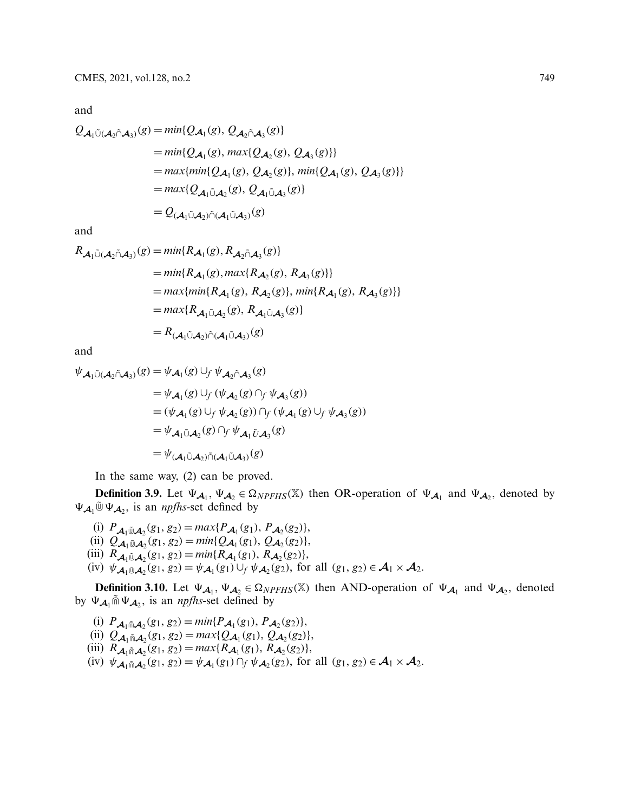and

$$
Q_{\mathcal{A}_1\tilde{\cup}(\mathcal{A}_2\tilde{\cap}\mathcal{A}_3)}(g) = min\{Q_{\mathcal{A}_1}(g), Q_{\mathcal{A}_2\tilde{\cap}\mathcal{A}_3}(g)\}
$$
  
\n
$$
= min\{Q_{\mathcal{A}_1}(g), max\{Q_{\mathcal{A}_2}(g), Q_{\mathcal{A}_3}(g)\}\}
$$
  
\n
$$
= max\{min\{Q_{\mathcal{A}_1}(g), Q_{\mathcal{A}_2}(g)\}, min\{Q_{\mathcal{A}_1}(g), Q_{\mathcal{A}_3}(g)\}\}
$$
  
\n
$$
= max\{Q_{\mathcal{A}_1\tilde{\cup}\mathcal{A}_2}(g), Q_{\mathcal{A}_1\tilde{\cup}\mathcal{A}_3}(g)\}
$$
  
\n
$$
= Q_{(\mathcal{A}_1\tilde{\cup}\mathcal{A}_2)\tilde{\cap}(\mathcal{A}_1\tilde{\cup}\mathcal{A}_3)}(g)
$$

and

$$
R_{\mathcal{A}_1 \tilde{\cup}(\mathcal{A}_2 \tilde{\cap} \mathcal{A}_3)}(g) = min\{R_{\mathcal{A}_1}(g), R_{\mathcal{A}_2 \tilde{\cap} \mathcal{A}_3}(g)\}
$$
  
\n
$$
= min\{R_{\mathcal{A}_1}(g), max\{R_{\mathcal{A}_2}(g), R_{\mathcal{A}_3}(g)\}\}
$$
  
\n
$$
= max\{min\{R_{\mathcal{A}_1}(g), R_{\mathcal{A}_2}(g)\}, min\{R_{\mathcal{A}_1}(g), R_{\mathcal{A}_3}(g)\}\}
$$
  
\n
$$
= max\{R_{\mathcal{A}_1 \tilde{\cup} \mathcal{A}_2}(g), R_{\mathcal{A}_1 \tilde{\cup} \mathcal{A}_3}(g)\}
$$
  
\n
$$
= R_{(\mathcal{A}_1 \tilde{\cup} \mathcal{A}_2) \tilde{\cap} (\mathcal{A}_1 \tilde{\cup} \mathcal{A}_3)}(g)
$$

and

$$
\psi_{\mathcal{A}_1 \tilde{\cup} (\mathcal{A}_2 \tilde{\cap} \mathcal{A}_3)}(g) = \psi_{\mathcal{A}_1}(g) \cup_f \psi_{\mathcal{A}_2 \tilde{\cap} \mathcal{A}_3}(g)
$$
  
\n
$$
= \psi_{\mathcal{A}_1}(g) \cup_f (\psi_{\mathcal{A}_2}(g) \cap_f \psi_{\mathcal{A}_3}(g))
$$
  
\n
$$
= (\psi_{\mathcal{A}_1}(g) \cup_f \psi_{\mathcal{A}_2}(g)) \cap_f (\psi_{\mathcal{A}_1}(g) \cup_f \psi_{\mathcal{A}_3}(g))
$$
  
\n
$$
= \psi_{\mathcal{A}_1 \tilde{\cup} \mathcal{A}_2}(g) \cap_f \psi_{\mathcal{A}_1 \tilde{U} \mathcal{A}_3}(g)
$$
  
\n
$$
= \psi_{(\mathcal{A}_1 \tilde{\cup} \mathcal{A}_2) \tilde{\cap} (\mathcal{A}_1 \tilde{\cup} \mathcal{A}_3)}(g)
$$

In the same way, (2) can be proved.

**Definition 3.9.** Let  $\Psi_{A_1}, \Psi_{A_2} \in \Omega_{NPFHS}(\mathbb{X})$  then OR-operation of  $\Psi_{A_1}$  and  $\Psi_{A_2}$ , denoted by  $\Psi_{\mathcal{A}_1}$ <sup> $\tilde{\mathbb{U}}$ </sup>  $\Psi_{\mathcal{A}_2}$ , is an *npfhs*-set defined by

- (i)  $P_{\mathcal{A}_1 \oplus \mathcal{A}_2}(g_1, g_2) = max\{P_{\mathcal{A}_1}(g_1), P_{\mathcal{A}_2}(g_2)\},$
- (ii)  $Q_{\mathcal{A}_1}(\mathfrak{g}_1, g_2) = \min\{Q_{\mathcal{A}_1}(g_1), Q_{\mathcal{A}_2}(g_2)\},$
- (iii)  $R_{\mathcal{A}_1 \oplus \mathcal{A}_2}(g_1, g_2) = \min\{R_{\mathcal{A}_1}(g_1), R_{\mathcal{A}_2}(g_2)\},$
- $(\text{iv})$   $\psi_{\mathcal{A}_1}(\mathcal{A}_2(g_1, g_2)) = \psi_{\mathcal{A}_1}(g_1) \cup_f \psi_{\mathcal{A}_2}(g_2)$ , for all  $(g_1, g_2) \in \mathcal{A}_1 \times \mathcal{A}_2$ .

**Definition 3.10.** Let  $\Psi_{\mathcal{A}_1}$ ,  $\Psi_{\mathcal{A}_2} \in \Omega_{NPFHS}(\mathbb{X})$  then AND-operation of  $\Psi_{\mathcal{A}_1}$  and  $\Psi_{\mathcal{A}_2}$ , denoted by  $\Psi_{\mathcal{A}_1}$   $\tilde{m} \Psi_{\mathcal{A}_2}$ , is an *npfhs*-set defined by

(i)  $P_{\mathcal{A}_1 \cap \mathcal{A}_2}(g_1, g_2) = \min\{P_{\mathcal{A}_1}(g_1), P_{\mathcal{A}_2}(g_2)\},$ (ii)  $Q_{\mathcal{A}_1 \cap \mathcal{A}_2}(g_1, g_2) = max\{Q_{\mathcal{A}_1}(g_1), Q_{\mathcal{A}_2}(g_2)\},$ (iii)  $R_{\mathcal{A}_1 \cap \mathcal{A}_2}(g_1, g_2) = max\{R_{\mathcal{A}_1}(g_1), R_{\mathcal{A}_2}(g_2)\},$ (iv)  $\psi_{\mathcal{A}_1 \cap \mathcal{A}_2}(g_1, g_2) = \psi_{\mathcal{A}_1}(g_1) \cap_f \psi_{\mathcal{A}_2}(g_2)$ , for all  $(g_1, g_2) \in \mathcal{A}_1 \times \mathcal{A}_2$ .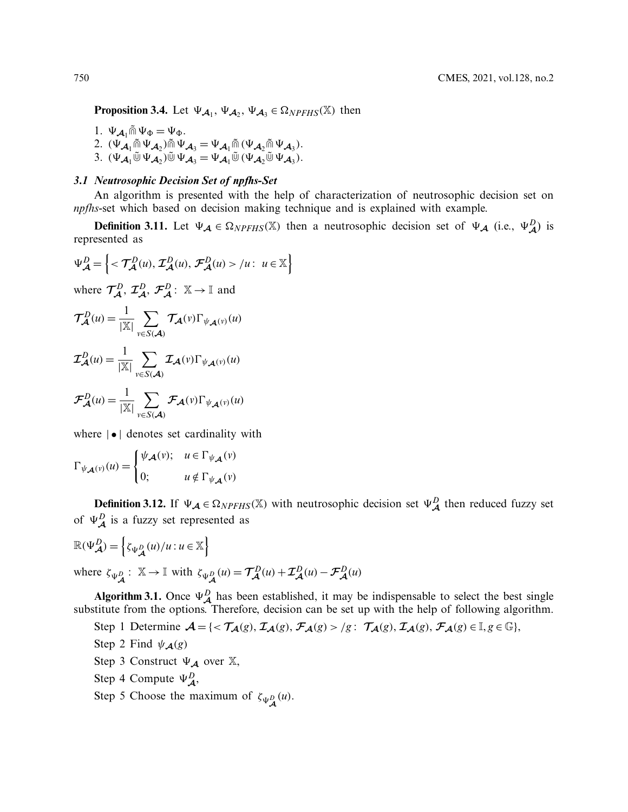**Proposition 3.4.** Let  $\Psi_{\mathcal{A}_1}$ ,  $\Psi_{\mathcal{A}_2}$ ,  $\Psi_{\mathcal{A}_3} \in \Omega_{NPFHS}(\mathbb{X})$  then

1.  $\Psi_{\mathcal{A}_1} \tilde{\mathbb{m}} \Psi_{\Phi} = \Psi_{\Phi}$ . 2.  $(\Psi_{\mathcal{A}_1} \tilde{\mathbb{Q}} \Psi_{\mathcal{A}_2}) \tilde{\mathbb{Q}} \Psi_{\mathcal{A}_3} = \Psi_{\mathcal{A}_1} \tilde{\mathbb{Q}} \left( \Psi_{\mathcal{A}_2} \tilde{\mathbb{Q}} \Psi_{\mathcal{A}_3} \right).$ 3.  $(\Psi_{\mathcal{A}_1} \tilde{\mathbb{U}} \Psi_{\mathcal{A}_2}) \tilde{\mathbb{U}} \Psi_{\mathcal{A}_3} = \Psi_{\mathcal{A}_1} \tilde{\mathbb{U}} (\Psi_{\mathcal{A}_2} \tilde{\mathbb{U}} \Psi_{\mathcal{A}_3}).$ 

# *3.1 Neutrosophic Decision Set of npfhs-Set*

An algorithm is presented with the help of characterization of neutrosophic decision set on *npfhs*-set which based on decision making technique and is explained with example.

**Definition 3.11.** Let  $\Psi_{\mathcal{A}} \in \Omega_{NPFHS}(\mathbb{X})$  then a neutrosophic decision set of  $\Psi_{\mathcal{A}}$  (i.e.,  $\Psi_{\mathcal{A}}^D$ ) is represented as

$$
\Psi_{\mathcal{A}}^{D} = \left\{ \langle \mathcal{T}_{\mathcal{A}}^{D}(u), \mathcal{I}_{\mathcal{A}}^{D}(u), \mathcal{F}_{\mathcal{A}}^{D}(u) \rangle / u : u \in \mathbb{X} \right\}
$$
  
where  $\mathcal{T}_{\mathcal{A}}^{D}, \mathcal{I}_{\mathcal{A}}^{D}, \mathcal{F}_{\mathcal{A}}^{D} : \mathbb{X} \to \mathbb{I}$  and  

$$
\mathcal{T}_{\mathcal{A}}^{D}(u) = \frac{1}{|\mathbb{X}|} \sum_{v \in S(\mathcal{A})} \mathcal{T}_{\mathcal{A}}(v) \Gamma_{\psi_{\mathcal{A}}(v)}(u)
$$

$$
\mathcal{I}_{\mathcal{A}}^{D}(u) = \frac{1}{|\mathbb{X}|} \sum_{v \in S(\mathcal{A})} \mathcal{T}_{\mathcal{A}}(v) \Gamma_{\psi_{\mathcal{A}}(v)}(u)
$$

$$
\mathcal{F}_{\mathcal{A}}^{D}(u) = \frac{1}{|\mathbb{X}|} \sum_{v \in S(\mathcal{A})} \mathcal{F}_{\mathcal{A}}(v) \Gamma_{\psi_{\mathcal{A}}(v)}(u)
$$

where  $|\bullet|$  denotes set cardinality with

$$
\Gamma_{\psi_{\mathcal{A}}(v)}(u) = \begin{cases} \psi_{\mathcal{A}}(v); & u \in \Gamma_{\psi_{\mathcal{A}}}(v) \\ 0; & u \notin \Gamma_{\psi_{\mathcal{A}}}(v) \end{cases}
$$

**Definition 3.12.** If  $\Psi_{\mathcal{A}} \in \Omega_{NPFHS}(\mathbb{X})$  with neutrosophic decision set  $\Psi_{\mathcal{A}}^D$  then reduced fuzzy set of  $\Psi_{\mathcal{A}}^D$  is a fuzzy set represented as

$$
\mathbb{R}(\Psi_{\mathcal{A}}^{D}) = \left\{ \zeta_{\Psi_{\mathcal{A}}^{D}}(u)/u : u \in \mathbb{X} \right\}
$$
  
where  $\zeta_{\Psi_{\mathcal{A}}^{D}} : \mathbb{X} \to \mathbb{I}$  with  $\zeta_{\Psi_{\mathcal{A}}^{D}}(u) = \mathcal{T}_{\mathcal{A}}^{D}(u) + \mathcal{T}_{\mathcal{A}}^{D}(u) - \mathcal{F}_{\mathcal{A}}^{D}(u)$ 

**Algorithm 3.1.** Once  $\Psi_{\mathcal{A}}^D$  has been established, it may be indispensable to select the best single substitute from the options. Therefore, decision can be set up with the help of following algorithm.

Step 1 Determine  $\mathcal{A} = \{ \langle \mathcal{T}_{\mathcal{A}}(g), \mathcal{T}_{\mathcal{A}}(g), \mathcal{F}_{\mathcal{A}}(g) \rangle | g : \mathcal{T}_{\mathcal{A}}(g), \mathcal{T}_{\mathcal{A}}(g), \mathcal{F}_{\mathcal{A}}(g) \in \mathbb{I}, g \in \mathbb{G} \},$ 

- Step 2 Find  $\psi_{\mathcal{A}}(g)$
- Step 3 Construct  $\Psi_{\mathcal{A}}$  over  $\mathbb{X}$ ,
- Step 4 Compute  $\Psi_{\mathcal{A}}^D$ ,
- Step 5 Choose the maximum of  $\zeta_{\Psi_{\mathcal{A}}^{D}}(u)$ .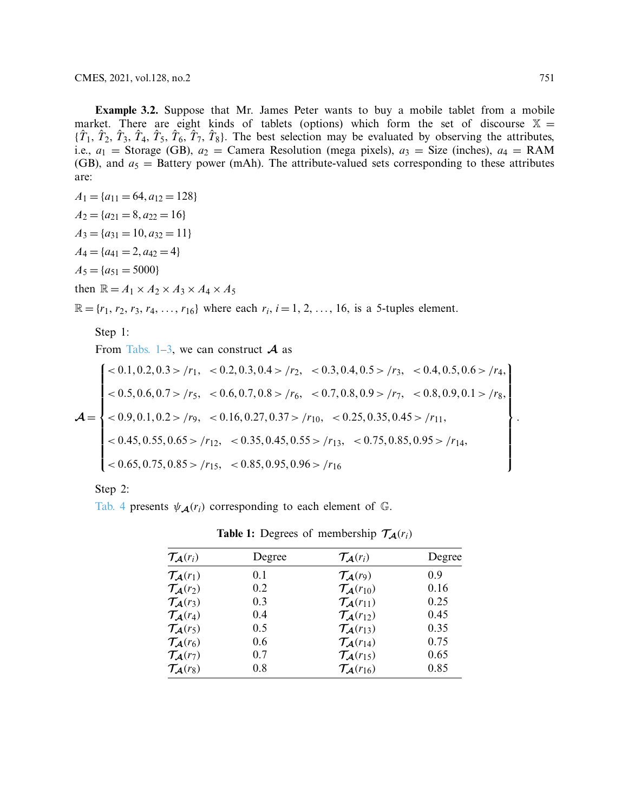**Example 3.2.** Suppose that Mr. James Peter wants to buy a mobile tablet from a mobile market. There are eight kinds of tablets (options) which form the set of discourse  $X =$  ${\{\hat{T}_1, \hat{T}_2, \hat{T}_3, \hat{T}_4, \hat{T}_5, \hat{T}_6, \hat{T}_7, \hat{T}_8\}}$ . The best selection may be evaluated by observing the attributes, i.e.,  $a_1$  = Storage (GB),  $a_2$  = Camera Resolution (mega pixels),  $a_3$  = Size (inches),  $a_4$  = RAM (GB), and  $a_5$  = Battery power (mAh). The attribute-valued sets corresponding to these attributes are:

 $A_1 = \{a_{11} = 64, a_{12} = 128\}$  $A_2 = \{a_{21} = 8, a_{22} = 16\}$  $A_3 = \{a_{31} = 10, a_{32} = 11\}$  $A_4 = \{a_{41} = 2, a_{42} = 4\}$  $A_5 = \{a_{51} = 5000\}$ then  $\mathbb{R} = A_1 \times A_2 \times A_3 \times A_4 \times A_5$ 

 $\mathbb{R} = \{r_1, r_2, r_3, r_4, \ldots, r_{16}\}$  where each  $r_i$ ,  $i = 1, 2, \ldots, 16$ , is a 5-tuples element.

Step 1:

From [Tabs. 1](#page-8-0)[–3,](#page-9-0) we can construct  $A$  as

$$
\mathcal{A} = \begin{cases}\n< 0.1, 0.2, 0.3 > /r_1, < 0.2, 0.3, 0.4 > /r_2, < 0.3, 0.4, 0.5 > /r_3, < 0.4, 0.5, 0.6 > /r_4, \\
< 0.5, 0.6, 0.7 > /r_5, < 0.6, 0.7, 0.8 > /r_6, < 0.7, 0.8, 0.9 > /r_7, < 0.8, 0.9, 0.1 > /r_8, \\
< 0.9, 0.1, 0.2 > /r_9, < 0.16, 0.27, 0.37 > /r_{10}, < 0.25, 0.35, 0.45 > /r_{11}, \\
< 0.45, 0.55, 0.65 > /r_{12}, < 0.35, 0.45, 0.55 > /r_{13}, < 0.75, 0.85, 0.95 > /r_{14}, \\
< 0.65, 0.75, 0.85 > /r_{15}, < 0.85, 0.95, 0.96 > /r_{16}\n\end{cases}
$$

Step 2:

[Tab. 4](#page-9-1) presents  $\psi_{\mathcal{A}}(r_i)$  corresponding to each element of  $\mathbb{G}$ .

| $\mathcal{T}_{\mathcal{A}}(r_i)$   | Degree | $\mathcal{T}_{\mathcal{A}}(r_i)$    | Degree |
|------------------------------------|--------|-------------------------------------|--------|
| $\mathcal{T}_{\mathcal{A}}(r_1)$   | 0.1    | $\mathcal{T}_{\mathcal{A}}(r_9)$    | 0.9    |
| $\mathcal{T}_{\mathcal{A}}(r_2)$   | 0.2    | $\mathcal{T}_{\mathcal{A}}(r_{10})$ | 0.16   |
| $\mathcal{T}_{\mathcal{A}}(r_3)$   | 0.3    | $\mathcal{T}_{\mathcal{A}}(r_{11})$ | 0.25   |
| $\mathcal{T}_{\mathcal{A}}(r_4)$   | 0.4    | $\mathcal{T}_{\mathcal{A}}(r_{12})$ | 0.45   |
| $\mathcal{T}_{\mathcal{A}}(r_5)$   | 0.5    | $\mathcal{T}_{\mathcal{A}}(r_{13})$ | 0.35   |
| $\mathcal{T}_{\mathcal{A}}(r_6)$   | 0.6    | $\mathcal{T}_{\mathcal{A}}(r_{14})$ | 0.75   |
| $\mathcal{T}_{\mathcal{A}}(r_{7})$ | 0.7    | $\mathcal{T}_{\mathcal{A}}(r_{15})$ | 0.65   |
| $\mathcal{T}_{\mathcal{A}}(r_8)$   | 0.8    | $\mathcal{T}_{\mathcal{A}}(r_{16})$ | 0.85   |

<span id="page-8-0"></span>**Table 1:** Degrees of membership  $\mathcal{T}_{\mathcal{A}}(r_i)$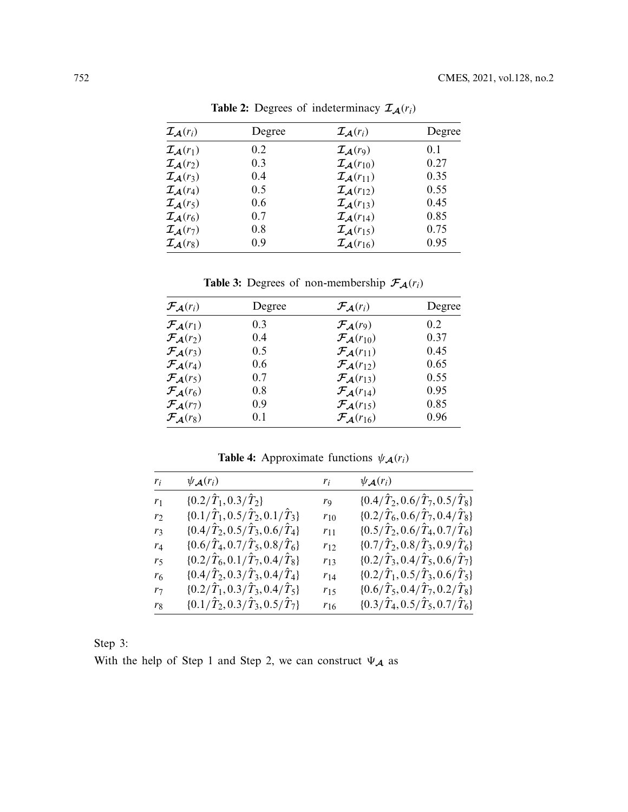| $I_A(r_i)$                       | Degree | $I_A(r_i)$                          | Degree |
|----------------------------------|--------|-------------------------------------|--------|
| $\mathcal{I}_{\mathcal{A}}(r_1)$ | 0.2    | $I_A(r_9)$                          | 0.1    |
| $I_A(r_2)$                       | 0.3    | $I_A(r_{10})$                       | 0.27   |
| $\mathcal{I}_{\mathcal{A}}(r_3)$ | 0.4    | $\mathcal{I}_{\mathcal{A}}(r_{11})$ | 0.35   |
| $\mathcal{I}_{\mathcal{A}}(r_4)$ | 0.5    | $\mathcal{I}_{\mathcal{A}}(r_{12})$ | 0.55   |
| $\mathcal{I}_{\mathcal{A}}(r_5)$ | 0.6    | $\mathcal{I}_{\mathcal{A}}(r_{13})$ | 0.45   |
| $I_A(r_6)$                       | 0.7    | $\mathcal{I}_{\mathcal{A}}(r_{14})$ | 0.85   |
| $I_A(r_7)$                       | 0.8    | $\mathcal{I}_{\mathcal{A}}(r_{15})$ | 0.75   |
| $\mathcal{I}_{\mathcal{A}}(r_8)$ | 0.9    | $\mathcal{I}_{\mathcal{A}}(r_{16})$ | 0.95   |

**Table 2:** Degrees of indeterminacy  $\mathcal{I}_{\mathcal{A}}(r_i)$ 

<span id="page-9-0"></span>**Table 3:** Degrees of non-membership  $\mathcal{F}_{\mathcal{A}}(r_i)$ 

| $\mathcal{F}_{\mathcal{A}}(r_i)$   | Degree | $\mathcal{F}_{\mathcal{A}}(r_i)$    | Degree |
|------------------------------------|--------|-------------------------------------|--------|
| $\mathcal{F}_{\mathcal{A}}(r_1)$   | 0.3    | $\mathcal{F}_{\mathcal{A}}(r_9)$    | 0.2    |
| $\mathcal{F}_{\mathcal{A}}(r_2)$   | 0.4    | $\mathcal{F}_{\mathcal{A}}(r_{10})$ | 0.37   |
| $\mathcal{F}_{\mathcal{A}}(r_3)$   | 0.5    | $\mathcal{F}_{\mathcal{A}}(r_{11})$ | 0.45   |
| $\mathcal{F}_{\mathcal{A}}(r_4)$   | 0.6    | $\mathcal{F}_{\mathcal{A}}(r_{12})$ | 0.65   |
| $\mathcal{F}_{\mathcal{A}}(r_5)$   | 0.7    | $\mathcal{F}_{\mathcal{A}}(r_{13})$ | 0.55   |
| $\mathcal{F}_{\mathcal{A}}(r_6)$   | 0.8    | $\mathcal{F}_{\mathcal{A}}(r_{14})$ | 0.95   |
| $\mathcal{F}_{\mathcal{A}}(r_{7})$ | 0.9    | $\mathcal{F}_{\mathcal{A}}(r_{15})$ | 0.85   |
| $\mathcal{F}_{\mathcal{A}}(r_8)$   | 0.1    | $\mathcal{F}_{\mathcal{A}}(r_{16})$ | 0.96   |

<span id="page-9-1"></span>**Table 4:** Approximate functions  $\psi_{\mathcal{A}}(r_i)$ 

| $r_i$          | $\psi_{\mathcal{A}}(r_i)$                               | $r_i$    | $\psi_{\mathcal{A}}(r_i)$                               |
|----------------|---------------------------------------------------------|----------|---------------------------------------------------------|
| r <sub>1</sub> | $\{0.2/\hat{T}_1, 0.3/\hat{T}_2\}$                      | rq       | $\{0.4/\hat{T}_2, 0.6/\hat{T}_7, 0.5/\hat{T}_8\}$       |
| r              | $\{0.1/\tilde{T}_1, 0.5/\tilde{T}_2, 0.1/\tilde{T}_3\}$ | $r_{10}$ | $\{0.2/\tilde{T}_6, 0.6/\tilde{T}_7, 0.4/\tilde{T}_8\}$ |
| r3             | $\{0.4/\hat{T}_2, 0.5/\hat{T}_3, 0.6/\hat{T}_4\}$       | $r_{11}$ | $\{0.5/\hat{T}_2, 0.6/\hat{T}_4, 0.7/\hat{T}_6\}$       |
| $r_4$          | $\{0.6/\hat{T}_4, 0.7/\hat{T}_5, 0.8/\hat{T}_6\}$       | $r_{12}$ | $\{0.7/\hat{T}_2, 0.8/\hat{T}_3, 0.9/\hat{T}_6\}$       |
| r5             | $\{0.2/\hat{T}_6, 0.1/\hat{T}_7, 0.4/\hat{T}_8\}$       | $r_{13}$ | $\{0.2/\hat{T}_3, 0.4/\hat{T}_5, 0.6/\hat{T}_7\}$       |
| r <sub>6</sub> | $\{0.4/\tilde{T}_2, 0.3/\tilde{T}_3, 0.4/\tilde{T}_4\}$ | $r_{14}$ | $\{0.2/\hat{T}_1, 0.5/\hat{T}_3, 0.6/\hat{T}_5\}$       |
| $r_7$          | $\{0.2/\hat{T}_1, 0.3/\hat{T}_3, 0.4/\hat{T}_5\}$       | $r_{15}$ | $\{0.6/\hat{T}_5, 0.4/\hat{T}_7, 0.2/\hat{T}_8\}$       |
| r <sub>8</sub> | $\{0.1/\tilde{T}_2, 0.3/\tilde{T}_3, 0.5/\tilde{T}_7\}$ | $r_{16}$ | $\{0.3/\tilde{T}_4, 0.5/\tilde{T}_5, 0.7/\tilde{T}_6\}$ |

| ╮<br>،те |  |
|----------|--|
|          |  |

With the help of Step 1 and Step 2, we can construct  $\Psi_{\mathcal{A}}$  as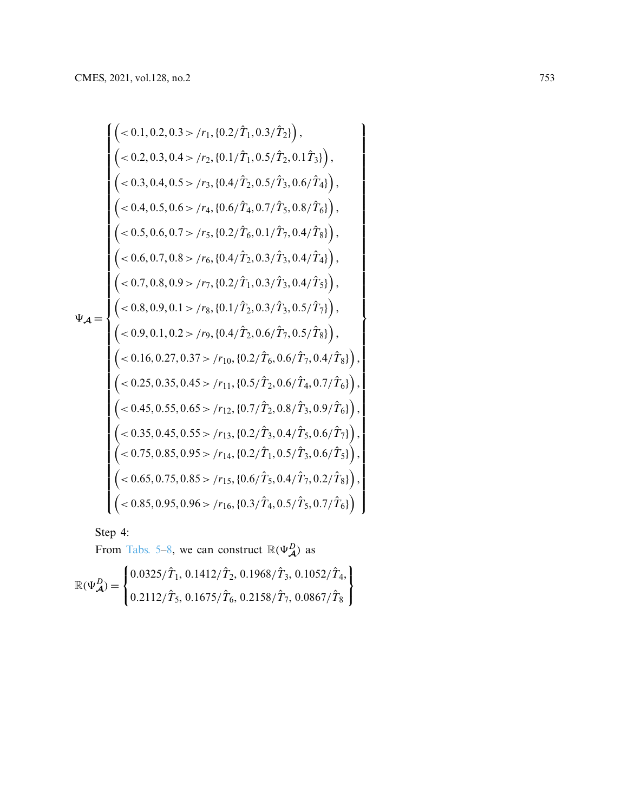$$
\begin{pmatrix}\n(-0.1, 0.2, 0.3 > /r_1, \{0.2/\hat{T}_1, 0.3/\hat{T}_2\}\), \\
(-0.2, 0.3, 0.4 > /r_2, \{0.1/\hat{T}_1, 0.5/\hat{T}_2, 0.1\hat{T}_3\}\), \\
(-0.3, 0.4, 0.5 > /r_3, \{0.4/\hat{T}_2, 0.5/\hat{T}_3, 0.6/\hat{T}_4\}\), \\
(-0.4, 0.5, 0.6 > /r_4, \{0.6/\hat{T}_4, 0.7/\hat{T}_5, 0.8/\hat{T}_6\}\), \\
(-0.5, 0.6, 0.7 > /r_5, \{0.2/\hat{T}_6, 0.1/\hat{T}_7, 0.4/\hat{T}_8\}\), \\
(-0.6, 0.7, 0.8 > /r_6, \{0.4/\hat{T}_2, 0.3/\hat{T}_3, 0.4/\hat{T}_4\}\), \\
(-0.7, 0.8, 0.9 > /r_7, \{0.2/\hat{T}_1, 0.3/\hat{T}_3, 0.4/\hat{T}_5\}\), \\
(-0.8, 0.9, 0.1 > /r_8, \{0.1/\hat{T}_2, 0.3/\hat{T}_3, 0.5/\hat{T}_7\}\), \\
(-0.9, 0.1, 0.2 > /r_9, \{0.4/\hat{T}_2, 0.6/\hat{T}_7, 0.5/\hat{T}_8\}\), \\
(-0.16, 0.27, 0.37 > /r_{10}, \{0.2/\hat{T}_6, 0.6/\hat{T}_7, 0.4/\hat{T}_8\}\), \\
(-0.25, 0.35, 0.45 > /r_{11}, \{0.5/\hat{T}_2, 0.6/\hat{T}_4, 0.7/\hat{T}_6\}\), \\
(-0.45, 0.55, 0.65 > /r_{12}, \{0.7/\hat{T}_2, 0.8/\hat{T}_3, 0.9/\hat{T}_6\}\), \\
(-0.65, 0.75, 0.85 > /r_{13}, \{0.2/\hat{T}_1, 0.5/\hat{T}_3, 0.4/\hat{T}_7, 0.2/\hat{T}_8\}\), \\
(-0.65, 0.
$$

Step 4:

From **Tabs.** 5–8, we can construct 
$$
\mathbb{R}(\Psi_{\mathcal{A}}^{D})
$$
 as  
\n
$$
\mathbb{R}(\Psi_{\mathcal{A}}^{D}) = \begin{cases}\n0.0325/\hat{T}_1, 0.1412/\hat{T}_2, 0.1968/\hat{T}_3, 0.1052/\hat{T}_4, \\
0.2112/\hat{T}_5, 0.1675/\hat{T}_6, 0.2158/\hat{T}_7, 0.0867/\hat{T}_8\n\end{cases}
$$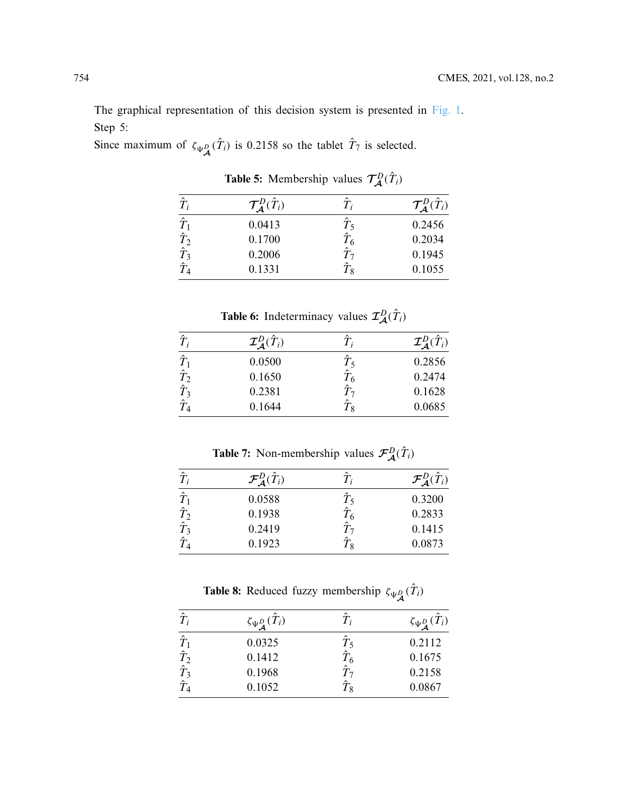The graphical representation of this decision system is presented in [Fig. 1.](#page-12-0) Step 5:

Since maximum of  $\zeta_{\Psi_{\mathcal{A}}^D}(\hat{T}_i)$  is 0.2158 so the tablet  $\hat{T}_7$  is selected.

| $\hat{T}_i$ | $\mathcal{T}_{\mathcal{A}}^D(\hat{T}_i)$ |            | $\mathcal{T}_{\mathcal{A}}^D(\hat{T}_i)$ |
|-------------|------------------------------------------|------------|------------------------------------------|
| $\hat{T}_1$ | 0.0413                                   | $\hat T_5$ | 0.2456                                   |
| $\hat{T}_2$ | 0.1700                                   |            | 0.2034                                   |
| $\hat{T}_3$ | 0.2006                                   |            | 0.1945                                   |
| $\hat T_A$  | 0.1331                                   | $\hat T_8$ | 0.1055                                   |

<span id="page-11-0"></span>**Table 5:** Membership values  $\mathcal{T}_{\mathcal{A}}^D(\hat{T}_i)$ 

**Table 6:** Indeterminacy values  $\mathcal{I}_{\mathcal{A}}^D(\hat{T}_i)$ 

| $\hat{T}_i$ | $\mathcal{I}_{\mathcal{A}}^D(\hat{T}_i)$ |                     | $\mathcal{I}_\mathcal{A}^D(\hat{T}_i)$ |
|-------------|------------------------------------------|---------------------|----------------------------------------|
| $\hat{T}_1$ | 0.0500                                   | $\hat{T}_5$         | 0.2856                                 |
| $\hat{T}_2$ | 0.1650                                   | $\hat T_6$          | 0.2474                                 |
| $\hat{T}_3$ | 0.2381                                   | $\hat{\phantom{a}}$ | 0.1628                                 |
|             | 0.1644                                   | $T_8$               | 0.0685                                 |

**Table 7:** Non-membership values  $\mathcal{F}_{\mathcal{A}}^D(\hat{T}_i)$ 

| $\hat{T}$    | $\mathcal{F}_{\bm{A}}^D(\hat{T}_i)$ |                     | $\mathcal{F}_{\mathcal{A}}^D(\hat{T}_i)$ |
|--------------|-------------------------------------|---------------------|------------------------------------------|
| $\hat{T}$    | 0.0588                              | $T$ <               | 0.3200                                   |
| $\hat{T}_2$  | 0.1938                              | $\hat T_6$          | 0.2833                                   |
| $\hat{T}_3$  | 0.2419                              | $\hat{\phantom{a}}$ | 0.1415                                   |
| $\hat T_{4}$ | 0.1923                              | $T_{8}$             | 0.0873                                   |

<span id="page-11-1"></span>**Table 8:** Reduced fuzzy membership  $\zeta_{\Psi_{\mathcal{A}}^{D}}(\hat{T}_{i})$ 

| $\hat{T}_i$                                | $\zeta_{\Psi^D_{\mathcal A}}(\hat T_i)$ | T;         | $\zeta_{\Psi^D_{\mathcal A}}(\hat T_i)$ |
|--------------------------------------------|-----------------------------------------|------------|-----------------------------------------|
| $\hat{T}_1$                                | 0.0325                                  | $T_5$      | 0.2112                                  |
| $\hat{T}_2$                                | 0.1412                                  | $\hat T_6$ | 0.1675                                  |
| $\hat{\tilde{T}}_3$<br>$\hat{\tilde{T}}_4$ | 0.1968                                  | ^          | 0.2158                                  |
|                                            | 0.1052                                  | $T_8\,$    | 0.0867                                  |
|                                            |                                         |            |                                         |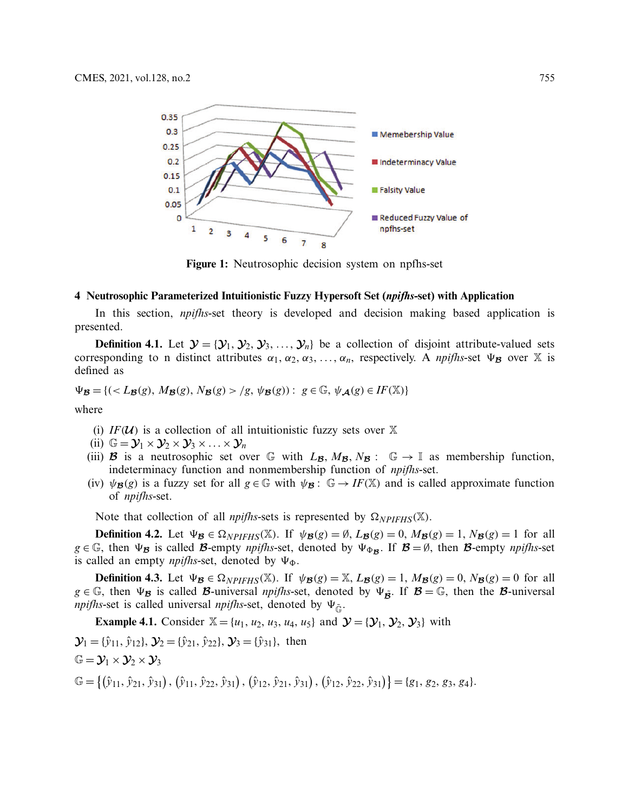

<span id="page-12-0"></span>**Figure 1:** Neutrosophic decision system on npfhs-set

### **4 Neutrosophic Parameterized Intuitionistic Fuzzy Hypersoft Set (***npifhs***-set) with Application**

In this section, *npifhs*-set theory is developed and decision making based application is presented.

**Definition 4.1.** Let  $\mathcal{Y} = \{Y_1, Y_2, Y_3, \ldots, Y_n\}$  be a collection of disjoint attribute-valued sets corresponding to n distinct attributes  $\alpha_1, \alpha_2, \alpha_3, \ldots, \alpha_n$ , respectively. A *npifhs*-set  $\Psi_{\mathcal{B}}$  over X is defined as

 $\Psi_{\mathcal{B}} = \{ (L_{\mathcal{B}}(g), M_{\mathcal{B}}(g), N_{\mathcal{B}}(g) > g, \psi_{\mathcal{B}}(g)) : g \in \mathbb{G}, \psi_{\mathcal{A}}(g) \in I\{F(\mathbb{X})\} \}$ 

where

- (i)  $IF(\mathcal{U})$  is a collection of all intuitionistic fuzzy sets over X
- (ii)  $\mathbb{G} = \mathcal{Y}_1 \times \mathcal{Y}_2 \times \mathcal{Y}_3 \times \ldots \times \mathcal{Y}_n$
- (iii) **B** is a neutrosophic set over G with  $L_{\mathcal{B}}$ ,  $M_{\mathcal{B}}$ ,  $N_{\mathcal{B}}$ : G  $\rightarrow$  I as membership function, indeterminacy function and nonmembership function of *npifhs*-set.
- (iv)  $\psi_{\mathcal{B}}(g)$  is a fuzzy set for all  $g \in \mathbb{G}$  with  $\psi_{\mathcal{B}}: \mathbb{G} \to I\mathbb{F}(\mathbb{X})$  and is called approximate function of *npifhs*-set.

Note that collection of all *npifhs*-sets is represented by  $\Omega_{NPIFHS}(\mathbb{X})$ .

**Definition 4.2.** Let  $\Psi_{\mathcal{B}} \in \Omega_{NPIFHS}(\mathbb{X})$ . If  $\psi_{\mathcal{B}}(g) = \emptyset$ ,  $L_{\mathcal{B}}(g) = 0$ ,  $M_{\mathcal{B}}(g) = 1$ ,  $N_{\mathcal{B}}(g) = 1$  for all  $g \in \mathbb{G}$ , then  $\Psi_B$  is called *B*-empty *npifhs*-set, denoted by  $\Psi_{\Phi_B}$ . If  $B = \emptyset$ , then *B*-empty *npifhs*-set is called an empty  $npi/hs$ -set, denoted by  $\Psi_{\Phi}$ .

**Definition 4.3.** Let  $\Psi_{\mathcal{B}} \in \Omega_{NPIFHS}(\mathbb{X})$ . If  $\psi_{\mathcal{B}}(g) = \mathbb{X}, L_{\mathcal{B}}(g) = 1, M_{\mathcal{B}}(g) = 0, N_{\mathcal{B}}(g) = 0$  for all  $g \in \mathbb{G}$ , then  $\Psi_B$  is called *B*-universal *npifhs*-set, denoted by  $\Psi_{\tilde{B}}$ . If  $B = \mathbb{G}$ , then the *B*-universal *npifhs*-set is called universal *npifhs*-set, denoted by  $\Psi_{\tilde{\sigma}}$ .

**Example 4.1.** Consider  $\mathbb{X} = \{u_1, u_2, u_3, u_4, u_5\}$  and  $\mathcal{Y} = \{\mathcal{Y}_1, \mathcal{Y}_2, \mathcal{Y}_3\}$  with

$$
\mathcal{Y}_1 = {\hat{y}_{11}, \hat{y}_{12}}, \mathcal{Y}_2 = {\hat{y}_{21}, \hat{y}_{22}}, \mathcal{Y}_3 = {\hat{y}_{31}}, \text{ then}
$$
  
\n
$$
\mathbb{G} = \mathcal{Y}_1 \times \mathcal{Y}_2 \times \mathcal{Y}_3
$$
  
\n
$$
\mathbb{G} = \{ ({\hat{y}_{11}, \hat{y}_{21}, \hat{y}_{31}}), ({\hat{y}_{11}, \hat{y}_{22}, \hat{y}_{31}}), ({\hat{y}_{12}, \hat{y}_{21}, \hat{y}_{31}}), ({\hat{y}_{12}, \hat{y}_{22}, \hat{y}_{31}}) \} = \{ g_1, g_2, g_3, g_4 \}.
$$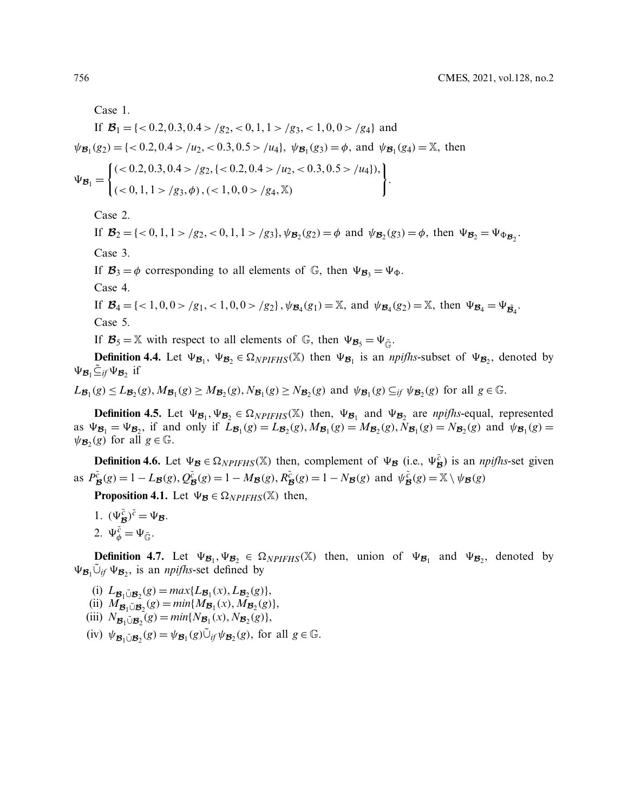Case 1.

If 
$$
\mathcal{B}_1 = \{ <0.2, 0.3, 0.4 > /g_2, <0, 1, 1 > /g_3, <1, 0, 0 > /g_4 \}
$$
 and  
\n $\psi_{\mathcal{B}_1}(g_2) = \{ <0.2, 0.4 > /u_2, <0.3, 0.5 > /u_4 \}, \ \psi_{\mathcal{B}_1}(g_3) = \phi, \text{ and } \psi_{\mathcal{B}_1}(g_4) = \mathbb{X}, \text{ then}$   
\n $\left( <0.2, 0.3, 0.4 > /g_2, <0.2, 0.4 > /u_2, <0.3, 0.5 > /u_4 \} \right),$ 

$$
\Psi_{\mathcal{B}_1} = \begin{cases}\n(0.012, 0.01, 0.017) & \text{if } 0.2, 0.177 \text{ m}^2, 0.005, 0.057 \\
(0.01, 1 > 0.93, \phi), (0.01, 0.01, 0.017) & \text{if } 0.017 \text{ m}^2, 0.017 \text{ m}^2, 0.017 \text{ m}^2, 0.017 \text{ m}^2, 0.017 \text{ m}^2, 0.017 \text{ m}^2, 0.017 \text{ m}^2, 0.017 \text{ m}^2, 0.017 \text{ m}^2, 0.017 \text{ m}^2, 0.017 \text{ m}^2, 0.017 \text{ m}^2, 0.017 \text{ m}^2, 0.017 \text{ m}^2, 0.017 \text{ m}^2, 0.017 \text{ m}^2, 0.017 \text{ m}^2, 0.017 \text{ m}^2, 0.017 \text{ m}^2, 0.017 \text{ m}^2, 0.017 \text{ m}^2, 0.017 \text{ m}^2, 0.017 \text{ m}^2, 0.017 \text{ m}^2, 0.017 \text{ m}^2, 0.017 \text{ m}^2, 0.017 \text{ m}^2, 0.017 \text{ m}^2, 0.017 \text{ m}^2, 0.017 \text{ m}^2, 0.017 \text{ m}^2, 0.017 \text{ m}^2, 0.017 \text{ m}^2, 0.017 \text{ m}^2, 0.017 \text{ m}^2, 0.017 \text{ m}^2, 0.017 \text{ m}^2, 0.017 \text{ m}^2, 0.017 \text{ m}^2, 0.017 \text{ m}^2, 0.017 \text{ m}^2, 0.017 \text{ m}^2, 0.017 \text{ m}^2, 0.017 \text{ m}^2, 0.017 \text{ m}^2, 0.0
$$

Case 2.

If  $\mathcal{B}_2 = \{ <0, 1, 1 > /g_2, <0, 1, 1 > /g_3 \}, \psi_{\mathcal{B}_2}(g_2) = \phi \text{ and } \psi_{\mathcal{B}_2}(g_3) = \phi, \text{ then } \Psi_{\mathcal{B}_2} = \Psi_{\Phi_{\mathcal{B}_2}}.$ Case 3.

.

If  $\mathcal{B}_3 = \phi$  corresponding to all elements of G, then  $\Psi_{\mathcal{B}_3} = \Psi_{\Phi}$ .

Case 4.

If  $\mathcal{B}_4 = \{ <1, 0, 0 > /g_1, <1, 0, 0 > /g_2 \}$ ,  $\psi_{\mathcal{B}_4}(g_1) = \mathbb{X}$ , and  $\psi_{\mathcal{B}_4}(g_2) = \mathbb{X}$ , then  $\Psi_{\mathcal{B}_4} = \Psi_{\mathcal{B}_4}$ . Case 5.

If  $\mathcal{B}_5 = \mathbb{X}$  with respect to all elements of G, then  $\Psi_{\mathcal{B}_5} = \Psi_{\tilde{\mathbb{G}}}$ .

**Definition 4.4.** Let  $\Psi_{\mathcal{B}_1}$ ,  $\Psi_{\mathcal{B}_2} \in \Omega_{NPIFHS}(\mathbb{X})$  then  $\Psi_{\mathcal{B}_1}$  is an *npifhs*-subset of  $\Psi_{\mathcal{B}_2}$ , denoted by  $\Psi_{\mathcal{B}_1} \tilde{\subseteq}_{if} \Psi_{\mathcal{B}_2}$  if

 $L_{\mathcal{B}_1}(g) \leq L_{\mathcal{B}_2}(g)$ ,  $M_{\mathcal{B}_1}(g) \geq M_{\mathcal{B}_2}(g)$ ,  $N_{\mathcal{B}_1}(g) \geq N_{\mathcal{B}_2}(g)$  and  $\psi_{\mathcal{B}_1}(g) \subseteq_{if} \psi_{\mathcal{B}_2}(g)$  for all  $g \in \mathbb{G}$ .

**Definition 4.5.** Let  $\Psi_{\mathcal{B}_1}, \Psi_{\mathcal{B}_2} \in \Omega_{NPIFHS}(\mathbb{X})$  then,  $\Psi_{\mathcal{B}_1}$  and  $\Psi_{\mathcal{B}_2}$  are *npifhs*-equal, represented as  $\Psi_{\mathcal{B}_1} = \Psi_{\mathcal{B}_2}$ , if and only if  $L_{\mathcal{B}_1}(g) = L_{\mathcal{B}_2}(g)$ ,  $M_{\mathcal{B}_1}(g) = M_{\mathcal{B}_2}(g)$ ,  $N_{\mathcal{B}_1}(g) = N_{\mathcal{B}_2}(g)$  and  $\psi_{\mathcal{B}_1}(g) =$  $\psi_{\mathcal{B}}(g)$  for all  $g \in \mathbb{G}$ .

**Definition 4.6.** Let  $\Psi_{\mathcal{B}} \in \Omega_{NPIFHS}(\mathbb{X})$  then, complement of  $\Psi_{\mathcal{B}}$  (i.e.,  $\Psi_{\mathcal{B}}^{\tilde{c}}$ ) is an *npifhs*-set given as  $P_{\mathcal{B}}^{\tilde{c}}(g) = 1 - L_{\mathcal{B}}(g), Q_{\mathcal{B}}^{\tilde{c}}(g) = 1 - M_{\mathcal{B}}(g), R_{\mathcal{B}}^{\tilde{c}}(g) = 1 - N_{\mathcal{B}}(g)$  and  $\psi_{\mathcal{B}}^{\tilde{c}}(g) = \mathbb{X} \setminus \psi_{\mathcal{B}}(g)$ 

**Proposition 4.1.** Let  $\Psi_{\mathcal{B}} \in \Omega_{NPIFHS}(\mathbb{X})$  then,

1.  $(\Psi_{\mathcal{B}}^{\tilde{c}})^{\tilde{c}} = \Psi_{\mathcal{B}}.$ 2.  $\Psi_{\phi}^{\tilde{c}} = \Psi_{\tilde{\mathbb{G}}}.$ 

**Definition 4.7.** Let  $\Psi_{\mathcal{B}_1}, \Psi_{\mathcal{B}_2} \in \Omega_{NPIFHS}(\mathbb{X})$  then, union of  $\Psi_{\mathcal{B}_1}$  and  $\Psi_{\mathcal{B}_2}$ , denoted by  $\Psi_{\mathcal{B}_1} \tilde{\cup}_{if} \Psi_{\mathcal{B}_2}$ , is an *npifhs*-set defined by

- $\lim_{x \to b} L_{\mathcal{B}_1 \cup \mathcal{B}_2}(g) = \max\{L_{\mathcal{B}_1}(x), L_{\mathcal{B}_2}(g)\},$
- $\lim_{M} M_{\mathcal{B}_1 \cup \mathcal{B}_2}(g) = \min\{M_{\mathcal{B}_1}(x), M_{\mathcal{B}_2}(g)\},$
- $(iii)$   $N_{\mathcal{B}_1 \cup \mathcal{B}_2}(g) = min\{N_{\mathcal{B}_1}(x), N_{\mathcal{B}_2}(g)\},$
- $(iv)$   $\psi_{\mathcal{B}_1 \cup \mathcal{B}_2}(g) = \psi_{\mathcal{B}_1}(g) \tilde{\cup}_{if} \psi_{\mathcal{B}_2}(g)$ , for all  $g \in \mathbb{G}$ .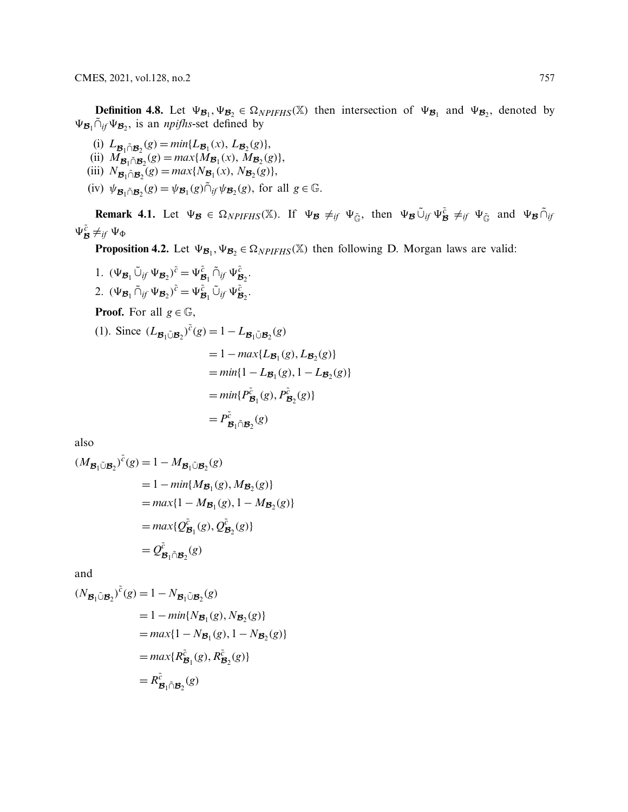**Definition 4.8.** Let  $\Psi_{\mathcal{B}_1}, \Psi_{\mathcal{B}_2} \in \Omega_{NPIFHS}(\mathbb{X})$  then intersection of  $\Psi_{\mathcal{B}_1}$  and  $\Psi_{\mathcal{B}_2}$ , denoted by  $\Psi_{\mathcal{B}_1} \tilde{\cap}_{if} \Psi_{\mathcal{B}_2}$ , is an *npifhs*-set defined by

(i)  $L_{\mathcal{B}_1 \cap \mathcal{B}_2}(g) = \min\{L_{\mathcal{B}_1}(x), L_{\mathcal{B}_2}(g)\},$ (ii)  $M_{\mathcal{B}_1 \cap \mathcal{B}_2}(g) = max\{M_{\mathcal{B}_1}(x), M_{\mathcal{B}_2}(g)\},$ 

- $(iii)$   $N_{\mathcal{B}_1 \cap \mathcal{B}_2}(g) = max\{N_{\mathcal{B}_1}(x), N_{\mathcal{B}_2}(g)\},$
- $(iv)$   $\psi_{\mathcal{B}_1 \cap \mathcal{B}_2}(g) = \psi_{\mathcal{B}_1}(g) \cap \psi_{\mathcal{B}_2}(g)$ , for all  $g \in \mathbb{G}$ .

**Remark 4.1.** Let  $\Psi_{\mathcal{B}} \in \Omega_{NPIFHS}(\mathbb{X})$ . If  $\Psi_{\mathcal{B}} \neq_{if} \Psi_{\tilde{\mathbb{G}}},$  then  $\Psi_{\mathcal{B}} \tilde{\cup}_{if} \Psi_{\tilde{\mathcal{B}}} \neq_{if} \Psi_{\tilde{\mathbb{G}}}$  and  $\Psi_{\mathcal{B}} \tilde{\cap}_{if}$  $\Psi_{\mathcal{B}}^{\tilde{c}} \neq_{if} \Psi_{\Phi}$ 

**Proposition 4.2.** Let  $\Psi_{\mathcal{B}_1}, \Psi_{\mathcal{B}_2} \in \Omega_{NPIFHS}(\mathbb{X})$  then following D. Morgan laws are valid:

1.  $(\Psi_{\mathcal{B}_1} \tilde{\cup}_{if} \Psi_{\mathcal{B}_2}^{\tilde{c}}) = \Psi_{\mathcal{B}_1}^{\tilde{c}} \tilde{\cap}_{if} \Psi_{\mathcal{B}_2}^{\tilde{c}}.$ 2.  $(\Psi_{\mathcal{B}_1} \tilde{\cap}_{if} \Psi_{\mathcal{B}_2})^{\tilde{c}} = \Psi_{\mathcal{B}_1}^{\tilde{c}} \tilde{\cup}_{if} \Psi_{\mathcal{B}_2}^{\tilde{c}}.$ **Proof.** For all  $g \in \mathbb{G}$ ,

(1). Since  $(L_{\mathcal{B}_1 \cup \mathcal{B}_2})^{\tilde{c}}(g) = 1 - L_{\mathcal{B}_1 \cup \mathcal{B}_2}(g)$  $= 1 - max\{L_{\mathcal{B}_1}(g), L_{\mathcal{B}_2}(g)\}$  $= min\{1 - L_{\mathcal{B}_1}(g), 1 - L_{\mathcal{B}_2}(g)\}$  $=min\{P_{\mathcal{B}_1}^{\tilde{c}}(g), P_{\mathcal{B}_2}^{\tilde{c}}(g)\}$  $= P^{\tilde{c}}_{\mathcal{B}_1 \tilde{\cap} \mathcal{B}_2}(g)$ 

also

$$
(M_{\mathcal{B}_1 \tilde{\cup} \mathcal{B}_2})^{\tilde{c}}(g) = 1 - M_{\mathcal{B}_1 \tilde{\cup} \mathcal{B}_2}(g)
$$
  
= 1 - min{M\_{\mathcal{B}\_1}(g), M\_{\mathcal{B}\_2}(g)}  
= max{1 - M\_{\mathcal{B}\_1}(g), 1 - M\_{\mathcal{B}\_2}(g)}  
= max{Q\_{\mathcal{B}\_1}^{\tilde{c}}(g), Q\_{\mathcal{B}\_2}^{\tilde{c}}(g)}  
= Q\_{\mathcal{B}\_1 \tilde{\cap} \mathcal{B}\_2}^{\tilde{c}}(g)

and

$$
(N_{\mathcal{B}_1 \tilde{\cup} \mathcal{B}_2})^{\tilde{c}}(g) = 1 - N_{\mathcal{B}_1 \tilde{\cup} \mathcal{B}_2}(g)
$$
  
= 1 - min{N\_{\mathcal{B}\_1}(g), N\_{\mathcal{B}\_2}(g)}  
= max{1 - N\_{\mathcal{B}\_1}(g), 1 - N\_{\mathcal{B}\_2}(g)}  
= max{R\_{\mathcal{B}\_1}^{\tilde{c}}(g), R\_{\mathcal{B}\_2}^{\tilde{c}}(g)}  
= R\_{\mathcal{B}\_1 \tilde{\cap} \mathcal{B}\_2}^{\tilde{c}}(g)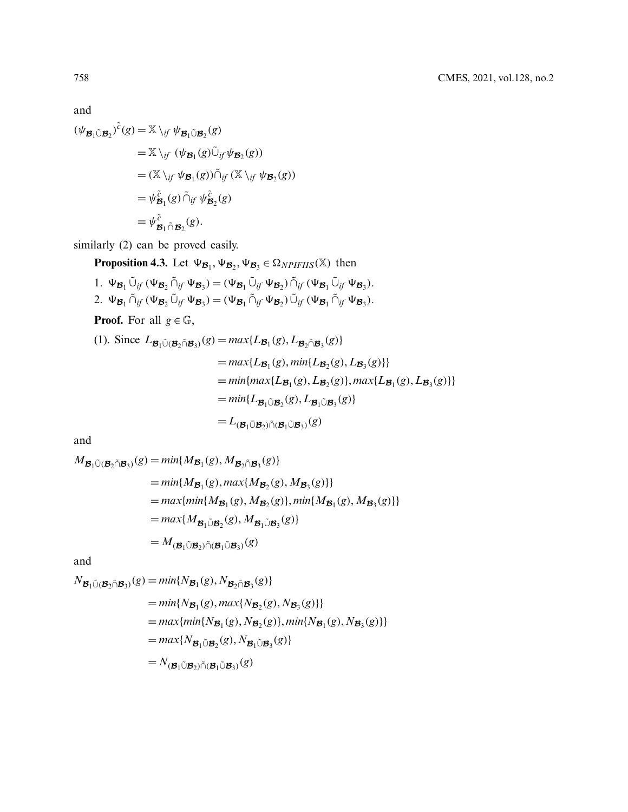and

$$
(\psi_{\mathcal{B}_1 \tilde{\cup} \mathcal{B}_2})^{\tilde{c}}(g) = \mathbb{X} \setminus_{if} \psi_{\mathcal{B}_1 \tilde{\cup} \mathcal{B}_2}(g)
$$
  
\n
$$
= \mathbb{X} \setminus_{if} (\psi_{\mathcal{B}_1}(g) \tilde{\cup}_{if} \psi_{\mathcal{B}_2}(g))
$$
  
\n
$$
= (\mathbb{X} \setminus_{if} \psi_{\mathcal{B}_1}(g)) \tilde{\cap}_{if} (\mathbb{X} \setminus_{if} \psi_{\mathcal{B}_2}(g))
$$
  
\n
$$
= \psi_{\mathcal{B}_1}^{\tilde{c}}(g) \tilde{\cap}_{if} \psi_{\mathcal{B}_2}^{\tilde{c}}(g)
$$
  
\n
$$
= \psi_{\mathcal{B}_1}^{\tilde{c}} \tilde{\cap}_{\mathcal{B}_2}(g).
$$

similarly (2) can be proved easily.

**Proposition 4.3.** Let  $\Psi_{\mathcal{B}_1}, \Psi_{\mathcal{B}_2}, \Psi_{\mathcal{B}_3} \in \Omega_{NPIFHS}(\mathbb{X})$  then

1.  $\Psi_{\mathcal{B}_1} \tilde{\cup}_{if} (\Psi_{\mathcal{B}_2} \tilde{\cap}_{if} \Psi_{\mathcal{B}_3}) = (\Psi_{\mathcal{B}_1} \tilde{\cup}_{if} \Psi_{\mathcal{B}_2}) \tilde{\cap}_{if} (\Psi_{\mathcal{B}_1} \tilde{\cup}_{if} \Psi_{\mathcal{B}_3}).$ 2.  $\Psi_{\mathcal{B}_1} \tilde{\cap}_{if} (\Psi_{\mathcal{B}_2} \tilde{\cup}_{if} \Psi_{\mathcal{B}_3}) = (\Psi_{\mathcal{B}_1} \tilde{\cap}_{if} \Psi_{\mathcal{B}_2}) \tilde{\cup}_{if} (\Psi_{\mathcal{B}_1} \tilde{\cap}_{if} \Psi_{\mathcal{B}_3}).$ 

**Proof.** For all  $g \in \mathbb{G}$ ,

(1). Since 
$$
L_{\mathcal{B}_1 \tilde{\cup}(\mathcal{B}_2 \tilde{\cap} \mathcal{B}_3)}(g) = max\{L_{\mathcal{B}_1}(g), L_{\mathcal{B}_2 \tilde{\cap} \mathcal{B}_3}(g)\}
$$
  
\n
$$
= max\{L_{\mathcal{B}_1}(g), min\{L_{\mathcal{B}_2}(g), L_{\mathcal{B}_3}(g)\}\}
$$
\n
$$
= min\{max\{L_{\mathcal{B}_1}(g), L_{\mathcal{B}_2}(g)\}, max\{L_{\mathcal{B}_1}(g), L_{\mathcal{B}_3}(g)\}\}
$$
\n
$$
= min\{L_{\mathcal{B}_1 \tilde{\cup} \mathcal{B}_2}(g), L_{\mathcal{B}_1 \tilde{\cup} \mathcal{B}_3}(g)\}
$$
\n
$$
= L_{(\mathcal{B}_1 \tilde{\cup} \mathcal{B}_2) \tilde{\cap}(\mathcal{B}_1 \tilde{\cup} \mathcal{B}_3)}(g)
$$

and

$$
M_{\mathcal{B}_1 \tilde{\cup} (\mathcal{B}_2 \tilde{\cap} \mathcal{B}_3)}(g) = min\{M_{\mathcal{B}_1}(g), M_{\mathcal{B}_2 \tilde{\cap} \mathcal{B}_3}(g)\}
$$
  
\n
$$
= min\{M_{\mathcal{B}_1}(g), max\{M_{\mathcal{B}_2}(g), M_{\mathcal{B}_3}(g)\}\}
$$
  
\n
$$
= max\{min\{M_{\mathcal{B}_1}(g), M_{\mathcal{B}_2}(g)\}, min\{M_{\mathcal{B}_1}(g), M_{\mathcal{B}_3}(g)\}\}
$$
  
\n
$$
= max\{M_{\mathcal{B}_1 \tilde{\cup} \mathcal{B}_2}(g), M_{\mathcal{B}_1 \tilde{\cup} \mathcal{B}_3}(g)\}
$$
  
\n
$$
= M_{(\mathcal{B}_1 \tilde{\cup} \mathcal{B}_2) \tilde{\cap} (\mathcal{B}_1 \tilde{\cup} \mathcal{B}_3)}(g)
$$

and

$$
N_{\mathcal{B}_1 \tilde{\cup} (\mathcal{B}_2 \cap \mathcal{B}_3)}(g) = min\{N_{\mathcal{B}_1}(g), N_{\mathcal{B}_2 \cap \mathcal{B}_3}(g)\}
$$
  
\n
$$
= min\{N_{\mathcal{B}_1}(g), max\{N_{\mathcal{B}_2}(g), N_{\mathcal{B}_3}(g)\}\}
$$
  
\n
$$
= max\{min\{N_{\mathcal{B}_1}(g), N_{\mathcal{B}_2}(g)\}, min\{N_{\mathcal{B}_1}(g), N_{\mathcal{B}_3}(g)\}\}
$$
  
\n
$$
= max\{N_{\mathcal{B}_1 \tilde{\cup} \mathcal{B}_2}(g), N_{\mathcal{B}_1 \tilde{\cup} \mathcal{B}_3}(g)\}
$$
  
\n
$$
= N_{(\mathcal{B}_1 \tilde{\cup} \mathcal{B}_2) \tilde{\cap} (\mathcal{B}_1 \tilde{\cup} \mathcal{B}_3)}(g)
$$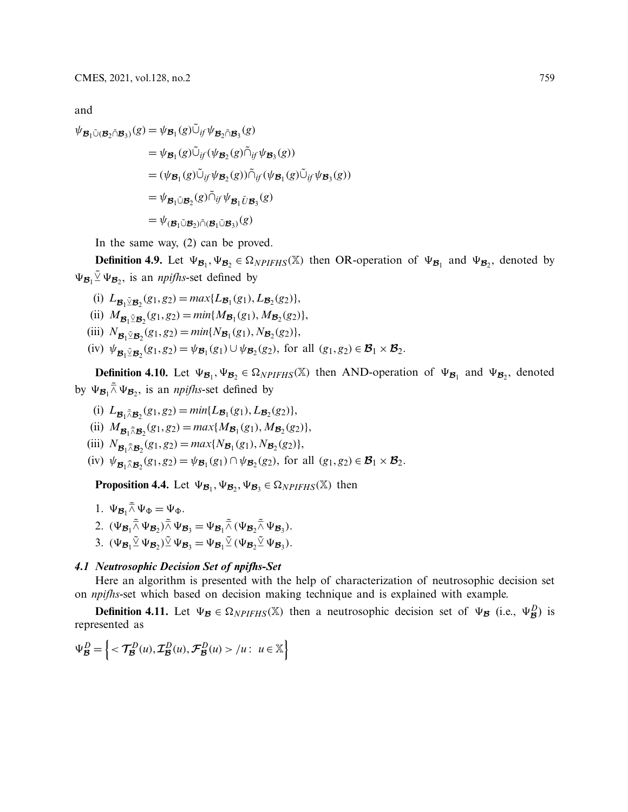and

$$
\psi_{\mathcal{B}_1 \tilde{\cup} (\mathcal{B}_2 \tilde{\cap} \mathcal{B}_3)}(g) = \psi_{\mathcal{B}_1}(g) \tilde{\cup}_{if} \psi_{\mathcal{B}_2 \tilde{\cap} \mathcal{B}_3}(g)
$$
  
\n
$$
= \psi_{\mathcal{B}_1}(g) \tilde{\cup}_{if} (\psi_{\mathcal{B}_2}(g) \tilde{\cap}_{if} \psi_{\mathcal{B}_3}(g))
$$
  
\n
$$
= (\psi_{\mathcal{B}_1}(g) \tilde{\cup}_{if} \psi_{\mathcal{B}_2}(g) \tilde{\cap}_{if} (\psi_{\mathcal{B}_1}(g) \tilde{\cup}_{if} \psi_{\mathcal{B}_3}(g))
$$
  
\n
$$
= \psi_{\mathcal{B}_1 \tilde{\cup} \mathcal{B}_2}(g) \tilde{\cap}_{if} \psi_{\mathcal{B}_1 \tilde{\cup} \mathcal{B}_3}(g)
$$
  
\n
$$
= \psi_{(\mathcal{B}_1 \tilde{\cup} \mathcal{B}_2) \tilde{\cap} (\mathcal{B}_1 \tilde{\cup} \mathcal{B}_3)}(g)
$$

In the same way, (2) can be proved.

**Definition 4.9.** Let  $\Psi_{\mathcal{B}_1}, \Psi_{\mathcal{B}_2} \in \Omega_{NPIFHS}(\mathbb{X})$  then OR-operation of  $\Psi_{\mathcal{B}_1}$  and  $\Psi_{\mathcal{B}_2}$ , denoted by  $\Psi_{\mathcal{B}_1} \Psi_{\mathcal{B}_2}$ , is an *npifhs*-set defined by

- (i)  $L_{\mathcal{B}_1 \underline{\vee} \mathcal{B}_2}(g_1, g_2) = max\{L_{\mathcal{B}_1}(g_1), L_{\mathcal{B}_2}(g_2)\},$
- (ii)  $M_{\mathcal{B}_1 \times \mathcal{B}_2}(g_1, g_2) = \min\{M_{\mathcal{B}_1}(g_1), M_{\mathcal{B}_2}(g_2)\},$
- (iii)  $N_{\mathcal{B}_1 \times \mathcal{B}_2}(g_1, g_2) = \min\{N_{\mathcal{B}_1}(g_1), N_{\mathcal{B}_2}(g_2)\},$
- (iv)  $\psi_{\mathcal{B}_1 \check{\mathcal{L}} \mathcal{B}_2}(g_1, g_2) = \psi_{\mathcal{B}_1}(g_1) \cup \psi_{\mathcal{B}_2}(g_2)$ , for all  $(g_1, g_2) \in \mathcal{B}_1 \times \mathcal{B}_2$ .

**Definition 4.10.** Let  $\Psi_{\mathcal{B}_1}, \Psi_{\mathcal{B}_2} \in \Omega_{NPIFHS}(\mathbb{X})$  then AND-operation of  $\Psi_{\mathcal{B}_1}$  and  $\Psi_{\mathcal{B}_2}$ , denoted by  $\Psi_{\mathcal{B}_1} \tilde{\wedge} \Psi_{\mathcal{B}_2}$ , is an *npifhs*-set defined by

- (i)  $L_{\mathcal{B}_1 \tilde{\wedge} \mathcal{B}_2}(g_1, g_2) = \min\{L_{\mathcal{B}_1}(g_1), L_{\mathcal{B}_2}(g_2)\},$
- (ii)  $M_{\mathcal{B}_1 \tilde{\wedge} \mathcal{B}_2}(g_1, g_2) = max\{M_{\mathcal{B}_1}(g_1), M_{\mathcal{B}_2}(g_2)\},$
- (iii)  $N_{\mathcal{B}_1 \tilde{\wedge} \mathcal{B}_2}(g_1, g_2) = max\{N_{\mathcal{B}_1}(g_1), N_{\mathcal{B}_2}(g_2)\},$
- $(\text{iv})$   $\psi_{\mathcal{B}_1 \tilde{\wedge} \mathcal{B}_2}(g_1, g_2) = \psi_{\mathcal{B}_1}(g_1) \cap \psi_{\mathcal{B}_2}(g_2)$ , for all  $(g_1, g_2) \in \mathcal{B}_1 \times \mathcal{B}_2$ .

**Proposition 4.4.** Let  $\Psi_{\mathcal{B}_1}, \Psi_{\mathcal{B}_2}, \Psi_{\mathcal{B}_3} \in \Omega_{NPIFHS}(\mathbb{X})$  then

1.  $\Psi_{\mathcal{B}_1} \tilde{\wedge} \Psi_{\Phi} = \Psi_{\Phi}$ . 2.  $(\Psi_{\mathcal{B}_1} \tilde{\wedge} \Psi_{\mathcal{B}_2}) \tilde{\wedge} \Psi_{\mathcal{B}_3} = \Psi_{\mathcal{B}_1} \tilde{\wedge} (\Psi_{\mathcal{B}_2} \tilde{\wedge} \Psi_{\mathcal{B}_3}).$ 3.  $(\Psi_{\mathcal{B}_1} \tilde{\vee} \Psi_{\mathcal{B}_2}) \tilde{\vee} \Psi_{\mathcal{B}_3} = \Psi_{\mathcal{B}_1} \tilde{\vee} (\Psi_{\mathcal{B}_2} \tilde{\vee} \Psi_{\mathcal{B}_3}).$ 

### *4.1 Neutrosophic Decision Set of npifhs-Set*

Here an algorithm is presented with the help of characterization of neutrosophic decision set on *npifhs*-set which based on decision making technique and is explained with example.

**Definition 4.11.** Let  $\Psi_B \in \Omega_{NPIFHS}(\mathbb{X})$  then a neutrosophic decision set of  $\Psi_B$  (i.e.,  $\Psi_B^D$ ) is represented as

$$
\Psi_{\mathcal{B}}^{D} = \left\{ \langle \mathcal{T}_{\mathcal{B}}^{D}(u), \mathcal{I}_{\mathcal{B}}^{D}(u), \mathcal{F}_{\mathcal{B}}^{D}(u) \rangle / u : u \in \mathbb{X} \right\}
$$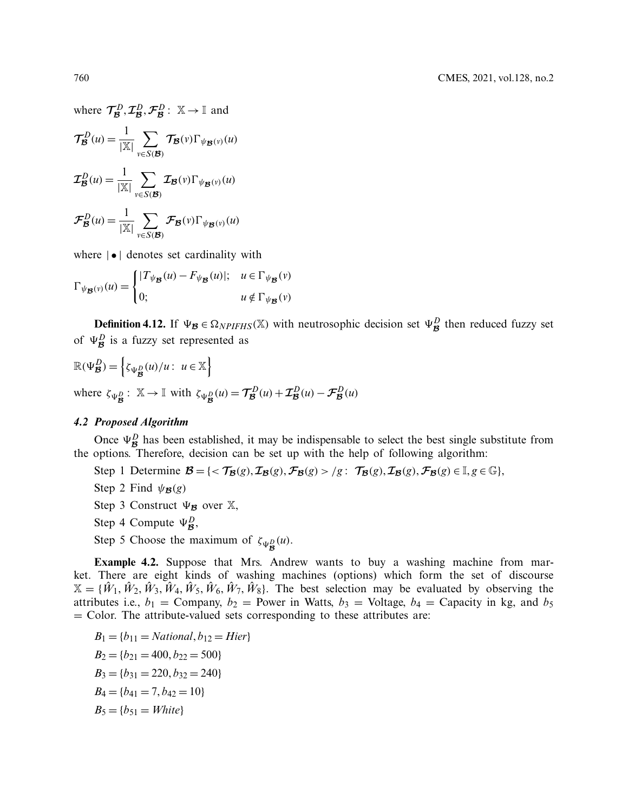where  $\mathcal{T}_{\mathcal{B}}^D$ ,  $\mathcal{I}_{\mathcal{B}}^D$ ,  $\mathcal{F}_{\mathcal{B}}^D$ :  $\mathbb{X} \rightarrow \mathbb{I}$  and

$$
\mathcal{T}_{\mathcal{B}}^{D}(u) = \frac{1}{|\mathbb{X}|} \sum_{v \in S(\mathcal{B})} \mathcal{T}_{\mathcal{B}}(v) \Gamma_{\psi_{\mathcal{B}}(v)}(u)
$$

$$
\mathcal{I}_{\mathcal{B}}^{D}(u) = \frac{1}{|\mathbb{X}|} \sum_{v \in S(\mathcal{B})} \mathcal{I}_{\mathcal{B}}(v) \Gamma_{\psi_{\mathcal{B}}(v)}(u)
$$

$$
\mathcal{F}_{\mathcal{B}}^{D}(u) = \frac{1}{|\mathbb{X}|} \sum_{v \in S(\mathcal{B})} \mathcal{F}_{\mathcal{B}}(v) \Gamma_{\psi_{\mathcal{B}}(v)}(u)
$$

where  $|\bullet|$  denotes set cardinality with

$$
\Gamma_{\psi_{\mathcal{B}}(v)}(u) = \begin{cases}\n|T_{\psi_{\mathcal{B}}}(u) - F_{\psi_{\mathcal{B}}}(u)|; & u \in \Gamma_{\psi_{\mathcal{B}}}(v) \\
0; & u \notin \Gamma_{\psi_{\mathcal{B}}}(v)\n\end{cases}
$$

**Definition 4.12.** If  $\Psi_B \in \Omega_{NPIFHS}(\mathbb{X})$  with neutrosophic decision set  $\Psi_B^D$  then reduced fuzzy set of  $\Psi^D_{\mathcal{B}}$  is a fuzzy set represented as

$$
\mathbb{R}(\Psi_{\mathcal{B}}^{D}) = \left\{ \zeta_{\Psi_{\mathcal{B}}^{D}}(u)/u : u \in \mathbb{X} \right\}
$$
  
where  $\zeta_{\Psi_{\mathcal{B}}^{D}} : \mathbb{X} \to \mathbb{I}$  with  $\zeta_{\Psi_{\mathcal{B}}^{D}}(u) = \mathcal{T}_{\mathcal{B}}^{D}(u) + \mathcal{I}_{\mathcal{B}}^{D}(u) - \mathcal{F}_{\mathcal{B}}^{D}(u)$ 

### *4.2 Proposed Algorithm*

Once  $\Psi_B^D$  has been established, it may be indispensable to select the best single substitute from the options. Therefore, decision can be set up with the help of following algorithm:

- Step 1 Determine  $\mathcal{B} = \{ \langle \mathcal{T}_{\mathcal{B}}(g), \mathcal{I}_{\mathcal{B}}(g), \mathcal{F}_{\mathcal{B}}(g) \rangle | g : \mathcal{T}_{\mathcal{B}}(g), \mathcal{I}_{\mathcal{B}}(g), \mathcal{F}_{\mathcal{B}}(g) \in \mathbb{I}, g \in \mathbb{G} \},\$
- Step 2 Find  $\psi_{\mathcal{B}}(g)$
- Step 3 Construct  $\Psi_{\mathcal{B}}$  over  $\mathbb{X}$ ,
- Step 4 Compute  $\Psi_{\mathcal{B}}^D$ ,
- Step 5 Choose the maximum of  $\zeta_{\Psi_{\mathcal{B}}^{D}}(u)$ .

**Example 4.2.** Suppose that Mrs. Andrew wants to buy a washing machine from market. There are eight kinds of washing machines (options) which form the set of discourse  $X = \{\hat{W}_1, \hat{W}_2, \hat{W}_3, \hat{W}_4, \hat{W}_5, \hat{W}_6, \hat{W}_7, \hat{W}_8\}.$  The best selection may be evaluated by observing the attributes i.e.,  $b_1$  = Company,  $b_2$  = Power in Watts,  $b_3$  = Voltage,  $b_4$  = Capacity in kg, and  $b_5$  $=$  Color. The attribute-valued sets corresponding to these attributes are:

$$
B_1 = \{b_{11} = National, b_{12} = Hier\}
$$
  
\n
$$
B_2 = \{b_{21} = 400, b_{22} = 500\}
$$
  
\n
$$
B_3 = \{b_{31} = 220, b_{32} = 240\}
$$
  
\n
$$
B_4 = \{b_{41} = 7, b_{42} = 10\}
$$
  
\n
$$
B_5 = \{b_{51} = White\}
$$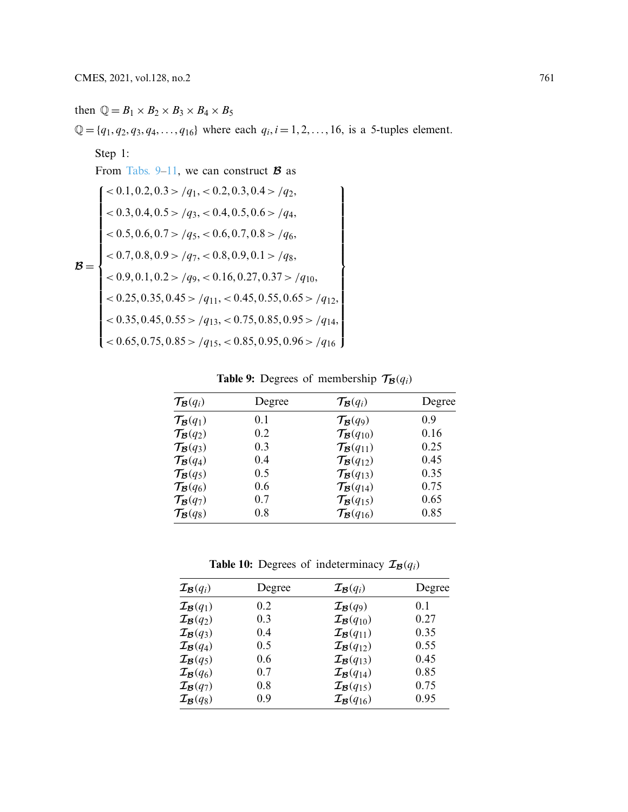# then  $\mathbb{Q} = B_1 \times B_2 \times B_3 \times B_4 \times B_5$  $\mathbb{Q} = \{q_1, q_2, q_3, q_4, \ldots, q_{16}\}$  where each  $q_i, i = 1, 2, \ldots, 16$ , is a 5-tuples element. Step 1: From Tabs.  $9-11$ , we can construct **B** as  $B =$  $\left[ 0.1, 0.2, 0.3 \right]$  /  $q_1$ ,  $< 0.2, 0.3, 0.4$  > /  $q_2$ , ⎪⎪⎪⎪⎪⎪⎪⎪⎪⎪⎪⎪⎪⎪⎪⎪⎪⎪⎨ ⎪⎪⎪⎪⎪⎪⎪⎪⎪⎪⎪⎪⎪⎪⎪⎪⎪⎪⎩  $< 0.3, 0.4, 0.5 > /q_3, < 0.4, 0.5, 0.6 > /q_4,$  $<$  0.5, 0.6, 0.7 > /q<sub>5</sub>, < 0.6, 0.7, 0.8 > /q<sub>6</sub>,  $< 0.7, 0.8, 0.9 > /q_7, < 0.8, 0.9, 0.1 > /q_8,$  $< 0.9, 0.1, 0.2 > /q_9, < 0.16, 0.27, 0.37 > /q_{10},$  $< 0.25, 0.35, 0.45 > /q_{11}, < 0.45, 0.55, 0.65 > /q_{12},$  $<$  0.35, 0.45, 0.55 > /*q*<sub>13</sub>, < 0.75, 0.85, 0.95 > /*q*<sub>14</sub>,  $<$  0.65, 0.75, 0.85 > /*q*<sub>15</sub>, < 0.85, 0.95, 0.96 > /*q*<sub>16</sub>  $\mathbf{I}$ ⎪⎪⎪⎪⎪⎪⎪⎪⎪⎪⎪⎪⎪⎪⎪⎪⎪⎪⎬ ⎪⎪⎪⎪⎪⎪⎪⎪⎪⎪⎪⎪⎪⎪⎪⎪⎪⎪⎭

# <span id="page-18-0"></span>**Table 9:** Degrees of membership  $\mathcal{T}_{\mathcal{B}}(q_i)$

| $\mathcal{T}_{\mathcal{B}}(q_i)$ | Degree | $\mathcal{T}_{\mathcal{B}}(q_i)$    | Degree |
|----------------------------------|--------|-------------------------------------|--------|
| $\mathcal{T}_{\mathcal{B}}(q_1)$ | 0.1    | $\mathcal{T}_{\mathcal{B}}(q_9)$    | 0.9    |
| $\mathcal{T}_{\mathcal{B}}(q_2)$ | 0.2    | $\mathcal{T}_{\mathcal{B}}(q_{10})$ | 0.16   |
| $\mathcal{T}_{\mathcal{B}}(q_3)$ | 0.3    | $\mathcal{T}_{\mathcal{B}}(q_{11})$ | 0.25   |
| $\mathcal{T}_{\mathcal{B}}(q_4)$ | 0.4    | $\mathcal{T}_{\mathcal{B}}(q_{12})$ | 0.45   |
| $\mathcal{T}_{\mathcal{B}}(q_5)$ | 0.5    | $\mathcal{T}_{\mathcal{B}}(q_{13})$ | 0.35   |
| $\mathcal{T}_{\mathcal{B}}(q_6)$ | 0.6    | $\mathcal{T}_{\mathcal{B}}(q_{14})$ | 0.75   |
| $\mathcal{T}_{\mathcal{B}}(q_7)$ | 0.7    | $\mathcal{T}_{\mathcal{B}}(q_{15})$ | 0.65   |
| $\mathcal{T}_{\mathcal{B}}(q_8)$ | 0.8    | $\mathcal{T}_{\mathcal{B}}(q_{16})$ | 0.85   |

**Table 10:** Degrees of indeterminacy  $\mathcal{I}_{\mathcal{B}}(q_i)$ 

| $\mathcal{I}_{\mathcal{B}}(q_i)$ | Degree | $\mathcal{I}_{\mathcal{B}}(q_i)$    | Degree |
|----------------------------------|--------|-------------------------------------|--------|
| $\mathcal{I}_{\mathcal{B}}(q_1)$ | 0.2    | $\mathcal{I}_{\mathcal{B}}(q_9)$    | 0.1    |
| $\mathcal{I}_{\mathcal{B}}(q_2)$ | 0.3    | $\mathcal{I}_{\mathcal{B}}(q_{10})$ | 0.27   |
| $\mathcal{I}_{\mathcal{B}}(q_3)$ | 0.4    | $\mathcal{I}_{\mathcal{B}}(q_{11})$ | 0.35   |
| $\mathcal{I}_{\mathcal{B}}(q_4)$ | 0.5    | $\mathcal{I}_{\mathcal{B}}(q_{12})$ | 0.55   |
| $\mathcal{I}_{\mathcal{B}}(q_5)$ | 0.6    | $\mathcal{I}_{\mathcal{B}}(q_{13})$ | 0.45   |
| $\mathcal{I}_{\mathcal{B}}(q_6)$ | 0.7    | $\mathcal{I}_{\mathcal{B}}(q_{14})$ | 0.85   |
| $\mathcal{I}_{\mathcal{B}}(q_7)$ | 0.8    | $\mathcal{I}_{\mathcal{B}}(q_{15})$ | 0.75   |
| $\mathcal{I}_{\mathcal{B}}(q_8)$ | 0.9    | $\mathcal{I}_{\mathcal{B}}(q_{16})$ | 0.95   |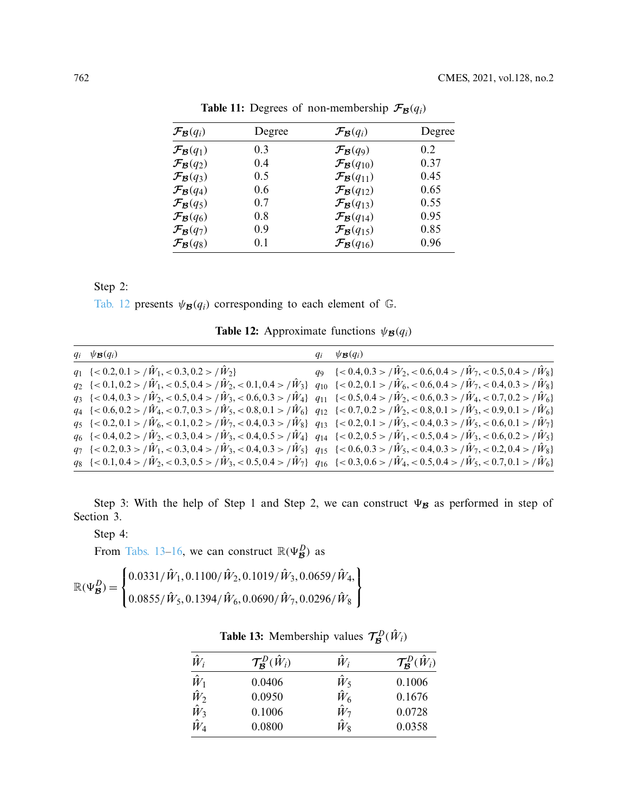| $\mathcal{F}_{\mathcal{B}}(q_i)$ | Degree | $\mathcal{F}_{\mathcal{B}}(q_i)$    | Degree |
|----------------------------------|--------|-------------------------------------|--------|
| $\mathcal{F}_{\mathcal{B}}(q_1)$ | 0.3    | $\mathcal{F}_{\mathcal{B}}(q_9)$    | 0.2    |
| $\mathcal{F}_{\mathcal{B}}(q_2)$ | 0.4    | $\mathcal{F}_{\mathcal{B}}(q_{10})$ | 0.37   |
| $\mathcal{F}_{\mathcal{B}}(q_3)$ | 0.5    | $\mathcal{F}_{\mathcal{B}}(q_{11})$ | 0.45   |
| $\mathcal{F}_{\mathcal{B}}(q_4)$ | 0.6    | $\mathcal{F}_{\mathcal{B}}(q_{12})$ | 0.65   |
| $\mathcal{F}_{\mathcal{B}}(q_5)$ | 0.7    | $\mathcal{F}_{\mathcal{B}}(q_{13})$ | 0.55   |
| $\mathcal{F}_{\mathcal{B}}(q_6)$ | 0.8    | $\mathcal{F}_{\mathcal{B}}(q_{14})$ | 0.95   |
| $\mathcal{F}_{\mathcal{B}}(q_7)$ | 0.9    | $\mathcal{F}_{\mathcal{B}}(q_{15})$ | 0.85   |
| $\mathcal{F}_{\mathcal{B}}(q_8)$ | 0.1    | $\mathcal{F}_{\mathcal{B}}(q_{16})$ | 0.96   |

<span id="page-19-0"></span>**Table 11:** Degrees of non-membership  $\mathcal{F}_{\mathcal{B}}(q_i)$ 

Step 2:

[Tab. 12](#page-19-1) presents  $\psi_{\mathcal{B}}(q_i)$  corresponding to each element of  $\mathbb{G}$ .

<span id="page-19-1"></span>**Table 12:** Approximate functions  $\psi_{\mathcal{B}}(q_i)$ 

| $q_i \psi_{\mathcal{B}}(q_i)$                                                                                                                                                                  | $q_i$ | $\psi_{\mathcal{B}}(q_i)$                                                    |
|------------------------------------------------------------------------------------------------------------------------------------------------------------------------------------------------|-------|------------------------------------------------------------------------------|
| $q_1 \{ <0.2, 0.1 > \hat{W}_1, <0.3, 0.2 > \hat{W}_2 \}$                                                                                                                                       |       | $q_9 \{ <0.4, 0.3>/\hat{W}_2, <0.6, 0.4>/\hat{W}_7, <0.5, 0.4>/\hat{W}_8 \}$ |
| $q_2 \{<0.1, 0.2\}\times \hat{W}_1, <0.5, 0.4\times \hat{W}_2, <0.1, 0.4\times \hat{W}_3\}$ $q_{10} \{<0.2, 0.1\times \hat{W}_6, <0.6, 0.4\times \hat{W}_7, <0.4, 0.3\times \hat{W}_8\}$       |       |                                                                              |
| $q_3 \{<0.4, 0.3\}/\dot{W}_2, <0.5, 0.4\}/\dot{W}_3, <0.6, 0.3\}/\dot{W}_4\}$ $q_{11} \{<0.5, 0.4\}/\dot{W}_2, <0.6, 0.3\}/\dot{W}_4, <0.7, 0.2\}/\dot{W}_6\}$                                 |       |                                                                              |
| $q_4 \{<0.6, 0.2\}/\dot{W}_4, <0.7, 0.3\}/\dot{W}_5, <0.8, 0.1\}/\dot{W}_6$ $q_{12} \{<0.7, 0.2\}/\dot{W}_2, <0.8, 0.1\}/\dot{W}_3, <0.9, 0.1\}/\dot{W}_6$                                     |       |                                                                              |
| $q_5$ {<0.2,0.1 > / $\tilde{W}_6$ , <0.1,0.2 > / $\tilde{W}_7$ , <0.4,0.3 > / $\tilde{W}_8$ } $q_{13}$ {<0.2,0.1 > / $\tilde{W}_3$ , <0.4,0.3 > / $\tilde{W}_5$ , <0.6,0.1 > / $\tilde{W}_7$ } |       |                                                                              |
| $q_6$ {<0.4,0.2 > / $\dot{W}_2$ , <0.3,0.4 > / $\dot{W}_3$ , <0.4,0.5 > / $\dot{W}_4$ } $q_{14}$ {<0.2,0.5 > / $\dot{W}_1$ , <0.5,0.4 > / $\dot{W}_3$ , <0.6,0.2 > / $\dot{W}_5$ }             |       |                                                                              |
| $q_7$ {<0.2,0.3 > / $\hat{W}_1$ , <0.3,0.4 > / $\hat{W}_3$ , <0.4,0.3 > / $\hat{W}_5$ } $q_{15}$ {<0.6,0.3 > / $\hat{W}_5$ , <0.4,0.3 > / $\hat{W}_7$ , <0.2,0.4 > / $\hat{W}_8$ }             |       |                                                                              |
| $q_8$ {<0.1,0.4 > / $\dot{W}_2$ , <0.3,0.5 > / $\dot{W}_3$ , <0.5,0.4 > / $\dot{W}_7$ } $q_{16}$ {<0.3,0.6 > / $\dot{W}_4$ , <0.5,0.4 > / $\dot{W}_5$ , <0.7,0.1 > / $\dot{W}_6$ }             |       |                                                                              |

Step 3: With the help of Step 1 and Step 2, we can construct  $\Psi_{\mathcal{B}}$  as performed in step of Section 3.

Step 4:

From [Tabs. 13](#page-19-2)[–16,](#page-20-0) we can construct  $\mathbb{R}(\Psi_{\mathcal{B}}^D)$  as

$$
\mathbb{R}(\Psi_{\mathcal{B}}^{D}) = \begin{Bmatrix} 0.0331/\hat{W}_{1}, 0.1100/\hat{W}_{2}, 0.1019/\hat{W}_{3}, 0.0659/\hat{W}_{4}, \\ 0.0855/\hat{W}_{5}, 0.1394/\hat{W}_{6}, 0.0690/\hat{W}_{7}, 0.0296/\hat{W}_{8} \end{Bmatrix}
$$

<span id="page-19-2"></span>

| <b>Table 13:</b> Membership values $\mathcal{T}_{\mathcal{B}}^D(\hat{W}_i)$ |  |  |
|-----------------------------------------------------------------------------|--|--|
|-----------------------------------------------------------------------------|--|--|

| $\hat{W}_i$ | $\mathcal{T}_{\mathcal{B}}^D(\hat{W}_i)$ | $\hat{W}_i$ | $\mathcal{T}_{\mathcal{B}}^D(\hat{W}_i)$ |
|-------------|------------------------------------------|-------------|------------------------------------------|
| $\hat{W}_1$ | 0.0406                                   | $\hat{W}_5$ | 0.1006                                   |
| $\hat{W}_2$ | 0.0950                                   | $\hat{W}_6$ | 0.1676                                   |
| $\hat{W}_3$ | 0.1006                                   | $\hat{W}_7$ | 0.0728                                   |
| $\hat{W}_4$ | 0.0800                                   | $\hat{W}_8$ | 0.0358                                   |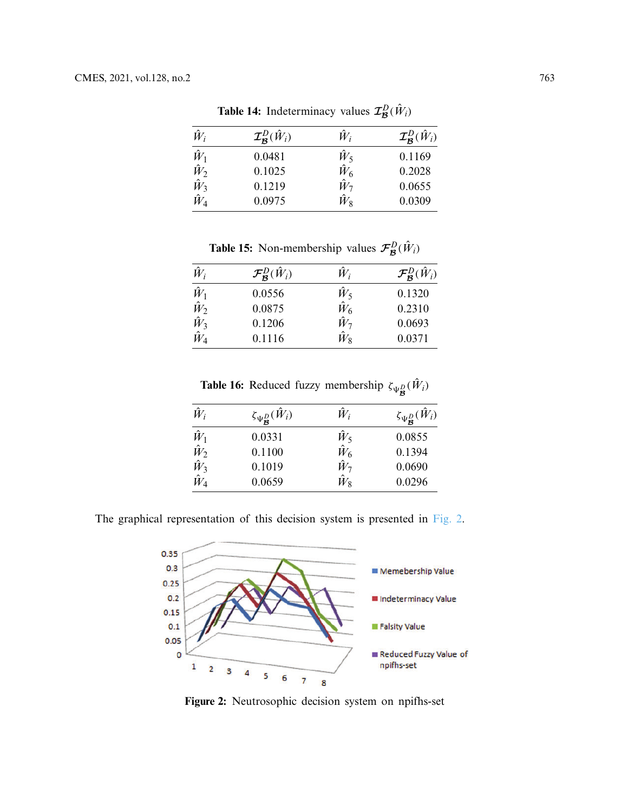| $\hat{W}_i$ | $\mathcal{I}_{\mathcal{B}}^D(\hat{W}_i)$ | $\hat{W}_i$ | $\mathcal{I}_{\mathcal{B}}^D(\hat{W}_i)$ |
|-------------|------------------------------------------|-------------|------------------------------------------|
| $\hat{W}_1$ | 0.0481                                   | $\hat{W}_5$ | 0.1169                                   |
| $\hat{W}_2$ | 0.1025                                   | $\hat{W}_6$ | 0.2028                                   |
| $\hat{W}_3$ | 0.1219                                   | $\hat{W}_7$ | 0.0655                                   |
| $\hat{W}_4$ | 0.0975                                   | $\hat{W}_8$ | 0.0309                                   |

**Table 14:** Indeterminacy values  $\mathcal{I}_{\mathcal{B}}^{D}(\hat{W}_{i})$ 

**Table 15:** Non-membership values  $\mathcal{F}_{\mathcal{B}}^{D}(\hat{W}_{i})$ 

| $\hat{W}_i$             | $\mathcal{F}_{\mathcal{B}}^D(\hat{W}_i)$ | $\hat{W}_i$ | $\mathcal{F}_{\mathcal{B}}^D(\hat{W}_i)$ |
|-------------------------|------------------------------------------|-------------|------------------------------------------|
| $\hat{W}_1$             | 0.0556                                   | $\hat{W}_5$ | 0.1320                                   |
| $\hat{W}_2$ $\hat{W}_3$ | 0.0875                                   | $\hat{W}_6$ | 0.2310                                   |
|                         | 0.1206                                   | $\hat{W}_7$ | 0.0693                                   |
| $\hat{W}_4$             | 0.1116                                   | $\hat{W}_8$ | 0.0371                                   |

<span id="page-20-0"></span>**Table 16:** Reduced fuzzy membership  $\zeta_{\Psi_{\mathcal{B}}^{D}}(\hat{W}_{i})$ 

| $\hat{W}_i$                | $\zeta_{\Psi^D_{\mathcal{B}}}(\hat{W}_i)$ | $\hat{W}_i$ | $\zeta_{\Psi^D_{\mathcal{B}}}(\hat{W}_i)$ |
|----------------------------|-------------------------------------------|-------------|-------------------------------------------|
| $\hat{W}_1$                | 0.0331                                    | $\hat{W}_5$ | 0.0855                                    |
|                            | 0.1100                                    | $\hat{W}_6$ | 0.1394                                    |
| $\hat{W}_2$<br>$\hat{W}_3$ | 0.1019                                    | $\hat{W}_7$ | 0.0690                                    |
| $\hat{W}_4$                | 0.0659                                    | $\hat{W}_8$ | 0.0296                                    |

The graphical representation of this decision system is presented in [Fig. 2.](#page-20-1)



<span id="page-20-1"></span>**Figure 2:** Neutrosophic decision system on npifhs-set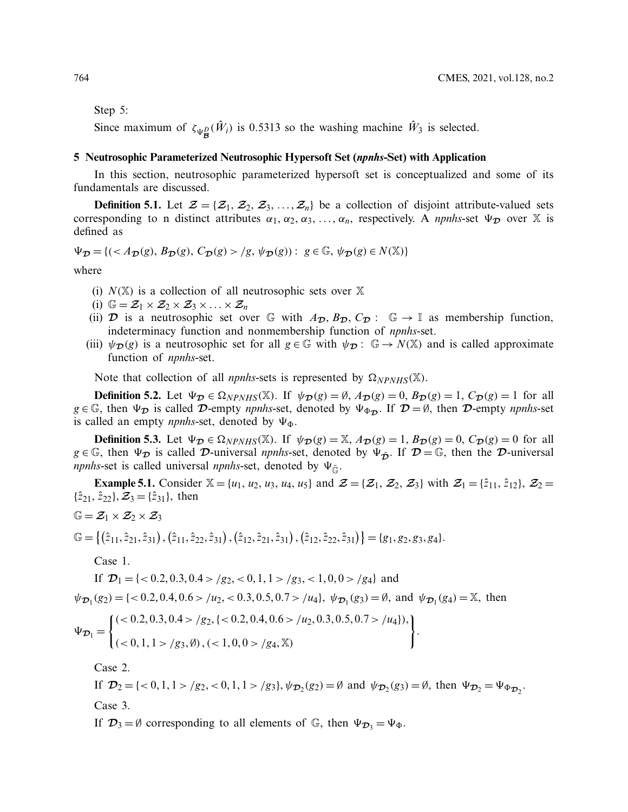Step 5:

Since maximum of  $\zeta_{\Psi_{\mathcal{B}}^D}(\hat{W}_i)$  is 0.5313 so the washing machine  $\hat{W}_3$  is selected.

### **5 Neutrosophic Parameterized Neutrosophic Hypersoft Set (***npnhs***-Set) with Application**

In this section, neutrosophic parameterized hypersoft set is conceptualized and some of its fundamentals are discussed.

**Definition 5.1.** Let  $\mathcal{Z} = \{Z_1, Z_2, Z_3, \ldots, Z_n\}$  be a collection of disjoint attribute-valued sets corresponding to n distinct attributes  $\alpha_1, \alpha_2, \alpha_3, \ldots, \alpha_n$ , respectively. A *npnhs*-set  $\Psi_{\mathcal{D}}$  over X is defined as

 $\Psi_{\mathcal{D}} = \{ ( \langle A_{\mathcal{D}}(g), B_{\mathcal{D}}(g), C_{\mathcal{D}}(g) \rangle | g, \psi_{\mathcal{D}}(g) ) : g \in \mathbb{G}, \psi_{\mathcal{D}}(g) \in N(\mathbb{X}) \}$ 

where

- (i)  $N(\mathbb{X})$  is a collection of all neutrosophic sets over  $\mathbb{X}$
- (i)  $\mathbb{G} = \mathcal{Z}_1 \times \mathcal{Z}_2 \times \mathcal{Z}_3 \times \ldots \times \mathcal{Z}_n$
- (ii)  $\mathcal{D}$  is a neutrosophic set over G with  $A_{\mathcal{D}}$ ,  $B_{\mathcal{D}}$ ,  $C_{\mathcal{D}}$ : G  $\rightarrow$  I as membership function, indeterminacy function and nonmembership function of *npnhs*-set.
- (iii)  $\psi_{\mathcal{D}}(g)$  is a neutrosophic set for all  $g \in \mathbb{G}$  with  $\psi_{\mathcal{D}}: \mathbb{G} \to N(\mathbb{X})$  and is called approximate function of *npnhs*-set.

Note that collection of all *npnhs*-sets is represented by  $\Omega_{NPNHS}(\mathbb{X})$ .

**Definition 5.2.** Let  $\Psi_{\mathcal{D}} \in \Omega_{NPNHS}(\mathbb{X})$ . If  $\psi_{\mathcal{D}}(g) = \emptyset$ ,  $A_{\mathcal{D}}(g) = 0$ ,  $B_{\mathcal{D}}(g) = 1$ ,  $C_{\mathcal{D}}(g) = 1$  for all  $g \in \mathbb{G}$ , then  $\Psi_{\mathcal{D}}$  is called  $\mathcal{D}$ -empty *npnhs*-set, denoted by  $\Psi_{\Phi_{\mathcal{D}}}$ . If  $\mathcal{D} = \emptyset$ , then  $\mathcal{D}$ -empty *npnhs*-set is called an empty *npnhs*-set, denoted by  $\Psi_{\Phi}$ .

**Definition 5.3.** Let  $\Psi_{\mathcal{D}} \in \Omega_{NPMIS}(\mathbb{X})$ . If  $\psi_{\mathcal{D}}(g) = \mathbb{X}$ ,  $A_{\mathcal{D}}(g) = 1$ ,  $B_{\mathcal{D}}(g) = 0$ ,  $C_{\mathcal{D}}(g) = 0$  for all  $g \in \mathbb{G}$ , then  $\Psi_{\mathcal{D}}$  is called  $\mathcal{D}$ -universal *npnhs*-set, denoted by  $\Psi_{\tilde{\mathcal{D}}}$ . If  $\mathcal{D} = \mathbb{G}$ , then the  $\mathcal{D}$ -universal *npnhs*-set is called universal *npnhs*-set, denoted by  $\Psi_{\tilde{G}}$ .

**Example 5.1.** Consider  $\mathbb{X} = \{u_1, u_2, u_3, u_4, u_5\}$  and  $\mathcal{Z} = \{\mathcal{Z}_1, \mathcal{Z}_2, \mathcal{Z}_3\}$  with  $\mathcal{Z}_1 = \{\hat{z}_{11}, \hat{z}_{12}\}, \mathcal{Z}_2 =$  $\{\hat{z}_{21}, \hat{z}_{22}\}, \mathcal{Z}_3 = \{\hat{z}_{31}\}, \text{ then}$ 

$$
\mathbb{G} = \mathcal{Z}_1 \times \mathcal{Z}_2 \times \mathcal{Z}_3
$$

$$
\mathbb{G} = \{(\hat{z}_{11}, \hat{z}_{21}, \hat{z}_{31}), (\hat{z}_{11}, \hat{z}_{22}, \hat{z}_{31}), (\hat{z}_{12}, \hat{z}_{21}, \hat{z}_{31}), (\hat{z}_{12}, \hat{z}_{22}, \hat{z}_{31})\} = \{g_1, g_2, g_3, g_4\}.
$$

Case 1.

If  $\mathcal{D}_1 = \{ < 0.2, 0.3, 0.4 > /g_2, < 0, 1, 1 > /g_3, < 1, 0, 0 > /g_4 \}$  and  $\psi_{\mathcal{D}_1}(g_2) = \{ \langle 0.2, 0.4, 0.6 \rangle / u_2, \langle 0.3, 0.5, 0.7 \rangle / u_4 \}, \ \psi_{\mathcal{D}_1}(g_3) = \emptyset$ , and  $\psi_{\mathcal{D}_1}(g_4) = \mathbb{X}$ , then

$$
\Psi_{\mathcal{D}_1} = \begin{cases}\n(< 0.2, 0.3, 0.4 > /g_2, \{ < 0.2, 0.4, 0.6 > /u_2, 0.3, 0.5, 0.7 > /u_4 \}), \\
(< 0, 1, 1 > /g_3, \emptyset), (< 1, 0, 0 > /g_4, \mathbb{X})\n\end{cases}.
$$

Case 2.

If  $\mathcal{D}_2 = \{ <0, 1, 1 > /g_2, <0, 1, 1 > /g_3 \}$ ,  $\psi_{\mathcal{D}_2}(g_2) = \emptyset$  and  $\psi_{\mathcal{D}_2}(g_3) = \emptyset$ , then  $\Psi_{\mathcal{D}_2} = \Psi_{\Phi_{\mathcal{D}_2}}$ . Case 3.

If  $\mathcal{D}_3 = \emptyset$  corresponding to all elements of  $\mathbb{G}$ , then  $\Psi_{\mathcal{D}_3} = \Psi_{\Phi}$ .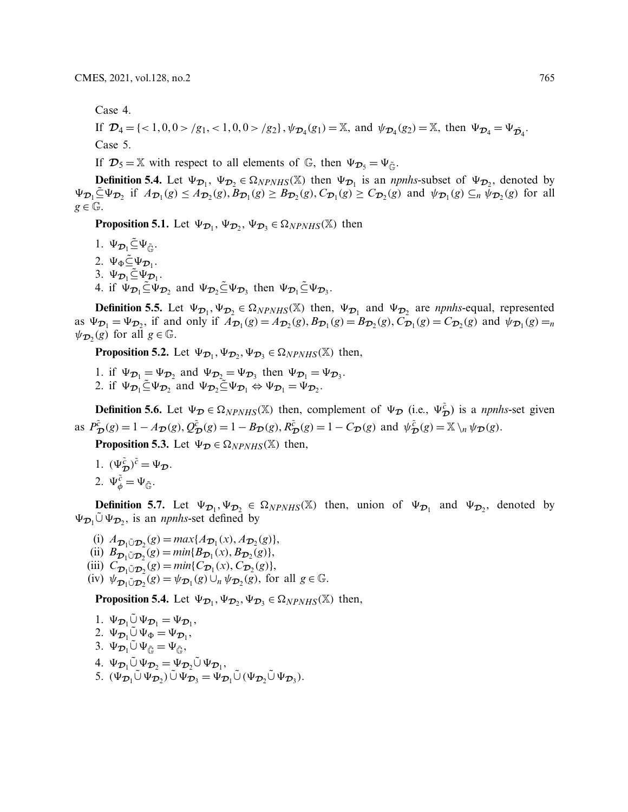Case 4.

If  $\mathcal{D}_4 = \{ \langle 1, 0, 0 \rangle / g_1, \langle 1, 0, 0 \rangle / g_2 \}, \psi_{\mathcal{D}_4}(g_1) = \mathbb{X}$ , and  $\psi_{\mathcal{D}_4}(g_2) = \mathbb{X}$ , then  $\Psi_{\mathcal{D}_4} = \Psi_{\mathcal{D}_4}$ . Case 5.

If  $\mathcal{D}_5 = \mathbb{X}$  with respect to all elements of  $\mathbb{G}$ , then  $\Psi_{\mathcal{D}_5} = \Psi_{\tilde{\mathbb{G}}}$ .

**Definition 5.4.** Let  $\Psi_{\mathcal{D}_1}$ ,  $\Psi_{\mathcal{D}_2} \in \Omega_{NPMHS}(\mathbb{X})$  then  $\Psi_{\mathcal{D}_1}$  is an *npnhs*-subset of  $\Psi_{\mathcal{D}_2}$ , denoted by  $\Psi_{\mathcal{D}_1} \subseteq \Psi_{\mathcal{D}_2}$  if  $A_{\mathcal{D}_1}(g) \leq A_{\mathcal{D}_2}(g), B_{\mathcal{D}_1}(g) \geq B_{\mathcal{D}_2}(g), C_{\mathcal{D}_1}(g) \geq C_{\mathcal{D}_2}(g)$  and  $\psi_{\mathcal{D}_1}(g) \subseteq_n \psi_{\mathcal{D}_2}(g)$  for all  $g \in \mathbb{G}$ .

**Proposition 5.1.** Let  $\Psi_{\mathcal{D}_1}$ ,  $\Psi_{\mathcal{D}_2}$ ,  $\Psi_{\mathcal{D}_3} \in \Omega_{NPNHS}(\mathbb{X})$  then

1.  $\Psi_{\mathcal{D}_1} \tilde{\subseteq} \Psi_{\tilde{\mathbb{C}}}.$ 2.  $\Psi_{\Phi} \tilde{\subseteq} \Psi_{\mathcal{D}_1}$ . 3.  $\Psi_{\mathcal{D}_1} \tilde{\subseteq} \Psi_{\mathcal{D}_1}$ . 4. if  $\Psi_{\mathcal{D}_1} \tilde{\subseteq} \Psi_{\mathcal{D}_2}$  and  $\Psi_{\mathcal{D}_2} \tilde{\subseteq} \Psi_{\mathcal{D}_3}$  then  $\Psi_{\mathcal{D}_1} \tilde{\subseteq} \Psi_{\mathcal{D}_3}$ .

**Definition 5.5.** Let  $\Psi_{\mathcal{D}_1}, \Psi_{\mathcal{D}_2} \in \Omega_{NPMHS}(\mathbb{X})$  then,  $\Psi_{\mathcal{D}_1}$  and  $\Psi_{\mathcal{D}_2}$  are *npnhs*-equal, represented as  $\Psi_{\mathcal{D}_1} = \Psi_{\mathcal{D}_2}$ , if and only if  $A_{\mathcal{D}_1}(g) = A_{\mathcal{D}_2}(g), B_{\mathcal{D}_1}(g) = B_{\mathcal{D}_2}(g), C_{\mathcal{D}_1}(g) = C_{\mathcal{D}_2}(g)$  and  $\Psi_{\mathcal{D}_1}(g) = n$  $\psi_{\mathcal{D}_2}(g)$  for all  $g \in \mathbb{G}$ .

**Proposition 5.2.** Let  $\Psi_{\mathcal{D}_1}, \Psi_{\mathcal{D}_2}, \Psi_{\mathcal{D}_3} \in \Omega_{NPNHS}(\mathbb{X})$  then,

1. if  $\Psi_{\mathcal{D}_1} = \Psi_{\mathcal{D}_2}$  and  $\Psi_{\mathcal{D}_2} = \Psi_{\mathcal{D}_3}$  then  $\Psi_{\mathcal{D}_1} = \Psi_{\mathcal{D}_3}$ . 2. if  $\Psi_{\mathcal{D}_1} \tilde{\subseteq} \Psi_{\mathcal{D}_2}$  and  $\Psi_{\mathcal{D}_2} \tilde{\subseteq} \Psi_{\mathcal{D}_1} \Leftrightarrow \Psi_{\mathcal{D}_1} = \Psi_{\mathcal{D}_2}$ .

**Definition 5.6.** Let  $\Psi_{\mathcal{D}} \in \Omega_{NPNHS}(\mathbb{X})$  then, complement of  $\Psi_{\mathcal{D}}$  (i.e.,  $\Psi_{\mathcal{D}}^{\tilde{c}}$ ) is a *npnhs*-set given as  $P_{\mathcal{D}}^{\tilde{c}}(g) = 1 - A_{\mathcal{D}}(g), Q_{\mathcal{D}}^{\tilde{c}}(g) = 1 - B_{\mathcal{D}}(g), R_{\mathcal{D}}^{\tilde{c}}(g) = 1 - C_{\mathcal{D}}(g)$  and  $\psi_{\mathcal{D}}^{\tilde{c}}(g) = \mathbb{X} \setminus_n \psi_{\mathcal{D}}(g)$ .

**Proposition 5.3.** Let  $\Psi_{\mathcal{D}} \in \Omega_{NPNHS}(\mathbb{X})$  then,

1.  $(\Psi_{\mathcal{D}}^{\tilde{c}})^{\tilde{c}} = \Psi_{\mathcal{D}}$ . 2.  $\Psi_{\phi}^{\tilde{c}} = \Psi_{\tilde{\mathbb{G}}}.$ 

**Definition 5.7.** Let  $\Psi_{\mathcal{D}_1}, \Psi_{\mathcal{D}_2} \in \Omega_{NPMHS}(\mathbb{X})$  then, union of  $\Psi_{\mathcal{D}_1}$  and  $\Psi_{\mathcal{D}_2}$ , denoted by  $\Psi_{\mathcal{D}_1} \tilde{\cup} \Psi_{\mathcal{D}_2}$ , is an *npnhs*-set defined by

(i)  $A_{\mathcal{D}_1 \cup \mathcal{D}_2}(g) = max\{A_{\mathcal{D}_1}(x), A_{\mathcal{D}_2}(g)\},\$  $\lim_{x \to 0} B_{\mathcal{D}_1 \cup \mathcal{D}_2}(g) = \min\{B_{\mathcal{D}_1}(x), B_{\mathcal{D}_2}(g)\},$ (iii)  $C_{\mathcal{D}_1 \cup \mathcal{D}_2}(g) = \min\{C_{\mathcal{D}_1}(x), C_{\mathcal{D}_2}(g)\},\$  $(\text{iv})$   $\psi_{\mathcal{D}_1 \cup \mathcal{D}_2}(g) = \psi_{\mathcal{D}_1}(g) \cup_n \psi_{\mathcal{D}_2}(g)$ , for all  $g \in \mathbb{G}$ .

**Proposition 5.4.** Let  $\Psi_{\mathcal{D}_1}, \Psi_{\mathcal{D}_2}, \Psi_{\mathcal{D}_3} \in \Omega_{NPNHS}(\mathbb{X})$  then,

1. 
$$
\Psi_{\mathcal{D}_1} \tilde{\cup} \Psi_{\mathcal{D}_1} = \Psi_{\mathcal{D}_1},
$$
  
\n2.  $\Psi_{\mathcal{D}_1} \tilde{\cup} \Psi_{\Phi} = \Psi_{\mathcal{D}_1},$   
\n3.  $\Psi_{\mathcal{D}_1} \tilde{\cup} \Psi_{\tilde{\mathbb{G}}} = \Psi_{\tilde{\mathbb{G}}},$   
\n4.  $\Psi_{\mathcal{D}_1} \tilde{\cup} \Psi_{\mathcal{D}_2} = \Psi_{\mathcal{D}_2} \tilde{\cup} \Psi_{\mathcal{D}_1},$   
\n5.  $(\Psi_{\mathcal{D}_1} \tilde{\cup} \Psi_{\mathcal{D}_2}) \tilde{\cup} \Psi_{\mathcal{D}_3} = \Psi_{\mathcal{D}_1} \tilde{\cup} (\Psi_{\mathcal{D}_2} \tilde{\cup} \Psi_{\mathcal{D}_3}).$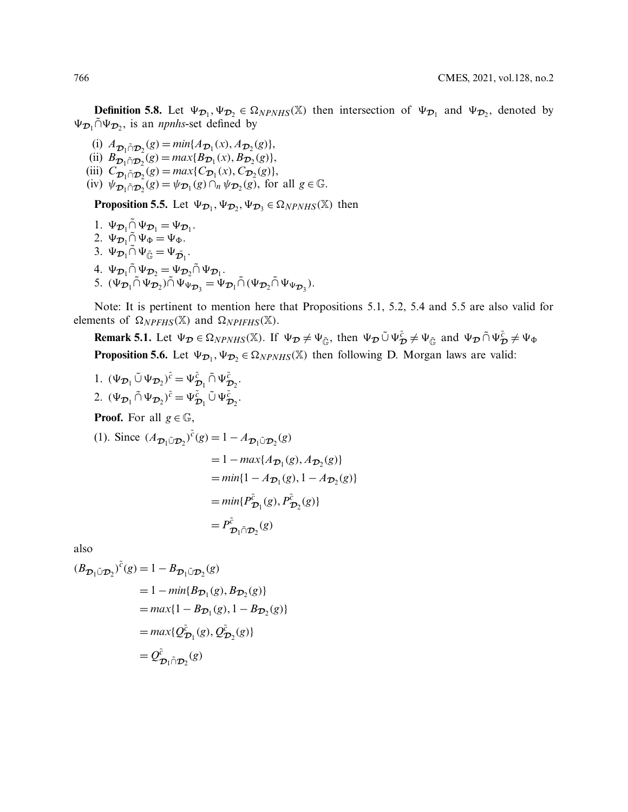**Definition 5.8.** Let  $\Psi_{\mathcal{D}_1}, \Psi_{\mathcal{D}_2} \in \Omega_{NPMHS}(\mathbb{X})$  then intersection of  $\Psi_{\mathcal{D}_1}$  and  $\Psi_{\mathcal{D}_2}$ , denoted by  $\Psi_{\mathcal{D}_1} \tilde{\cap} \Psi_{\mathcal{D}_2}$ , is an *npnhs*-set defined by

(i)  $A_{\mathcal{D}_1 \cap \mathcal{D}_2}(g) = \min\{A_{\mathcal{D}_1}(x), A_{\mathcal{D}_2}(g)\},\$  $\lim_{x \to 0} B_{\mathcal{D}_1 \cap \mathcal{D}_2}(g) = \max \{ B_{\mathcal{D}_1}(x), B_{\mathcal{D}_2}(g) \},$ (iii)  $C_{\mathcal{D}_1 \cap \mathcal{D}_2}(g) = max\{C_{\mathcal{D}_1}(x), C_{\mathcal{D}_2}(g)\},$  $(\text{iv})$   $\psi_{\mathcal{D}_1 \cap \mathcal{D}_2}(g) = \psi_{\mathcal{D}_1}(g) \cap_n \psi_{\mathcal{D}_2}(g)$ , for all  $g \in \mathbb{G}$ .

**Proposition 5.5.** Let  $\Psi_{\mathcal{D}_1}, \Psi_{\mathcal{D}_2}, \Psi_{\mathcal{D}_3} \in \Omega_{NPMHS}(\mathbb{X})$  then

1.  $\Psi_{\mathcal{D}_1} \tilde{\cap} \Psi_{\mathcal{D}_1} = \Psi_{\mathcal{D}_1}$ . 2.  $\Psi_{\mathcal{D}_1} \tilde{\cap} \Psi_{\Phi} = \Psi_{\Phi}$ . 3.  $\Psi_{\mathcal{D}_1} \tilde{\cap} \Psi_{\tilde{\mathbb{G}}} = \Psi_{\tilde{\mathcal{D}}_1}$ . 4.  $\Psi_{\mathcal{D}_1} \tilde{\cap} \Psi_{\mathcal{D}_2} = \Psi_{\mathcal{D}_2} \tilde{\cap} \Psi_{\mathcal{D}_1}$ . 5.  $(\Psi_{\mathcal{D}_1} \cap \Psi_{\mathcal{D}_2} \cap \Psi_{\Psi_{\mathcal{D}_3}} = \Psi_{\mathcal{D}_1} \cap (\Psi_{\mathcal{D}_2} \cap \Psi_{\Psi_{\mathcal{D}_3}}).$ 

Note: It is pertinent to mention here that Propositions 5.1, 5.2, 5.4 and 5.5 are also valid for elements of  $\Omega_{NPFHS}(\mathbb{X})$  and  $\Omega_{NPIFHS}(\mathbb{X})$ .

**Remark 5.1.** Let  $\Psi_{\mathcal{D}} \in \Omega_{NPNHS}(\mathbb{X})$ . If  $\Psi_{\mathcal{D}} \neq \Psi_{\tilde{\mathbb{G}}}$ , then  $\Psi_{\mathcal{D}} \tilde{\cup} \Psi_{\mathcal{D}}^{\tilde{c}} \neq \Psi_{\tilde{\mathbb{G}}}$  and  $\Psi_{\mathcal{D}} \tilde{\cap} \Psi_{\mathcal{D}}^{\tilde{c}} \neq \Psi_{\Phi}$ **Proposition 5.6.** Let  $\Psi_{\mathcal{D}_1}, \Psi_{\mathcal{D}_2} \in \Omega_{NPMHS}(\mathbb{X})$  then following D. Morgan laws are valid:

1.  $(\Psi_{\mathcal{D}_1} \tilde{\cup} \Psi_{\mathcal{D}_2})^{\tilde{c}} = \Psi_{\mathcal{D}_1}^{\tilde{c}} \tilde{\cap} \Psi_{\mathcal{D}_2}^{\tilde{c}}.$ 2.  $(\Psi_{\mathcal{D}_1} \tilde{\cap} \Psi_{\mathcal{D}_2})^{\tilde{c}} = \Psi_{\mathcal{D}_1}^{\tilde{c}} \tilde{\cup} \Psi_{\mathcal{D}_2}^{\tilde{c}}.$ **Proof.** For all  $g \in \mathbb{G}$ , (1). Since  $(A_{\mathcal{D}_1 \cup \mathcal{D}_2})^{\tilde{c}}(g) = 1 - A_{\mathcal{D}_1 \cup \mathcal{D}_2}(g)$  $= 1 - max\{A_{\mathcal{D}_1}(g), A_{\mathcal{D}_2}(g)\}$  $= min\{1 - A_{\mathcal{D}_1}(g), 1 - A_{\mathcal{D}_2}(g)\}$  $=min\{P_{\mathcal{D}_1}^{\tilde{c}}(g), P_{\mathcal{D}_2}^{\tilde{c}}(g)\}$  $= P^{\tilde{c}}_{\mathcal{D}_1 \cap \mathcal{D}_2}(g)$ 

also

$$
(B_{\mathcal{D}_1 \tilde{\cup} \mathcal{D}_2})^{\tilde{c}}(g) = 1 - B_{\mathcal{D}_1 \tilde{\cup} \mathcal{D}_2}(g)
$$
  
\n
$$
= 1 - \min\{B_{\mathcal{D}_1}(g), B_{\mathcal{D}_2}(g)\}
$$
  
\n
$$
= \max\{1 - B_{\mathcal{D}_1}(g), 1 - B_{\mathcal{D}_2}(g)\}
$$
  
\n
$$
= \max\{Q_{\mathcal{D}_1}^{\tilde{c}}(g), Q_{\mathcal{D}_2}^{\tilde{c}}(g)\}
$$
  
\n
$$
= Q_{\mathcal{D}_1 \tilde{\cap} \mathcal{D}_2}^{\tilde{c}}(g)
$$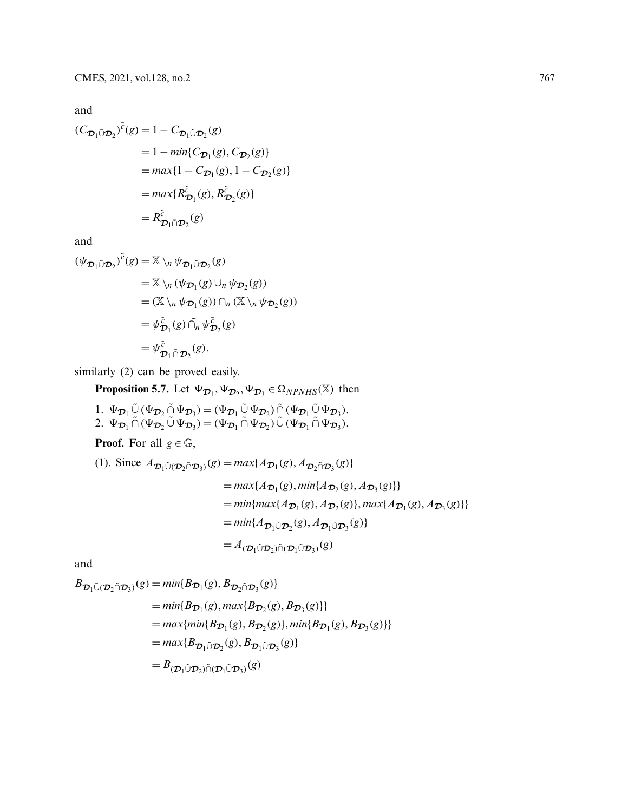and

$$
(C_{\mathcal{D}_1 \tilde{\cup} \mathcal{D}_2})^{\tilde{c}}(g) = 1 - C_{\mathcal{D}_1 \tilde{\cup} \mathcal{D}_2}(g)
$$
  
= 1 - min{C\_{\mathcal{D}\_1}(g), C\_{\mathcal{D}\_2}(g)}  
= max{1 - C\_{\mathcal{D}\_1}(g), 1 - C\_{\mathcal{D}\_2}(g)}  
= max{R\_{\mathcal{D}\_1}^{\tilde{c}}(g), R\_{\mathcal{D}\_2}^{\tilde{c}}(g)}  
= R\_{\mathcal{D}\_1 \tilde{\cap} \mathcal{D}\_2}^{\tilde{c}}(g)

and

$$
(\psi_{\mathcal{D}_1 \tilde{\cup} \mathcal{D}_2})^{\tilde{c}}(g) = \mathbb{X} \setminus_n \psi_{\mathcal{D}_1 \tilde{\cup} \mathcal{D}_2}(g)
$$
  
\n
$$
= \mathbb{X} \setminus_n (\psi_{\mathcal{D}_1}(g) \cup_n \psi_{\mathcal{D}_2}(g))
$$
  
\n
$$
= (\mathbb{X} \setminus_n \psi_{\mathcal{D}_1}(g)) \cap_n (\mathbb{X} \setminus_n \psi_{\mathcal{D}_2}(g))
$$
  
\n
$$
= \psi_{\mathcal{D}_1}^{\tilde{c}}(g) \cap_n \psi_{\mathcal{D}_2}^{\tilde{c}}(g)
$$
  
\n
$$
= \psi_{\mathcal{D}_1 \tilde{\cap} \mathcal{D}_2}^{\tilde{c}}(g).
$$

similarly (2) can be proved easily.

**Proposition 5.7.** Let  $\Psi_{\mathcal{D}_1}, \Psi_{\mathcal{D}_2}, \Psi_{\mathcal{D}_3} \in \Omega_{NPMHS}(\mathbb{X})$  then

1.  $\Psi_{\mathcal{D}_1} \tilde{\bigcup} (\Psi_{\mathcal{D}_2} \tilde{\bigcap} \Psi_{\mathcal{D}_3}) = (\Psi_{\mathcal{D}_1} \tilde{\bigcup} \Psi_{\mathcal{D}_2}) \tilde{\bigcap} (\Psi_{\mathcal{D}_1} \tilde{\bigcup} \Psi_{\mathcal{D}_3}).$ 2.  $\Psi_{\mathcal{D}_1} \cap (\Psi_{\mathcal{D}_2} \cup \Psi_{\mathcal{D}_3}) = (\Psi_{\mathcal{D}_1} \cap \Psi_{\mathcal{D}_2}) \cup (\Psi_{\mathcal{D}_1} \cap \Psi_{\mathcal{D}_3}).$ 

**Proof.** For all  $g \in \mathbb{G}$ ,

(1). Since 
$$
A_{\mathcal{D}_1 \tilde{\cup} (\mathcal{D}_2 \tilde{\cap} \mathcal{D}_3)}(g) = max\{A_{\mathcal{D}_1}(g), A_{\mathcal{D}_2 \tilde{\cap} \mathcal{D}_3}(g)\}
$$
  
\n
$$
= max\{A_{\mathcal{D}_1}(g), min\{A_{\mathcal{D}_2}(g), A_{\mathcal{D}_3}(g)\}\}
$$
\n
$$
= min\{max\{A_{\mathcal{D}_1}(g), A_{\mathcal{D}_2}(g)\}, max\{A_{\mathcal{D}_1}(g), A_{\mathcal{D}_3}(g)\}\}
$$
\n
$$
= min\{A_{\mathcal{D}_1 \tilde{\cup} \mathcal{D}_2}(g), A_{\mathcal{D}_1 \tilde{\cup} \mathcal{D}_3}(g)\}
$$
\n
$$
= A_{(\mathcal{D}_1 \tilde{\cup} \mathcal{D}_2) \tilde{\cap} (\mathcal{D}_1 \tilde{\cup} \mathcal{D}_3)}(g)
$$

and

$$
B_{\mathcal{D}_1 \tilde{\cup} (\mathcal{D}_2 \tilde{\cap} \mathcal{D}_3)}(g) = min\{B_{\mathcal{D}_1}(g), B_{\mathcal{D}_2 \tilde{\cap} \mathcal{D}_3}(g)\}
$$
  
\n
$$
= min\{B_{\mathcal{D}_1}(g), max\{B_{\mathcal{D}_2}(g), B_{\mathcal{D}_3}(g)\}\}
$$
  
\n
$$
= max\{min\{B_{\mathcal{D}_1}(g), B_{\mathcal{D}_2}(g)\}, min\{B_{\mathcal{D}_1}(g), B_{\mathcal{D}_3}(g)\}\}
$$
  
\n
$$
= max\{B_{\mathcal{D}_1 \tilde{\cup} \mathcal{D}_2}(g), B_{\mathcal{D}_1 \tilde{\cup} \mathcal{D}_3}(g)\}
$$
  
\n
$$
= B_{(\mathcal{D}_1 \tilde{\cup} \mathcal{D}_2) \tilde{\cap} (\mathcal{D}_1 \tilde{\cup} \mathcal{D}_3)}(g)
$$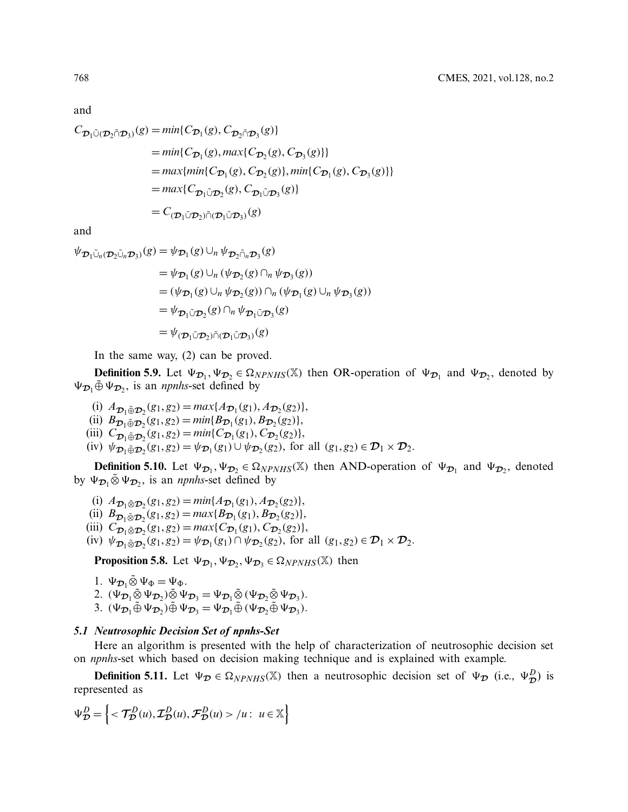and

$$
C_{\mathcal{D}_1 \tilde{\cup} (\mathcal{D}_2 \tilde{\cap} \mathcal{D}_3)}(g) = min\{C_{\mathcal{D}_1}(g), C_{\mathcal{D}_2 \tilde{\cap} \mathcal{D}_3}(g)\}
$$
  
\n
$$
= min\{C_{\mathcal{D}_1}(g), max\{C_{\mathcal{D}_2}(g), C_{\mathcal{D}_3}(g)\}\}
$$
  
\n
$$
= max\{min\{C_{\mathcal{D}_1}(g), C_{\mathcal{D}_2}(g)\}, min\{C_{\mathcal{D}_1}(g), C_{\mathcal{D}_3}(g)\}\}
$$
  
\n
$$
= max\{C_{\mathcal{D}_1 \tilde{\cup} \mathcal{D}_2}(g), C_{\mathcal{D}_1 \tilde{\cup} \mathcal{D}_3}(g)\}
$$
  
\n
$$
= C_{(\mathcal{D}_1 \tilde{\cup} \mathcal{D}_2) \tilde{\cap} (\mathcal{D}_1 \tilde{\cup} \mathcal{D}_3)}(g)
$$

and

$$
\psi_{\mathcal{D}_1 \tilde{\cup}_n(\mathcal{D}_2 \tilde{\cup}_n \mathcal{D}_3)}(g) = \psi_{\mathcal{D}_1}(g) \cup_n \psi_{\mathcal{D}_2 \tilde{\cap}_n \mathcal{D}_3}(g)
$$
  
\n
$$
= \psi_{\mathcal{D}_1}(g) \cup_n (\psi_{\mathcal{D}_2}(g) \cap_n \psi_{\mathcal{D}_3}(g))
$$
  
\n
$$
= (\psi_{\mathcal{D}_1}(g) \cup_n \psi_{\mathcal{D}_2}(g)) \cap_n (\psi_{\mathcal{D}_1}(g) \cup_n \psi_{\mathcal{D}_3}(g))
$$
  
\n
$$
= \psi_{\mathcal{D}_1 \tilde{\cup} \mathcal{D}_2}(g) \cap_n \psi_{\mathcal{D}_1 \tilde{\cup} \mathcal{D}_3}(g)
$$
  
\n
$$
= \psi_{(\mathcal{D}_1 \tilde{\cup} \mathcal{D}_2) \tilde{\cap} (\mathcal{D}_1 \tilde{\cup} \mathcal{D}_3)}(g)
$$

In the same way, (2) can be proved.

**Definition 5.9.** Let  $\Psi_{\mathcal{D}_1}, \Psi_{\mathcal{D}_2} \in \Omega_{NPMHS}(\mathbb{X})$  then OR-operation of  $\Psi_{\mathcal{D}_1}$  and  $\Psi_{\mathcal{D}_2}$ , denoted by  $\Psi_{\mathcal{D}_1} \oplus \Psi_{\mathcal{D}_2}$ , is an *npnhs*-set defined by

- (i)  $A_{\mathcal{D}_1 \oplus \mathcal{D}_2}(g_1, g_2) = max\{A_{\mathcal{D}_1}(g_1), A_{\mathcal{D}_2}(g_2)\},$
- (ii)  $B_{\mathcal{D}_1 \oplus \mathcal{D}_2}(g_1, g_2) = \min\{B_{\mathcal{D}_1}(g_1), B_{\mathcal{D}_2}(g_2)\},$
- (iii)  $C_{\mathcal{D}_1 \oplus \mathcal{D}_2}(g_1, g_2) = \min\{C_{\mathcal{D}_1}(g_1), C_{\mathcal{D}_2}(g_2)\},$
- $(\text{iv})$   $\psi_{\mathcal{D}_1 \oplus \mathcal{D}_2}(g_1, g_2) = \psi_{\mathcal{D}_1}(g_1) \cup \psi_{\mathcal{D}_2}(g_2)$ , for all  $(g_1, g_2) \in \mathcal{D}_1 \times \mathcal{D}_2$ .

**Definition 5.10.** Let  $\Psi_{\mathcal{D}_1}, \Psi_{\mathcal{D}_2} \in \Omega_{NPNHS}(\mathbb{X})$  then AND-operation of  $\Psi_{\mathcal{D}_1}$  and  $\Psi_{\mathcal{D}_2}$ , denoted by  $\Psi_{\mathcal{D}_1} \tilde{\otimes} \Psi_{\mathcal{D}_2}$ , is an *npnhs*-set defined by

- (i)  $A_{\mathcal{D}_1 \tilde{\otimes} \mathcal{D}_2} (g_1, g_2) = \min \{ A_{\mathcal{D}_1} (g_1), A_{\mathcal{D}_2} (g_2) \},$
- (ii)  $B_{\mathcal{D}_1 \tilde{\otimes} \mathcal{D}_2} (g_1, g_2) = max\{B_{\mathcal{D}_1}(g_1), B_{\mathcal{D}_2}(g_2)\},$
- (iii)  $C_{\mathcal{D}_1 \tilde{\otimes} \mathcal{D}_2}(g_1, g_2) = max\{C_{\mathcal{D}_1}(g_1), C_{\mathcal{D}_2}(g_2)\},$
- $(\text{iv})$   $\psi_{\mathcal{D}_1 \tilde{\otimes} \mathcal{D}_2} (g_1, g_2) = \psi_{\mathcal{D}_1} (g_1) \cap \psi_{\mathcal{D}_2} (g_2)$ , for all  $(g_1, g_2) \in \mathcal{D}_1 \times \mathcal{D}_2$ .

**Proposition 5.8.** Let  $\Psi_{\mathcal{D}_1}, \Psi_{\mathcal{D}_2}, \Psi_{\mathcal{D}_3} \in \Omega_{NPNHS}(\mathbb{X})$  then

1.  $\Psi_{\mathcal{D}_1} \tilde{\otimes} \Psi_{\Phi} = \Psi_{\Phi}$ . 2.  $(\Psi_{\mathcal{D}_1} \tilde{\otimes} \Psi_{\mathcal{D}_2}) \tilde{\otimes} \Psi_{\mathcal{D}_3} = \Psi_{\mathcal{D}_1} \tilde{\otimes} (\Psi_{\mathcal{D}_2} \tilde{\otimes} \Psi_{\mathcal{D}_3}).$ 

3.  $(\Psi_{\mathcal{D}_1} \tilde{\oplus} \Psi_{\mathcal{D}_2}) \tilde{\oplus} \Psi_{\mathcal{D}_3} = \Psi_{\mathcal{D}_1} \tilde{\oplus} (\Psi_{\mathcal{D}_2} \tilde{\oplus} \Psi_{\mathcal{D}_3}).$ 

### *5.1 Neutrosophic Decision Set of npnhs-Set*

Here an algorithm is presented with the help of characterization of neutrosophic decision set on *npnhs*-set which based on decision making technique and is explained with example.

**Definition 5.11.** Let  $\Psi_{\mathcal{D}} \in \Omega_{NPNHS}(\mathbb{X})$  then a neutrosophic decision set of  $\Psi_{\mathcal{D}}$  (i.e.,  $\Psi_{\mathcal{D}}^D$ ) is represented as

$$
\Psi_{\mathcal{D}}^D = \left\{ \langle \mathcal{T}_{\mathcal{D}}^D(u), \mathcal{I}_{\mathcal{D}}^D(u), \mathcal{F}_{\mathcal{D}}^D(u) \rangle / u : u \in \mathbb{X} \right\}
$$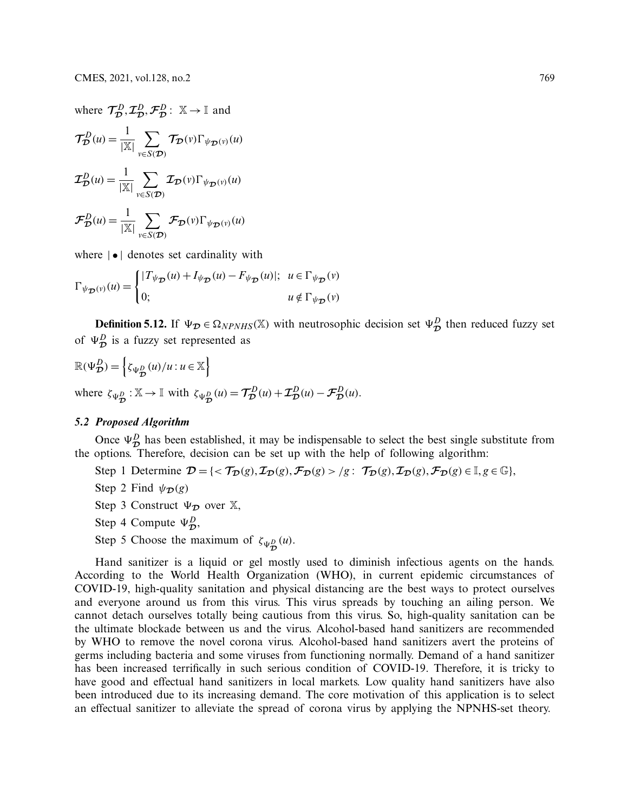where  $\mathcal{T}_{\mathcal{D}}^D, \mathcal{I}_{\mathcal{D}}^D, \mathcal{F}_{\mathcal{D}}^D: \mathbb{X} \to \mathbb{I}$  and  $\mathcal{T}_{\mathcal{D}}^{D}(u) = \frac{1}{|\mathbb{X}|}$  $\sum$ *v*∈*S*(*D*)  $\mathcal{T}_{\mathcal{D}}(\nu)\Gamma_{\psi_{\mathcal{D}}(\nu)}(u)$  $\mathcal{I}_{\mathcal{D}}^{D}(u) = \frac{1}{|\mathbb{X}|}$  $\sum$ *v*∈*S*(*D*)  $\mathcal{I}_{\mathcal{D}}(v)\Gamma_{\psi_{\mathcal{D}}(v)}(u)$  $\mathcal{F}_{\mathcal{D}}^D(u) = \frac{1}{|\mathbb{X}|}$  $\sum$ *v*∈*S*(*D*)  $\mathcal{F}_{\mathcal{D}}(\nu)\Gamma_{\psi_{\mathcal{D}}(\nu)}(u)$ 

where  $|\bullet|$  denotes set cardinality with

$$
\Gamma_{\psi_{\mathcal{D}}(v)}(u) = \begin{cases}\n|T_{\psi_{\mathcal{D}}}(u) + I_{\psi_{\mathcal{D}}}(u) - F_{\psi_{\mathcal{D}}}(u)|; & u \in \Gamma_{\psi_{\mathcal{D}}}(v) \\
0; & u \notin \Gamma_{\psi_{\mathcal{D}}}(v)\n\end{cases}
$$

**Definition 5.12.** If  $\Psi_{\mathcal{D}} \in \Omega_{NPNHS}(\mathbb{X})$  with neutrosophic decision set  $\Psi_{\mathcal{D}}^D$  then reduced fuzzy set of  $\Psi_{\mathcal{D}}^D$  is a fuzzy set represented as

$$
\mathbb{R}(\Psi_{\mathcal{D}}^{D}) = \left\{ \zeta_{\Psi_{\mathcal{D}}^{D}}(u)/u : u \in \mathbb{X} \right\}
$$
  
where  $\zeta_{\Psi_{\mathcal{D}}^{D}} : \mathbb{X} \to \mathbb{I}$  with  $\zeta_{\Psi_{\mathcal{D}}^{D}}(u) = \mathcal{T}_{\mathcal{D}}^{D}(u) + \mathcal{I}_{\mathcal{D}}^{D}(u) - \mathcal{F}_{\mathcal{D}}^{D}(u)$ .

#### *5.2 Proposed Algorithm*

Once  $\Psi_{\mathcal{D}}^D$  has been established, it may be indispensable to select the best single substitute from the options. Therefore, decision can be set up with the help of following algorithm:

- Step 1 Determine  $\mathcal{D} = \{ \langle \mathcal{T}_{\mathcal{D}}(g), \mathcal{I}_{\mathcal{D}}(g), \mathcal{F}_{\mathcal{D}}(g) \rangle | g : \mathcal{T}_{\mathcal{D}}(g), \mathcal{I}_{\mathcal{D}}(g), \mathcal{F}_{\mathcal{D}}(g) \in \mathbb{I}, g \in \mathbb{G} \},\$
- Step 2 Find  $\psi_{\mathcal{D}}(g)$
- Step 3 Construct  $\Psi_{\tau}$  over X,
- Step 4 Compute  $\Psi_{\mathcal{D}}^D$ ,
- Step 5 Choose the maximum of  $\zeta_{\Psi_{\mathcal{D}}^{D}}(u)$ .

Hand sanitizer is a liquid or gel mostly used to diminish infectious agents on the hands. According to the World Health Organization (WHO), in current epidemic circumstances of COVID-19, high-quality sanitation and physical distancing are the best ways to protect ourselves and everyone around us from this virus. This virus spreads by touching an ailing person. We cannot detach ourselves totally being cautious from this virus. So, high-quality sanitation can be the ultimate blockade between us and the virus. Alcohol-based hand sanitizers are recommended by WHO to remove the novel corona virus. Alcohol-based hand sanitizers avert the proteins of germs including bacteria and some viruses from functioning normally. Demand of a hand sanitizer has been increased terrifically in such serious condition of COVID-19. Therefore, it is tricky to have good and effectual hand sanitizers in local markets. Low quality hand sanitizers have also been introduced due to its increasing demand. The core motivation of this application is to select an effectual sanitizer to alleviate the spread of corona virus by applying the NPNHS-set theory.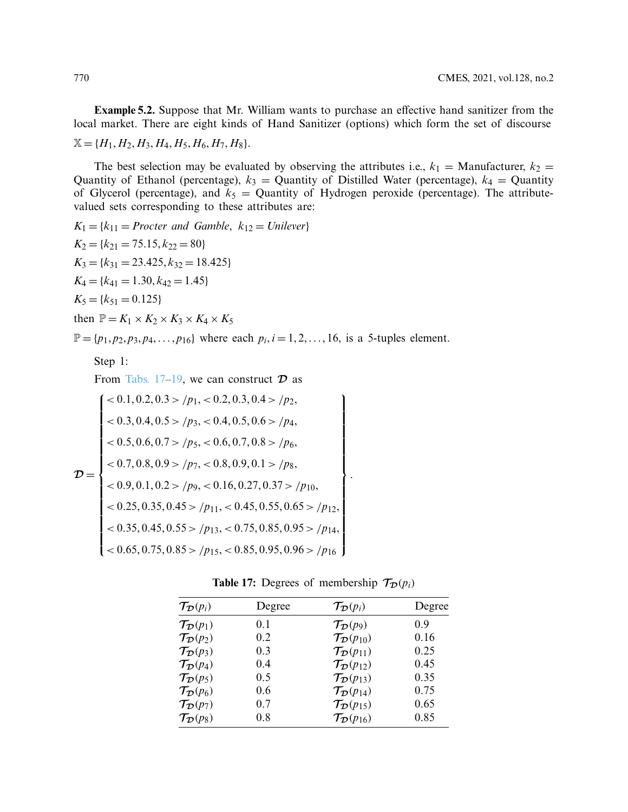**Example 5.2.** Suppose that Mr. William wants to purchase an effective hand sanitizer from the local market. There are eight kinds of Hand Sanitizer (options) which form the set of discourse  $\mathbb{X} = \{H_1, H_2, H_3, H_4, H_5, H_6, H_7, H_8\}.$ 

The best selection may be evaluated by observing the attributes i.e.,  $k_1$  = Manufacturer,  $k_2$  = Quantity of Ethanol (percentage),  $k_3$  = Quantity of Distilled Water (percentage),  $k_4$  = Quantity of Glycerol (percentage), and  $k_5$  = Quantity of Hydrogen peroxide (percentage). The attributevalued sets corresponding to these attributes are:

$$
K_1 = \{k_{11} = \text{Procter and Gamble, } k_{12} = \text{Unilever}\}
$$
\n
$$
K_2 = \{k_{21} = 75.15, k_{22} = 80\}
$$
\n
$$
K_3 = \{k_{31} = 23.425, k_{32} = 18.425\}
$$
\n
$$
K_4 = \{k_{41} = 1.30, k_{42} = 1.45\}
$$
\n
$$
K_5 = \{k_{51} = 0.125\}
$$
\n
$$
then \ \mathbb{P} = K_1 \times K_2 \times K_3 \times K_4 \times K_5
$$

 $\mathbb{P} = \{p_1, p_2, p_3, p_4, \ldots, p_{16}\}$  where each  $p_i, i = 1, 2, \ldots, 16$ , is a 5-tuples element.

Step 1:

From Tabs. 17–19, we can construct 
$$
D
$$
 as

$$
\mathcal{D} = \begin{cases}\n< 0.1, 0.2, 0.3 > /p_1, < 0.2, 0.3, 0.4 > /p_2, \\
< 0.3, 0.4, 0.5 > /p_3, < 0.4, 0.5, 0.6 > /p_4, \\
< 0.5, 0.6, 0.7 > /p_5, < 0.6, 0.7, 0.8 > /p_6, \\
< 0.7, 0.8, 0.9 > /p_7, < 0.8, 0.9, 0.1 > /p_8, \\
< 0.9, 0.1, 0.2 > /p_9, < 0.16, 0.27, 0.37 > /p_{10}, \\
< 0.25, 0.35, 0.45 > /p_{11}, < 0.45, 0.55, 0.65 > /p_{12}, \\
< 0.35, 0.45, 0.55 > /p_{13}, < 0.75, 0.85, 0.95 > /p_{14}, \\
< 0.65, 0.75, 0.85 > /p_{15}, < 0.85, 0.95, 0.96 > /p_{16}\n\end{cases}
$$

<span id="page-27-0"></span>

|  |  |  | <b>Table 17:</b> Degrees of membership $\mathcal{T}_{\mathcal{D}}(p_i)$ |  |  |
|--|--|--|-------------------------------------------------------------------------|--|--|
|--|--|--|-------------------------------------------------------------------------|--|--|

.

| $\mathcal{T}_{\mathcal{D}}(p_i)$ | Degree | $\mathcal{T}_{\mathcal{D}}(p_i)$    | Degree |
|----------------------------------|--------|-------------------------------------|--------|
| $\mathcal{T}_{\mathcal{D}}(p_1)$ | 0.1    | $\mathcal{T}_{\mathcal{D}}(p_9)$    | 0.9    |
| $\mathcal{T}_{\mathcal{D}}(p_2)$ | 0.2    | $\mathcal{T}_{\mathcal{D}}(p_{10})$ | 0.16   |
| $\mathcal{T}_{\mathcal{D}}(p_3)$ | 0.3    | $\mathcal{T}_{\mathcal{D}}(p_{11})$ | 0.25   |
| $\mathcal{T}_{\mathcal{D}}(p_4)$ | 0.4    | $\mathcal{T}_{\mathcal{D}}(p_{12})$ | 0.45   |
| $\mathcal{T}_{\mathcal{D}}(p_5)$ | 0.5    | $\mathcal{T}_{\mathcal{D}}(p_{13})$ | 0.35   |
| $\mathcal{T}_{\mathcal{D}}(p_6)$ | 0.6    | $\mathcal{T}_{\mathcal{D}}(p_{14})$ | 0.75   |
| $\mathcal{T}_{\mathcal{D}}(p_7)$ | 0.7    | $\mathcal{T}_{\mathcal{D}}(p_{15})$ | 0.65   |
| $\mathcal{T}_{\mathcal{D}}(p_8)$ | 0.8    | $\mathcal{T}_{\mathcal{D}}(p_{16})$ | 0.85   |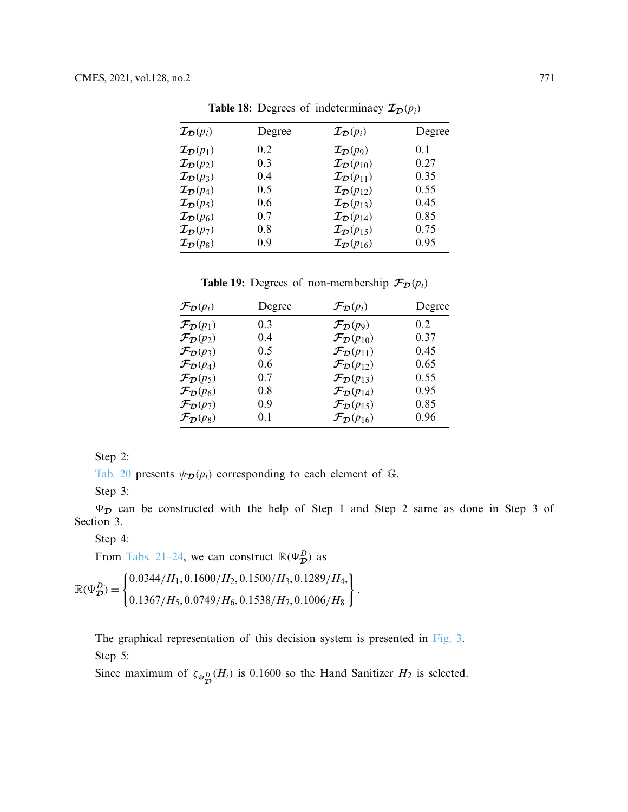| $\mathcal{I}_{\mathcal{D}}(p_i)$ | Degree | $\mathcal{I}_{\mathcal{D}}(p_i)$    | Degree |
|----------------------------------|--------|-------------------------------------|--------|
| $\mathcal{I}_{\mathcal{D}}(p_1)$ | 0.2    | $\mathcal{I}_{\mathcal{D}}(p_9)$    | 0.1    |
| $\mathcal{I}_{\mathcal{D}}(p_2)$ | 0.3    | $\mathcal{I}_{\mathcal{D}}(p_{10})$ | 0.27   |
| $\mathcal{I}_{\mathcal{D}}(p_3)$ | 0.4    | $\mathcal{I}_{\mathcal{D}}(p_{11})$ | 0.35   |
| $\mathcal{I}_{\mathcal{D}}(p_4)$ | 0.5    | $\mathcal{I}_{\mathcal{D}}(p_{12})$ | 0.55   |
| $\mathcal{I}_{\mathcal{D}}(p_5)$ | 0.6    | $\mathcal{I}_{\mathcal{D}}(p_{13})$ | 0.45   |
| $\mathcal{I}_{\mathcal{D}}(p_6)$ | 0.7    | $\mathcal{I}_{\mathcal{D}}(p_{14})$ | 0.85   |
| $\mathcal{I}_{\mathcal{D}}(p_7)$ | 0.8    | $\mathcal{I}_{\mathcal{D}}(p_{15})$ | 0.75   |
| $\mathcal{I}_{\mathcal{D}}(p_8)$ | 0.9    | $\mathcal{I}_{\mathcal{D}}(p_{16})$ | 0.95   |

**Table 18:** Degrees of indeterminacy  $\mathcal{I}_{\mathcal{D}}(p_i)$ 

<span id="page-28-0"></span>**Table 19:** Degrees of non-membership  $\mathcal{F}_D(p_i)$ 

| $\mathcal{F}_{\mathcal{D}}(p_i)$ | Degree | $\mathcal{F}_{\mathcal{D}}(p_i)$    | Degree |
|----------------------------------|--------|-------------------------------------|--------|
| $\mathcal{F}_{\mathcal{D}}(p_1)$ | 0.3    | $\mathcal{F}_{\mathcal{D}}(p_9)$    | 0.2    |
| $\mathcal{F}_{\mathcal{D}}(p_2)$ | 0.4    | $\mathcal{F}_{\mathcal{D}}(p_{10})$ | 0.37   |
| $\mathcal{F}_{\mathcal{D}}(p_3)$ | 0.5    | $\mathcal{F}_{\mathcal{D}}(p_{11})$ | 0.45   |
| $\mathcal{F}_{\mathcal{D}}(p_4)$ | 0.6    | $\mathcal{F}_{\mathcal{D}}(p_{12})$ | 0.65   |
| $\mathcal{F}_{\mathcal{D}}(p_5)$ | 0.7    | $\mathcal{F}_{\mathcal{D}}(p_{13})$ | 0.55   |
| $\mathcal{F}_{\mathcal{D}}(p_6)$ | 0.8    | $\mathcal{F}_{\mathcal{D}}(p_{14})$ | 0.95   |
| $\mathcal{F}_{\mathcal{D}}(p_7)$ | 0.9    | $\mathcal{F}_{\mathcal{D}}(p_{15})$ | 0.85   |
| $\mathcal{F}_{\mathcal{D}}(p_8)$ | 0.1    | $\mathcal{F}_{\mathcal{D}}(p_{16})$ | 0.96   |

Step 2:

[Tab. 20](#page-29-0) presents  $\psi_{\mathcal{D}}(p_i)$  corresponding to each element of  $\mathbb{G}$ .

Step 3:

 $\Psi_{\mathcal{D}}$  can be constructed with the help of Step 1 and Step 2 same as done in Step 3 of Section 3.

Step 4:

From [Tabs. 21](#page-29-1)[–24,](#page-30-0) we can construct  $\mathbb{R}(\Psi_{\mathcal{D}}^D)$  as

$$
\mathbb{R}(\Psi_{\mathcal{D}}^{D}) = \begin{Bmatrix} 0.0344/H_1, 0.1600/H_2, 0.1500/H_3, 0.1289/H_4, \\ 0.1367/H_5, 0.0749/H_6, 0.1538/H_7, 0.1006/H_8 \end{Bmatrix}.
$$

The graphical representation of this decision system is presented in [Fig. 3.](#page-30-1) Step 5:

Since maximum of  $\zeta_{\Psi_{\mathcal{D}}^{D}}(H_i)$  is 0.1600 so the Hand Sanitizer  $H_2$  is selected.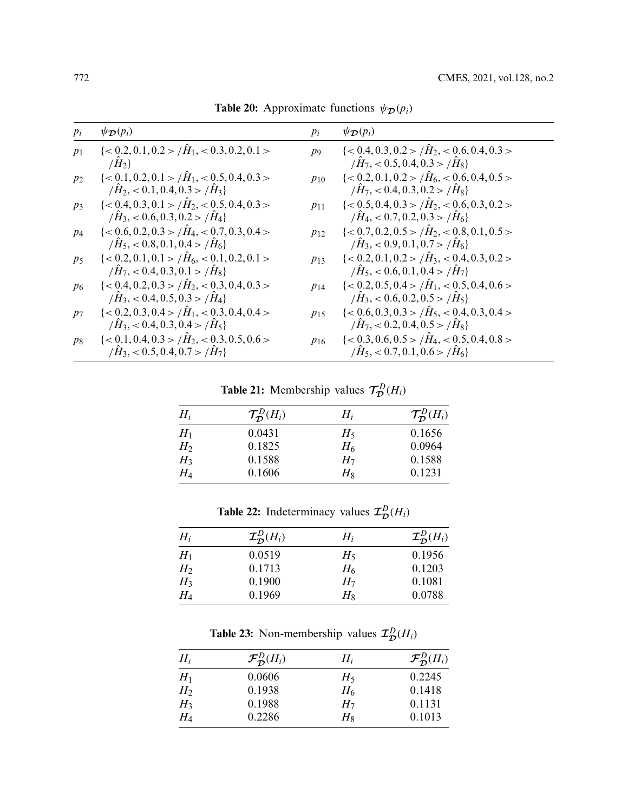| $p_i$ | $\psi_{\mathcal{D}}(p_i)$                                                                                                        | $p_i$    | $\psi_{\mathcal{D}}(p_i)$                                                                                                       |
|-------|----------------------------------------------------------------------------------------------------------------------------------|----------|---------------------------------------------------------------------------------------------------------------------------------|
| $p_1$ | $\leq 0.2, 0.1, 0.2 > \tilde{H}_1, < 0.3, 0.2, 0.1 >$<br>$/H_2$                                                                  | $p_{9}$  | $\leq 0.4, 0.3, 0.2 > /H_2, < 0.6, 0.4, 0.3 >$<br>$/H_7 < 0.5, 0.4, 0.3 > /H_8$                                                 |
| $p_2$ | $\le 0.1, 0.2, 0.1 > \tilde{H}_1, < 0.5, 0.4, 0.3 >$<br>$\langle \hat{H}_2, <0.1, 0.4, 0.3 \rangle / \hat{H}_3$                  | $p_{10}$ | $\leq 0.2, 0.1, 0.2 > \hat{H}_6, \leq 0.6, 0.4, 0.5 >$<br>$\langle \hat{H}7, \langle 0.4, 0.3, 0.2 \rangle / \hat{H}_8 \rangle$ |
| $p_3$ | $\leq 0.4, 0.3, 0.1 > \hat{H}_2, \leq 0.5, 0.4, 0.3 >$<br>$\langle \hat{H}_3, \langle 0.6, 0.3, 0.2 \rangle / \hat{H}_4 \rangle$ | $p_{11}$ | $\leq 0.5, 0.4, 0.3 > / \hat{H}_2, < 0.6, 0.3, 0.2 >$<br>$\hat{H}_4$ , < 0.7, 0.2, 0.3 > $\hat{H}_6$                            |
| $p_4$ | $\leq 0.6, 0.2, 0.3 > / \hat{H}_4, < 0.7, 0.3, 0.4 >$<br>$\langle \hat{H}_5, < 0.8, 0.1, 0.4 \rangle$                            | $p_{12}$ | $\leq 0.7, 0.2, 0.5 > / \hat{H}_2, < 0.8, 0.1, 0.5 >$<br>$\langle \hat{H}_3, \langle 0.9, 0.1, 0.7 \rangle / \hat{H}_6 \rangle$ |
| $p_5$ | $\leq 0.2, 0.1, 0.1 > \hat{H}_6, \leq 0.1, 0.2, 0.1 >$<br>$\langle \hat{H}_7, <0.4, 0.3, 0.1 \rangle$ / $\hat{H}_8$ }            | $p_{13}$ | $\leq 0.2, 0.1, 0.2 > \hat{H}_3, \leq 0.4, 0.3, 0.2 >$<br>$\langle \hat{H}_5, <0.6, 0.1, 0.4 \rangle$                           |
| $p_6$ | $\leq 0.4, 0.2, 0.3 > / \hat{H}_2, < 0.3, 0.4, 0.3 >$<br>$\langle \hat{H}_3, \langle 0.4, 0.5, 0.3 \rangle / \hat{H}_4 \rangle$  | $p_{14}$ | $\leq 0.2, 0.5, 0.4 > /H_1, < 0.5, 0.4, 0.6 >$<br>$\langle \hat{H}_3, <0.6, 0.2, 0.5 \rangle / \hat{H}_5$                       |
| $p_7$ | $\leq 0.2, 0.3, 0.4 > /H_1, < 0.3, 0.4, 0.4 >$<br>$\langle \hat{H}_3, <0.4, 0.3, 0.4 \rangle$ $\langle \hat{H}_5 \rangle$        | $p_{15}$ | $\leq 0.6, 0.3, 0.3 > / \hat{H}_5, < 0.4, 0.3, 0.4 >$<br>$\langle \hat{H}_7, \langle 0.2, 0.4, 0.5 \rangle / \hat{H}_8 \rangle$ |
| $p_8$ | $\leq 0.1, 0.4, 0.3 > /H2, < 0.3, 0.5, 0.6 >$<br>$\langle \hat{H}_3, \langle 0.5, 0.4, 0.7 \rangle$ / $\hat{H}_7$ }              | $p_{16}$ | $\leq 0.3, 0.6, 0.5 > /H_4, < 0.5, 0.4, 0.8 >$<br>$\langle \hat{H}_5, \langle 0.7, 0.1, 0.6 \rangle / \hat{H}_6 \rangle$        |

<span id="page-29-0"></span>**Table 20:** Approximate functions  $\psi_{\mathcal{D}}(p_i)$ 

<span id="page-29-1"></span>**Table 21:** Membership values  $\mathcal{T}_{\mathcal{D}}^{D}(H_i)$ 

| $H_i$          | $\mathcal{T}_{\mathcal{D}}^D(H_i)$ | $H_i$ | $\mathcal{T}_{\mathcal{D}}^D(H_i)$ |
|----------------|------------------------------------|-------|------------------------------------|
| $H_1$          | 0.0431                             | $H_5$ | 0.1656                             |
| H <sub>2</sub> | 0.1825                             | $H_6$ | 0.0964                             |
| $H_3$          | 0.1588                             | $H_7$ | 0.1588                             |
| $H_4$          | 0.1606                             | $H_8$ | 0.1231                             |

**Table 22:** Indeterminacy values  $\mathcal{I}_{\mathcal{D}}^D(H_i)$ 

| $H_i$ | $\mathcal{I}_{\mathcal{D}}^D(H_i)$ | $H_i$ | $\mathcal{I}_{\mathcal{D}}^D(H_i)$ |
|-------|------------------------------------|-------|------------------------------------|
| $H_1$ | 0.0519                             | $H_5$ | 0.1956                             |
| $H_2$ | 0.1713                             | $H_6$ | 0.1203                             |
| $H_3$ | 0.1900                             | $H_7$ | 0.1081                             |
| $H_4$ | 0.1969                             | $H_8$ | 0.0788                             |
|       |                                    |       |                                    |

**Table 23:** Non-membership values  $\mathcal{I}_{\mathcal{D}}^{D}(H_i)$ 

| $H_i$          | $\mathcal{F}_{\mathcal{D}}^D(H_i)$ | $H_i$ | $\mathcal{F}_{\mathcal{D}}^D(H_i)$ |
|----------------|------------------------------------|-------|------------------------------------|
| $H_1$          | 0.0606                             | $H_5$ | 0.2245                             |
| H <sub>2</sub> | 0.1938                             | $H_6$ | 0.1418                             |
| $H_3$          | 0.1988                             | $H_7$ | 0.1131                             |
| $H_4$          | 0.2286                             | $H_8$ | 0.1013                             |
|                |                                    |       |                                    |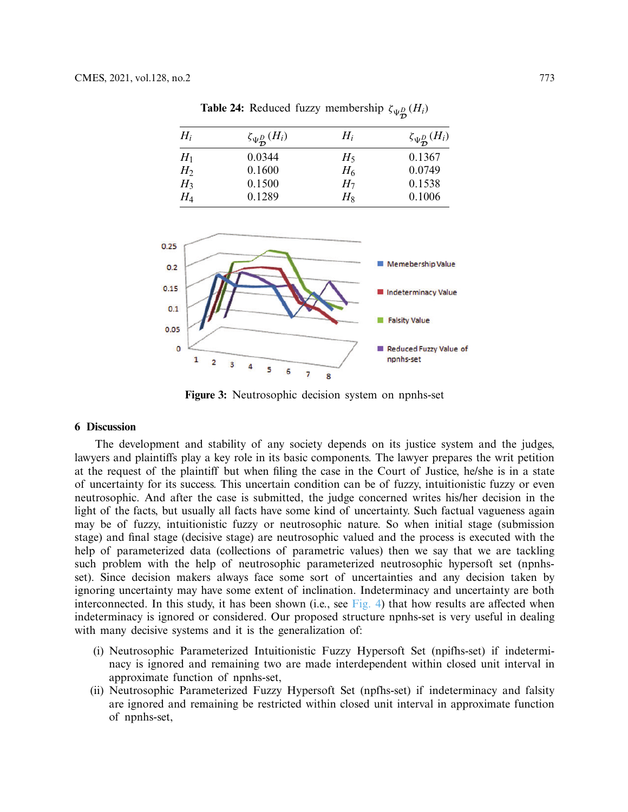| $H_i$ | $\zeta_{\Psi_{\mathbf{D}}^{D}}(H_{i})$ | $H_i$ | $\zeta_{\Psi_{\mathcal{D}}^{D}}(H_{i})$ |
|-------|----------------------------------------|-------|-----------------------------------------|
| $H_1$ | 0.0344                                 | $H_5$ | 0.1367                                  |
| $H_2$ | 0.1600                                 | $H_6$ | 0.0749                                  |
| $H_3$ | 0.1500                                 | $H_7$ | 0.1538                                  |
| $H_4$ | 0.1289                                 | $H_8$ | 0.1006                                  |

<span id="page-30-0"></span>**Table 24:** Reduced fuzzy membership  $\zeta_{\Psi_{\mathcal{D}}^{D}}(H_i)$ 



<span id="page-30-1"></span>**Figure 3:** Neutrosophic decision system on npnhs-set

### **6 Discussion**

The development and stability of any society depends on its justice system and the judges, lawyers and plaintiffs play a key role in its basic components. The lawyer prepares the writ petition at the request of the plaintiff but when filing the case in the Court of Justice, he/she is in a state of uncertainty for its success. This uncertain condition can be of fuzzy, intuitionistic fuzzy or even neutrosophic. And after the case is submitted, the judge concerned writes his/her decision in the light of the facts, but usually all facts have some kind of uncertainty. Such factual vagueness again may be of fuzzy, intuitionistic fuzzy or neutrosophic nature. So when initial stage (submission stage) and final stage (decisive stage) are neutrosophic valued and the process is executed with the help of parameterized data (collections of parametric values) then we say that we are tackling such problem with the help of neutrosophic parameterized neutrosophic hypersoft set (npnhsset). Since decision makers always face some sort of uncertainties and any decision taken by ignoring uncertainty may have some extent of inclination. Indeterminacy and uncertainty are both interconnected. In this study, it has been shown (i.e., see [Fig. 4\)](#page-31-0) that how results are affected when indeterminacy is ignored or considered. Our proposed structure npnhs-set is very useful in dealing with many decisive systems and it is the generalization of:

- (i) Neutrosophic Parameterized Intuitionistic Fuzzy Hypersoft Set (npifhs-set) if indeterminacy is ignored and remaining two are made interdependent within closed unit interval in approximate function of npnhs-set,
- (ii) Neutrosophic Parameterized Fuzzy Hypersoft Set (npfhs-set) if indeterminacy and falsity are ignored and remaining be restricted within closed unit interval in approximate function of npnhs-set,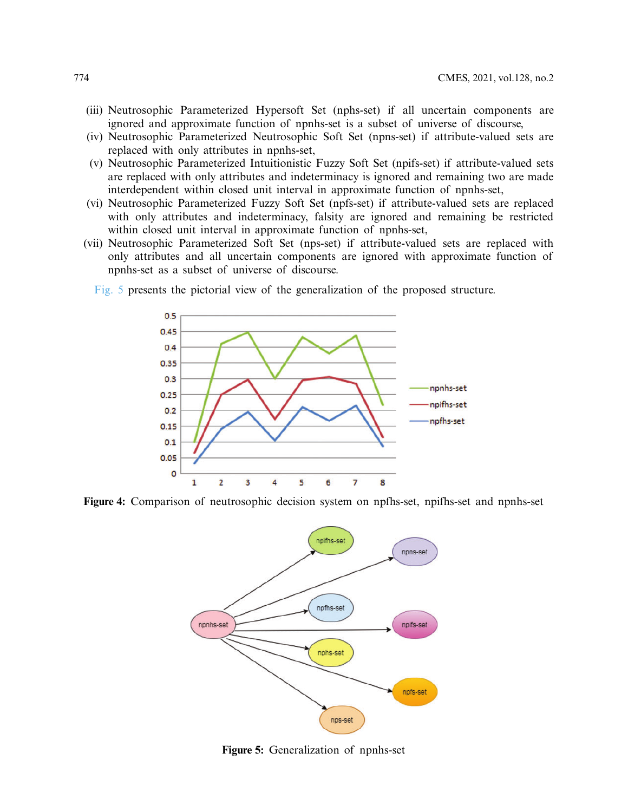- (iii) Neutrosophic Parameterized Hypersoft Set (nphs-set) if all uncertain components are ignored and approximate function of npnhs-set is a subset of universe of discourse,
- (iv) Neutrosophic Parameterized Neutrosophic Soft Set (npns-set) if attribute-valued sets are replaced with only attributes in npnhs-set,
- (v) Neutrosophic Parameterized Intuitionistic Fuzzy Soft Set (npifs-set) if attribute-valued sets are replaced with only attributes and indeterminacy is ignored and remaining two are made interdependent within closed unit interval in approximate function of npnhs-set,
- (vi) Neutrosophic Parameterized Fuzzy Soft Set (npfs-set) if attribute-valued sets are replaced with only attributes and indeterminacy, falsity are ignored and remaining be restricted within closed unit interval in approximate function of npnhs-set,
- (vii) Neutrosophic Parameterized Soft Set (nps-set) if attribute-valued sets are replaced with only attributes and all uncertain components are ignored with approximate function of npnhs-set as a subset of universe of discourse.
	- [Fig. 5](#page-31-1) presents the pictorial view of the generalization of the proposed structure.



**Figure 4:** Comparison of neutrosophic decision system on npfhs-set, npifhs-set and npnhs-set

<span id="page-31-0"></span>

<span id="page-31-1"></span>**Figure 5:** Generalization of npnhs-set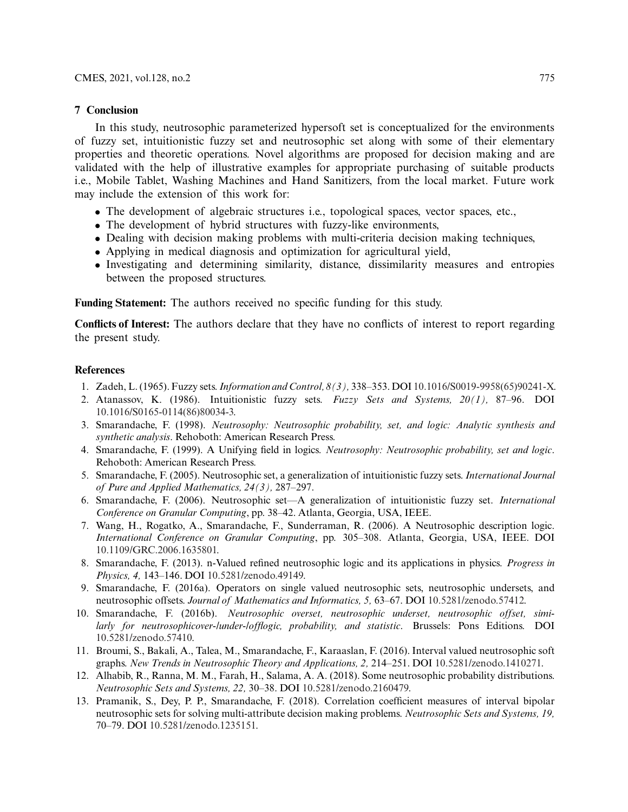### **7 Conclusion**

In this study, neutrosophic parameterized hypersoft set is conceptualized for the environments of fuzzy set, intuitionistic fuzzy set and neutrosophic set along with some of their elementary properties and theoretic operations. Novel algorithms are proposed for decision making and are validated with the help of illustrative examples for appropriate purchasing of suitable products i.e., Mobile Tablet, Washing Machines and Hand Sanitizers, from the local market. Future work may include the extension of this work for:

- The development of algebraic structures i.e., topological spaces, vector spaces, etc.,
- The development of hybrid structures with fuzzy-like environments,
- Dealing with decision making problems with multi-criteria decision making techniques,
- Applying in medical diagnosis and optimization for agricultural yield,
- Investigating and determining similarity, distance, dissimilarity measures and entropies between the proposed structures.

**Funding Statement:** The authors received no specific funding for this study.

**Conflicts of Interest:** The authors declare that they have no conflicts of interest to report regarding the present study.

### **References**

- <span id="page-32-0"></span>1. Zadeh, L. (1965). Fuzzy sets.*Information and Control, 8(3),* 338–353. DOI [10.1016/S0019-9958\(65\)90241-X.](http://dx.doi.org/10.1016/S0019-9958(65)90241-X)
- <span id="page-32-1"></span>2. Atanassov, K. (1986). Intuitionistic fuzzy sets. *Fuzzy Sets and Systems, 20(1),* 87–96. DOI [10.1016/S0165-0114\(86\)80034-3.](http://dx.doi.org/10.1016/S0165-0114(86)80034-3)
- <span id="page-32-2"></span>3. Smarandache, F. (1998). *Neutrosophy: Neutrosophic probability, set, and logic: Analytic synthesis and synthetic analysis*. Rehoboth: American Research Press.
- <span id="page-32-3"></span>4. Smarandache, F. (1999). A Unifying field in logics. *Neutrosophy: Neutrosophic probability, set and logic*. Rehoboth: American Research Press.
- <span id="page-32-4"></span>5. Smarandache, F. (2005). Neutrosophic set, a generalization of intuitionistic fuzzy sets. *International Journal of Pure and Applied Mathematics, 24(3),* 287–297.
- 6. Smarandache, F. (2006). Neutrosophic set—A generalization of intuitionistic fuzzy set. *International Conference on Granular Computing*, pp. 38–42. Atlanta, Georgia, USA, IEEE.
- 7. Wang, H., Rogatko, A., Smarandache, F., Sunderraman, R. (2006). A Neutrosophic description logic. *International Conference on Granular Computing*, pp. 305–308. Atlanta, Georgia, USA, IEEE. DOI [10.1109/GRC.2006.1635801.](http://dx.doi.org/10.1109/GRC.2006.1635801)
- 8. Smarandache, F. (2013). n-Valued refined neutrosophic logic and its applications in physics. *Progress in Physics, 4,* 143–146. DOI [10.5281/zenodo.49149.](http://dx.doi.org/10.5281/zenodo.49149)
- 9. Smarandache, F. (2016a). Operators on single valued neutrosophic sets, neutrosophic undersets, and neutrosophic offsets. *Journal of Mathematics and Informatics, 5,* 63–67. DOI [10.5281/zenodo.57412.](http://dx.doi.org/10.5281/zenodo.57412)
- 10. Smarandache, F. (2016b). *Neutrosophic overset, neutrosophic underset, neutrosophic offset, similarly for neutrosophicover-/under-/offlogic, probability, and statistic*. Brussels: Pons Editions. DOI [10.5281/zenodo.57410.](http://dx.doi.org/10.5281/zenodo.57410)
- 11. Broumi, S., Bakali, A., Talea, M., Smarandache, F., Karaaslan, F. (2016). Interval valued neutrosophic soft graphs. *New Trends in Neutrosophic Theory and Applications, 2,* 214–251. DOI [10.5281/zenodo.1410271.](http://dx.doi.org/10.5281/zenodo.1410271)
- 12. Alhabib, R., Ranna, M. M., Farah, H., Salama, A. A. (2018). Some neutrosophic probability distributions. *Neutrosophic Sets and Systems, 22,* 30–38. DOI [10.5281/zenodo.2160479.](http://dx.doi.org/10.5281/zenodo.2160479)
- 13. Pramanik, S., Dey, P. P., Smarandache, F. (2018). Correlation coefficient measures of interval bipolar neutrosophic sets for solving multi-attribute decision making problems. *Neutrosophic Sets and Systems, 19,* 70–79. DOI [10.5281/zenodo.1235151.](http://dx.doi.org/10.5281/zenodo.1235151)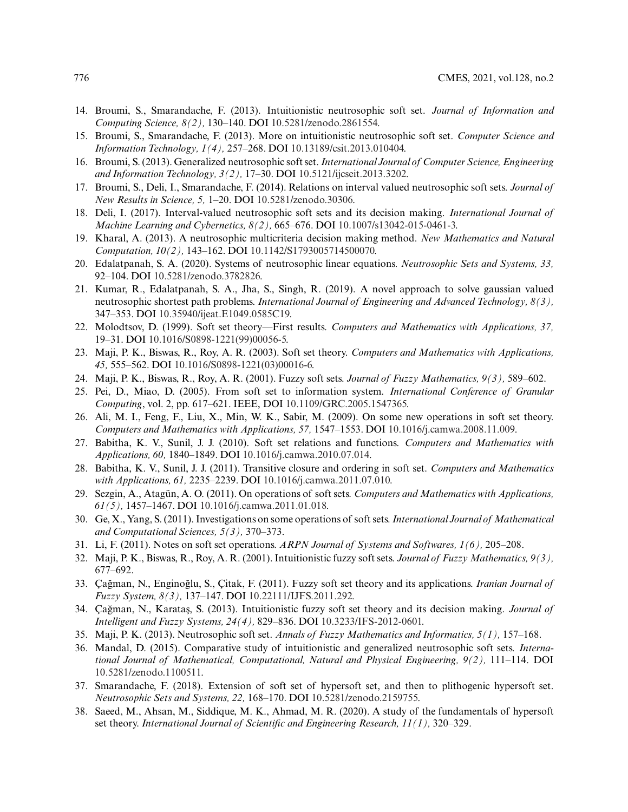- 14. Broumi, S., Smarandache, F. (2013). Intuitionistic neutrosophic soft set. *Journal of Information and Computing Science, 8(2),* 130–140. DOI [10.5281/zenodo.2861554.](http://dx.doi.org/10.5281/zenodo.2861554)
- 15. Broumi, S., Smarandache, F. (2013). More on intuitionistic neutrosophic soft set. *Computer Science and Information Technology, 1(4),* 257–268. DOI [10.13189/csit.2013.010404.](http://dx.doi.org/10.13189/csit.2013.010404)
- 16. Broumi, S. (2013). Generalized neutrosophic soft set. *International Journal of Computer Science, Engineering and Information Technology, 3(2),* 17–30. DOI [10.5121/ijcseit.2013.3202.](http://dx.doi.org/10.5121/ijcseit.2013.3202)
- 17. Broumi, S., Deli, I., Smarandache, F. (2014). Relations on interval valued neutrosophic soft sets. *Journal of New Results in Science, 5,* 1–20. DOI [10.5281/zenodo.30306.](http://dx.doi.org/10.5281/zenodo.30306)
- 18. Deli, I. (2017). Interval-valued neutrosophic soft sets and its decision making. *International Journal of Machine Learning and Cybernetics, 8(2),* 665–676. DOI [10.1007/s13042-015-0461-3.](http://dx.doi.org/10.1007/s13042-015-0461-3)
- <span id="page-33-0"></span>19. Kharal, A. (2013). A neutrosophic multicriteria decision making method. *New Mathematics and Natural Computation, 10(2),* 143–162. DOI [10.1142/S1793005714500070.](http://dx.doi.org/10.1142/S1793005714500070)
- <span id="page-33-1"></span>20. Edalatpanah, S. A. (2020). Systems of neutrosophic linear equations. *Neutrosophic Sets and Systems, 33,* 92–104. DOI [10.5281/zenodo.3782826.](http://dx.doi.org/10.5281/zenodo.3782826)
- <span id="page-33-2"></span>21. Kumar, R., Edalatpanah, S. A., Jha, S., Singh, R. (2019). A novel approach to solve gaussian valued neutrosophic shortest path problems. *International Journal of Engineering and Advanced Technology, 8(3),* 347–353. DOI [10.35940/ijeat.E1049.0585C19.](http://dx.doi.org/10.35940/ijeat.E1049.0585C19)
- <span id="page-33-3"></span>22. Molodtsov, D. (1999). Soft set theory—First results. *Computers and Mathematics with Applications, 37,* 19–31. DOI [10.1016/S0898-1221\(99\)00056-5.](http://dx.doi.org/10.1016/S0898-1221(99)00056-5)
- <span id="page-33-4"></span>23. Maji, P. K., Biswas, R., Roy, A. R. (2003). Soft set theory. *Computers and Mathematics with Applications, 45,* 555–562. DOI [10.1016/S0898-1221\(03\)00016-6.](http://dx.doi.org/10.1016/S0898-1221(03)00016-6)
- 24. Maji, P. K., Biswas, R., Roy, A. R. (2001). Fuzzy soft sets. *Journal of Fuzzy Mathematics, 9(3),* 589–602.
- 25. Pei, D., Miao, D. (2005). From soft set to information system. *International Conference of Granular Computing*, vol. 2, pp. 617–621. IEEE, DOI [10.1109/GRC.2005.1547365.](http://dx.doi.org/10.1109/GRC.2005.1547365)
- 26. Ali, M. I., Feng, F., Liu, X., Min, W. K., Sabir, M. (2009). On some new operations in soft set theory. *Computers and Mathematics with Applications, 57,* 1547–1553. DOI [10.1016/j.camwa.2008.11.009.](http://dx.doi.org/10.1016/j.camwa.2008.11.009)
- 27. Babitha, K. V., Sunil, J. J. (2010). Soft set relations and functions. *Computers and Mathematics with Applications, 60,* 1840–1849. DOI [10.1016/j.camwa.2010.07.014.](http://dx.doi.org/10.1016/j.camwa.2010.07.014)
- 28. Babitha, K. V., Sunil, J. J. (2011). Transitive closure and ordering in soft set. *Computers and Mathematics with Applications, 61,* 2235–2239. DOI [10.1016/j.camwa.2011.07.010.](http://dx.doi.org/10.1016/j.camwa.2011.07.010)
- 29. Sezgin, A., Atagün, A. O. (2011). On operations of soft sets. *Computers and Mathematics with Applications, 61(5),* 1457–1467. DOI [10.1016/j.camwa.2011.01.018.](http://dx.doi.org/10.1016/j.camwa.2011.01.018)
- 30. Ge, X., Yang, S. (2011). Investigations on some operations of soft sets. *International Journal of Mathematical and Computational Sciences, 5(3),* 370–373.
- 31. Li, F. (2011). Notes on soft set operations. *ARPN Journal of Systems and Softwares, 1(6),* 205–208.
- <span id="page-33-10"></span>32. Maji, P. K., Biswas, R., Roy, A. R. (2001). Intuitionistic fuzzy soft sets. *Journal of Fuzzy Mathematics, 9(3),* 677–692.
- 33. Çağman, N., Enginoğlu, S., Çitak, F. (2011). Fuzzy soft set theory and its applications. *Iranian Journal of Fuzzy System, 8(3),* 137–147. DOI [10.22111/IJFS.2011.292.](http://dx.doi.org/10.22111/IJFS.2011.292)
- <span id="page-33-5"></span>34. Çağman, N., Karataş, S. (2013). Intuitionistic fuzzy soft set theory and its decision making. *Journal of Intelligent and Fuzzy Systems, 24(4),* 829–836. DOI [10.3233/IFS-2012-0601.](http://dx.doi.org/10.3233/IFS-2012-0601)
- <span id="page-33-6"></span>35. Maji, P. K. (2013). Neutrosophic soft set. *Annals of Fuzzy Mathematics and Informatics, 5(1),* 157–168.
- <span id="page-33-7"></span>36. Mandal, D. (2015). Comparative study of intuitionistic and generalized neutrosophic soft sets. *International Journal of Mathematical, Computational, Natural and Physical Engineering, 9(2),* 111–114. DOI [10.5281/zenodo.1100511.](http://dx.doi.org/10.5281/zenodo.1100511)
- <span id="page-33-8"></span>37. Smarandache, F. (2018). Extension of soft set of hypersoft set, and then to plithogenic hypersoft set. *Neutrosophic Sets and Systems, 22,* 168–170. DOI [10.5281/zenodo.2159755.](http://dx.doi.org/10.5281/zenodo.2159755)
- <span id="page-33-9"></span>38. Saeed, M., Ahsan, M., Siddique, M. K., Ahmad, M. R. (2020). A study of the fundamentals of hypersoft set theory. *International Journal of Scientific and Engineering Research, 11(1),* 320–329.